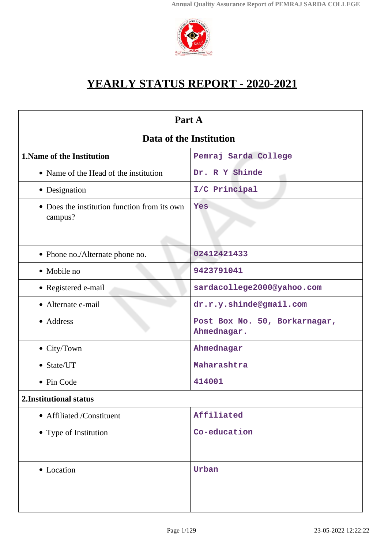

# **YEARLY STATUS REPORT - 2020-2021**

| Part A                                                  |                                              |  |
|---------------------------------------------------------|----------------------------------------------|--|
| Data of the Institution                                 |                                              |  |
| <b>1. Name of the Institution</b>                       | Pemraj Sarda College                         |  |
| • Name of the Head of the institution                   | Dr. R Y Shinde                               |  |
| • Designation                                           | I/C Principal                                |  |
| • Does the institution function from its own<br>campus? | Yes                                          |  |
| • Phone no./Alternate phone no.                         | 02412421433                                  |  |
| • Mobile no                                             | 9423791041                                   |  |
| • Registered e-mail                                     | sardacollege2000@yahoo.com                   |  |
| • Alternate e-mail                                      | dr.r.y.shinde@gmail.com                      |  |
| • Address                                               | Post Box No. 50, Borkarnagar,<br>Ahmednagar. |  |
| • City/Town                                             | Ahmednagar                                   |  |
| • State/UT                                              | Maharashtra                                  |  |
| • Pin Code                                              | 414001                                       |  |
| 2. Institutional status                                 |                                              |  |
| • Affiliated /Constituent                               | Affiliated                                   |  |
| • Type of Institution                                   | Co-education                                 |  |
| • Location                                              | Urban                                        |  |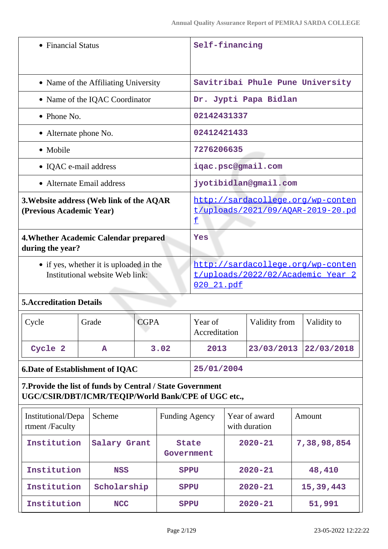| • Financial Status                                                                                                |              |                                                                             | Self-financing                                                                       |                          |  |                                |                                  |
|-------------------------------------------------------------------------------------------------------------------|--------------|-----------------------------------------------------------------------------|--------------------------------------------------------------------------------------|--------------------------|--|--------------------------------|----------------------------------|
| • Name of the Affiliating University                                                                              |              |                                                                             |                                                                                      |                          |  |                                | Savitribai Phule Pune University |
| • Name of the IQAC Coordinator                                                                                    |              |                                                                             |                                                                                      |                          |  | Dr. Jypti Papa Bidlan          |                                  |
| $\bullet$ Phone No.                                                                                               |              |                                                                             |                                                                                      | 02142431337              |  |                                |                                  |
| • Alternate phone No.                                                                                             |              |                                                                             |                                                                                      | 02412421433              |  |                                |                                  |
| • Mobile                                                                                                          |              |                                                                             |                                                                                      | 7276206635               |  |                                |                                  |
| • IQAC e-mail address                                                                                             |              |                                                                             |                                                                                      |                          |  | igac.psc@gmail.com             |                                  |
| • Alternate Email address                                                                                         |              |                                                                             |                                                                                      |                          |  | jyotibidlan@gmail.com          |                                  |
| 3. Website address (Web link of the AQAR<br>(Previous Academic Year)                                              |              | http://sardacollege.org/wp-conten<br>t/uploads/2021/09/AQAR-2019-20.pd<br>£ |                                                                                      |                          |  |                                |                                  |
| <b>4. Whether Academic Calendar prepared</b><br>during the year?                                                  |              |                                                                             |                                                                                      | Yes                      |  |                                |                                  |
| • if yes, whether it is uploaded in the<br>Institutional website Web link:                                        |              |                                                                             | http://sardacollege.org/wp-conten<br>t/uploads/2022/02/Academic Year 2<br>020 21.pdf |                          |  |                                |                                  |
| <b>5. Accreditation Details</b>                                                                                   |              |                                                                             |                                                                                      |                          |  |                                |                                  |
|                                                                                                                   |              |                                                                             |                                                                                      |                          |  |                                |                                  |
| Cycle                                                                                                             | Grade        | <b>CGPA</b>                                                                 |                                                                                      | Year of<br>Accreditation |  | Validity from                  | Validity to                      |
| Cycle 2                                                                                                           | $\mathbf{A}$ |                                                                             | 3.02                                                                                 | 2013                     |  | 23/03/2013                     | 22/03/2018                       |
| <b>6.Date of Establishment of IQAC</b>                                                                            |              |                                                                             |                                                                                      | 25/01/2004               |  |                                |                                  |
| 7. Provide the list of funds by Central / State Government<br>UGC/CSIR/DBT/ICMR/TEQIP/World Bank/CPE of UGC etc., |              |                                                                             |                                                                                      |                          |  |                                |                                  |
| Institutional/Depa<br>rtment /Faculty                                                                             | Scheme       |                                                                             | <b>Funding Agency</b>                                                                |                          |  | Year of award<br>with duration | Amount                           |
| Institution                                                                                                       | Salary Grant |                                                                             | <b>State</b><br>Government                                                           |                          |  | $2020 - 21$                    | 7,38,98,854                      |

**Institution NCC SPPU 2020-21 51,991**

**Institution Scholarship SPPU 2020-21 15,39,443**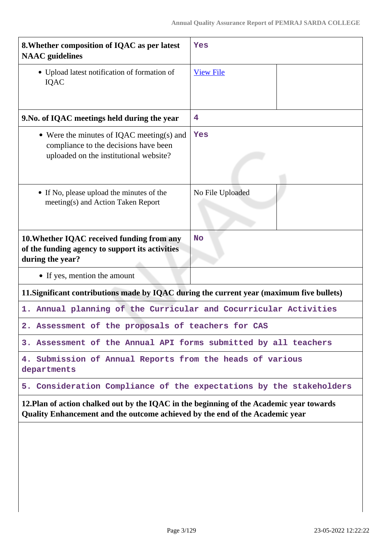| 8. Whether composition of IQAC as per latest<br><b>NAAC</b> guidelines                                                                                                   | Yes              |  |
|--------------------------------------------------------------------------------------------------------------------------------------------------------------------------|------------------|--|
| • Upload latest notification of formation of<br>IQAC                                                                                                                     | <b>View File</b> |  |
| 9. No. of IQAC meetings held during the year                                                                                                                             | 4                |  |
| • Were the minutes of IQAC meeting(s) and<br>compliance to the decisions have been<br>uploaded on the institutional website?                                             | Yes              |  |
| • If No, please upload the minutes of the<br>meeting(s) and Action Taken Report                                                                                          | No File Uploaded |  |
| 10. Whether IQAC received funding from any<br>of the funding agency to support its activities<br>during the year?                                                        | <b>No</b>        |  |
| • If yes, mention the amount                                                                                                                                             |                  |  |
| 11. Significant contributions made by IQAC during the current year (maximum five bullets)                                                                                |                  |  |
| 1. Annual planning of the Curricular and Cocurricular Activities                                                                                                         |                  |  |
| 2. Assessment of the proposals of teachers for CAS                                                                                                                       |                  |  |
| 3. Assessment of the Annual API forms submitted by all teachers                                                                                                          |                  |  |
| 4. Submission of Annual Reports from the heads of various<br>departments                                                                                                 |                  |  |
| 5. Consideration Compliance of the expectations by the stakeholders                                                                                                      |                  |  |
| 12. Plan of action chalked out by the IQAC in the beginning of the Academic year towards<br>Quality Enhancement and the outcome achieved by the end of the Academic year |                  |  |
|                                                                                                                                                                          |                  |  |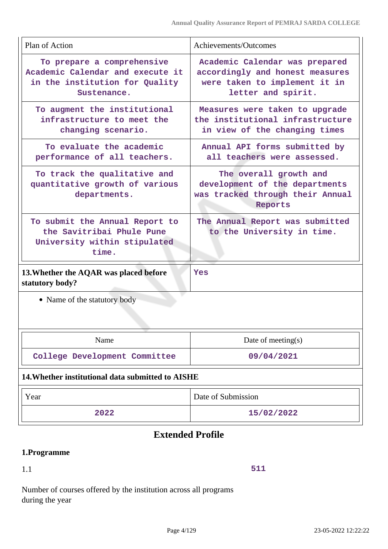| Plan of Action                                                                                                  | Achievements/Outcomes                                                                                                    |
|-----------------------------------------------------------------------------------------------------------------|--------------------------------------------------------------------------------------------------------------------------|
| To prepare a comprehensive<br>Academic Calendar and execute it<br>in the institution for Quality<br>Sustenance. | Academic Calendar was prepared<br>accordingly and honest measures<br>were taken to implement it in<br>letter and spirit. |
| To augment the institutional<br>infrastructure to meet the<br>changing scenario.                                | Measures were taken to upgrade<br>the institutional infrastructure<br>in view of the changing times                      |
| To evaluate the academic<br>performance of all teachers.                                                        | Annual API forms submitted by<br>all teachers were assessed.                                                             |
| To track the qualitative and<br>quantitative growth of various<br>departments.                                  | The overall growth and<br>development of the departments<br>was tracked through their Annual<br>Reports                  |
| To submit the Annual Report to<br>the Savitribai Phule Pune<br>University within stipulated<br>time.            | The Annual Report was submitted<br>to the University in time.                                                            |
| 13. Whether the AQAR was placed before<br>statutory body?                                                       | <b>Yes</b>                                                                                                               |
| • Name of the statutory body                                                                                    |                                                                                                                          |
| Name                                                                                                            | Date of meeting $(s)$                                                                                                    |
| College Development Committee                                                                                   | 09/04/2021                                                                                                               |
| 14. Whether institutional data submitted to AISHE                                                               |                                                                                                                          |
| Year                                                                                                            | Date of Submission                                                                                                       |

# **Extended Profile**

**2022 15/02/2022**

# **1.Programme**

# 1.1

**511**

Number of courses offered by the institution across all programs during the year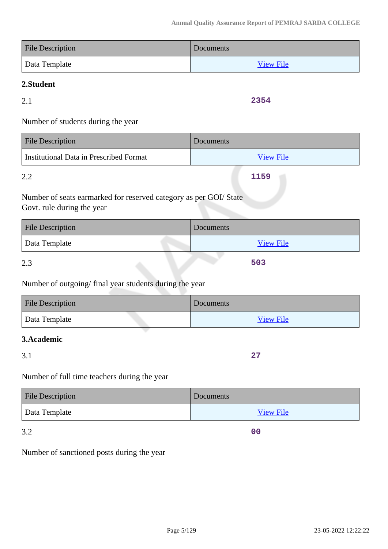| <b>File Description</b> | Documents        |
|-------------------------|------------------|
| Data Template           | <b>View File</b> |

# **2.Student**

2.1

**2354**

Number of students during the year

| <b>File Description</b>                 | Documents        |
|-----------------------------------------|------------------|
| Institutional Data in Prescribed Format | <b>View File</b> |
| 2.2                                     | 1159             |

Number of seats earmarked for reserved category as per GOI/ State Govt. rule during the year

| <b>File Description</b> | Documents        |
|-------------------------|------------------|
| Data Template           | <b>View File</b> |
| 2.3                     | 503              |

Number of outgoing/ final year students during the year

| <b>File Description</b> | Documents        |
|-------------------------|------------------|
| Data Template           | <b>View File</b> |

# **3.Academic**

3.1

**27**

**00**

Number of full time teachers during the year

| <b>File Description</b> | Documents        |
|-------------------------|------------------|
| Data Template           | <b>View File</b> |

3.2

Number of sanctioned posts during the year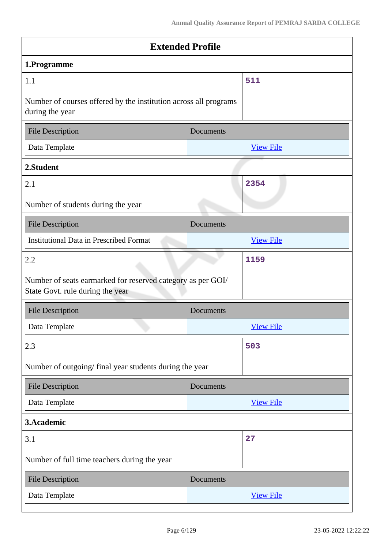| <b>Extended Profile</b>                                          |                  |
|------------------------------------------------------------------|------------------|
|                                                                  |                  |
|                                                                  | 511              |
| Number of courses offered by the institution across all programs |                  |
| Documents                                                        |                  |
|                                                                  | <b>View File</b> |
|                                                                  |                  |
|                                                                  | 2354             |
|                                                                  |                  |
| Documents                                                        |                  |
|                                                                  | <b>View File</b> |
|                                                                  | 1159             |
| Number of seats earmarked for reserved category as per GOI/      |                  |
| Documents                                                        |                  |
|                                                                  | <b>View File</b> |
|                                                                  | 503              |
| Number of outgoing/final year students during the year           |                  |
| Documents                                                        |                  |
|                                                                  | <b>View File</b> |
|                                                                  |                  |
|                                                                  | 27               |
|                                                                  |                  |
| Documents                                                        |                  |
|                                                                  | <b>View File</b> |
|                                                                  |                  |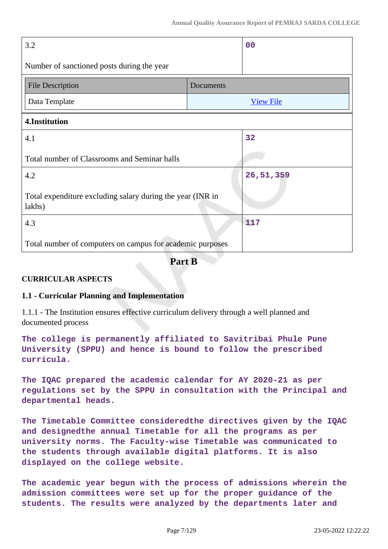| 3.2                                                                  |           | 0 <sub>0</sub>   |
|----------------------------------------------------------------------|-----------|------------------|
| Number of sanctioned posts during the year                           |           |                  |
| <b>File Description</b>                                              | Documents |                  |
| Data Template                                                        |           | <b>View File</b> |
| 4.Institution                                                        |           |                  |
| 4.1                                                                  |           | 32               |
| Total number of Classrooms and Seminar halls                         |           |                  |
| 4.2                                                                  |           | 26, 51, 359      |
| Total expenditure excluding salary during the year (INR in<br>lakhs) |           |                  |
| 4.3                                                                  |           | 117              |
| Total number of computers on campus for academic purposes            |           |                  |

**Part B**

# **CURRICULAR ASPECTS**

### **1.1 - Curricular Planning and Implementation**

1.1.1 - The Institution ensures effective curriculum delivery through a well planned and documented process

**The college is permanently affiliated to Savitribai Phule Pune University (SPPU) and hence is bound to follow the prescribed curricula.**

**The IQAC prepared the academic calendar for AY 2020-21 as per regulations set by the SPPU in consultation with the Principal and departmental heads.**

**The Timetable Committee consideredthe directives given by the IQAC and designedthe annual Timetable for all the programs as per university norms. The Faculty-wise Timetable was communicated to the students through available digital platforms. It is also displayed on the college website.**

**The academic year begun with the process of admissions wherein the admission committees were set up for the proper guidance of the students. The results were analyzed by the departments later and**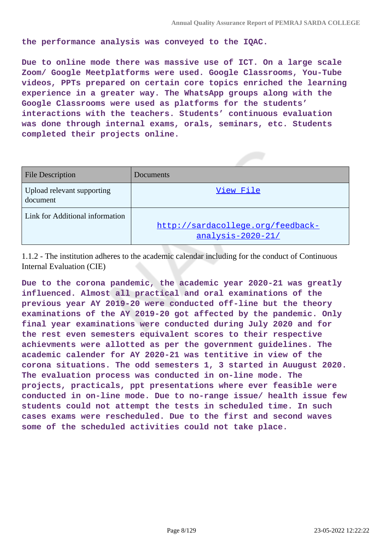**the performance analysis was conveyed to the IQAC.**

**Due to online mode there was massive use of ICT. On a large scale Zoom/ Google Meetplatforms were used. Google Classrooms, You-Tube videos, PPTs prepared on certain core topics enriched the learning experience in a greater way. The WhatsApp groups along with the Google Classrooms were used as platforms for the students' interactions with the teachers. Students' continuous evaluation was done through internal exams, orals, seminars, etc. Students completed their projects online.**

| <b>File Description</b>                | Documents                                                |
|----------------------------------------|----------------------------------------------------------|
| Upload relevant supporting<br>document | View File                                                |
| Link for Additional information        | http://sardacollege.org/feedback-<br>$analysis-2020-21/$ |

1.1.2 - The institution adheres to the academic calendar including for the conduct of Continuous Internal Evaluation (CIE)

**Due to the corona pandemic, the academic year 2020-21 was greatly influenced. Almost all practical and oral examinations of the previous year AY 2019-20 were conducted off-line but the theory examinations of the AY 2019-20 got affected by the pandemic. Only final year examinations were conducted during July 2020 and for the rest even semesters equivalent scores to their respective achievments were allotted as per the government guidelines. The academic calender for AY 2020-21 was tentitive in view of the corona situations. The odd semesters 1, 3 started in Auugust 2020. The evaluation process was conducted in on-line mode. The projects, practicals, ppt presentations where ever feasible were conducted in on-line mode. Due to no-range issue/ health issue few students could not attempt the tests in scheduled time. In such cases exams were rescheduled. Due to the first and second waves some of the scheduled activities could not take place.**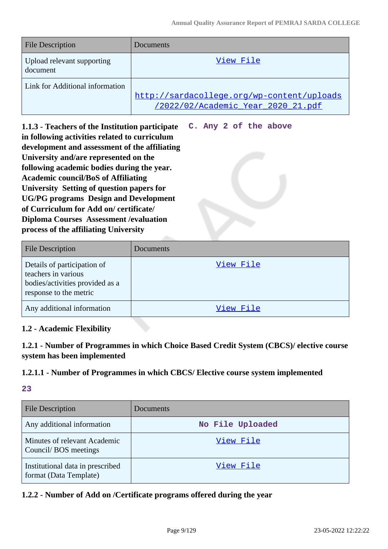**C. Any 2 of the above**

| <b>File Description</b>                | Documents                                                                        |
|----------------------------------------|----------------------------------------------------------------------------------|
| Upload relevant supporting<br>document | View File                                                                        |
| Link for Additional information        | http://sardacollege.org/wp-content/uploads<br>/2022/02/Academic Year 2020 21.pdf |

**1.1.3 - Teachers of the Institution participate in following activities related to curriculum development and assessment of the affiliating University and/are represented on the following academic bodies during the year. Academic council/BoS of Affiliating University Setting of question papers for UG/PG programs Design and Development of Curriculum for Add on/ certificate/ Diploma Courses Assessment /evaluation process of the affiliating University**

| <b>File Description</b>                                                                                         | Documents |
|-----------------------------------------------------------------------------------------------------------------|-----------|
| Details of participation of<br>teachers in various<br>bodies/activities provided as a<br>response to the metric | View File |
| Any additional information                                                                                      | View File |

# **1.2 - Academic Flexibility**

**1.2.1 - Number of Programmes in which Choice Based Credit System (CBCS)/ elective course system has been implemented**

# **1.2.1.1 - Number of Programmes in which CBCS/ Elective course system implemented**

# **23**

| <b>File Description</b>                                    | Documents        |
|------------------------------------------------------------|------------------|
| Any additional information                                 | No File Uploaded |
| Minutes of relevant Academic<br>Council/BOS meetings       | View File        |
| Institutional data in prescribed<br>format (Data Template) | View File        |

### **1.2.2 - Number of Add on /Certificate programs offered during the year**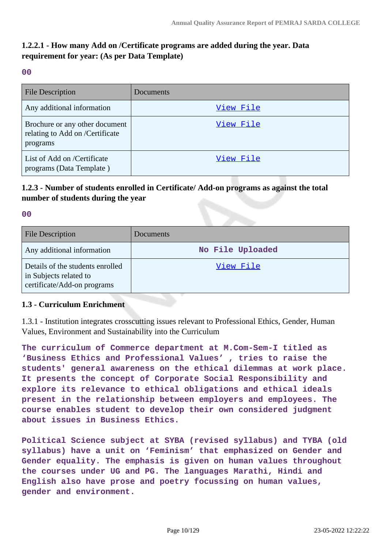# **1.2.2.1 - How many Add on /Certificate programs are added during the year. Data requirement for year: (As per Data Template)**

**00**

| <b>File Description</b>                                                       | Documents |
|-------------------------------------------------------------------------------|-----------|
| Any additional information                                                    | View File |
| Brochure or any other document<br>relating to Add on /Certificate<br>programs | View File |
| List of Add on /Certificate<br>programs (Data Template)                       | View File |

# **1.2.3 - Number of students enrolled in Certificate/ Add-on programs as against the total number of students during the year**

**00**

| <b>File Description</b>                                                                   | Documents        |
|-------------------------------------------------------------------------------------------|------------------|
| Any additional information                                                                | No File Uploaded |
| Details of the students enrolled<br>in Subjects related to<br>certificate/Add-on programs | View File        |

# **1.3 - Curriculum Enrichment**

1.3.1 - Institution integrates crosscutting issues relevant to Professional Ethics, Gender, Human Values, Environment and Sustainability into the Curriculum

**The curriculum of Commerce department at M.Com-Sem-I titled as 'Business Ethics and Professional Values' , tries to raise the students' general awareness on the ethical dilemmas at work place. It presents the concept of Corporate Social Responsibility and explore its relevance to ethical obligations and ethical ideals present in the relationship between employers and employees. The course enables student to develop their own considered judgment about issues in Business Ethics.**

**Political Science subject at SYBA (revised syllabus) and TYBA (old syllabus) have a unit on 'Feminism' that emphasized on Gender and Gender equality. The emphasis is given on human values throughout the courses under UG and PG. The languages Marathi, Hindi and English also have prose and poetry focussing on human values, gender and environment.**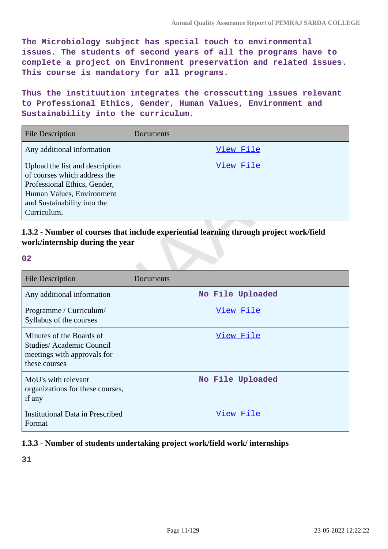**The Microbiology subject has special touch to environmental issues. The students of second years of all the programs have to complete a project on Environment preservation and related issues. This course is mandatory for all programs.**

**Thus the instituution integrates the crosscutting issues relevant to Professional Ethics, Gender, Human Values, Environment and Sustainability into the curriculum.**

| <b>File Description</b>                                                                                                                                                    | Documents |
|----------------------------------------------------------------------------------------------------------------------------------------------------------------------------|-----------|
| Any additional information                                                                                                                                                 | View File |
| Upload the list and description<br>of courses which address the<br>Professional Ethics, Gender,<br>Human Values, Environment<br>and Sustainability into the<br>Curriculum. | View File |

**1.3.2 - Number of courses that include experiential learning through project work/field work/internship during the year**

**02**

| <b>File Description</b>                                                                              | Documents        |
|------------------------------------------------------------------------------------------------------|------------------|
| Any additional information                                                                           | No File Uploaded |
| Programme / Curriculum/<br>Syllabus of the courses                                                   | View File        |
| Minutes of the Boards of<br>Studies/Academic Council<br>meetings with approvals for<br>these courses | View File        |
| MoU's with relevant<br>organizations for these courses,<br>if any                                    | No File Uploaded |
| <b>Institutional Data in Prescribed</b><br>Format                                                    | <u>View File</u> |

### **1.3.3 - Number of students undertaking project work/field work/ internships**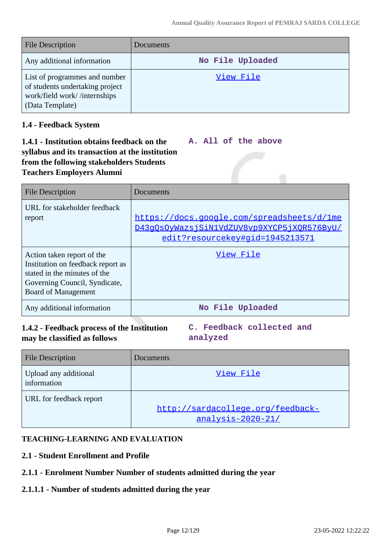| <b>File Description</b>                                                                                             | Documents        |
|---------------------------------------------------------------------------------------------------------------------|------------------|
| Any additional information                                                                                          | No File Uploaded |
| List of programmes and number<br>of students undertaking project<br>work/field work//internships<br>(Data Template) | View File        |

### **1.4 - Feedback System**

#### **1.4.1 - Institution obtains feedback on the syllabus and its transaction at the institution from the following stakeholders Students Teachers Employers Alumni A. All of the above**

| <b>File Description</b>                                                                                                                                        | Documents                                                                                                                   |
|----------------------------------------------------------------------------------------------------------------------------------------------------------------|-----------------------------------------------------------------------------------------------------------------------------|
| URL for stakeholder feedback<br>report                                                                                                                         | https://docs.google.com/spreadsheets/d/1me<br>D43qOsOyWazsjSiN1VdZUV8vp9XYCP5jXOR576ByU/<br>edit?resourcekey#gid=1945213571 |
| Action taken report of the<br>Institution on feedback report as<br>stated in the minutes of the<br>Governing Council, Syndicate,<br><b>Board of Management</b> | View File                                                                                                                   |
| Any additional information                                                                                                                                     | No File Uploaded                                                                                                            |

# **1.4.2 - Feedback process of the Institution may be classified as follows**

**C. Feedback collected and analyzed**

| <b>File Description</b>              | <b>Documents</b>                                       |
|--------------------------------------|--------------------------------------------------------|
| Upload any additional<br>information | View File                                              |
| URL for feedback report              | http://sardacollege.org/feedback-<br>analysis-2020-21/ |

### **TEACHING-LEARNING AND EVALUATION**

### **2.1 - Student Enrollment and Profile**

# **2.1.1 - Enrolment Number Number of students admitted during the year**

### **2.1.1.1 - Number of students admitted during the year**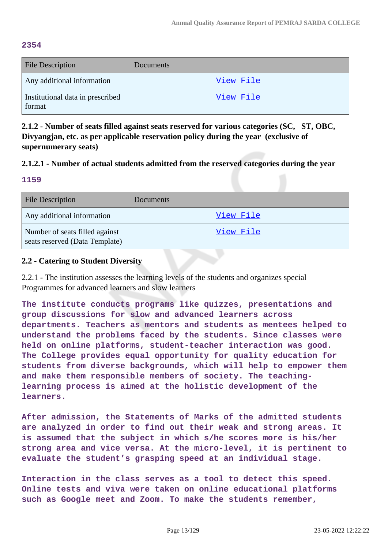#### **2354**

| <b>File Description</b>                    | Documents |
|--------------------------------------------|-----------|
| Any additional information                 | View File |
| Institutional data in prescribed<br>format | View File |

**2.1.2 - Number of seats filled against seats reserved for various categories (SC, ST, OBC, Divyangjan, etc. as per applicable reservation policy during the year (exclusive of supernumerary seats)**

### **2.1.2.1 - Number of actual students admitted from the reserved categories during the year**

#### **1159**

| <b>File Description</b>                                          | <b>Documents</b> |
|------------------------------------------------------------------|------------------|
| Any additional information                                       | View File        |
| Number of seats filled against<br>seats reserved (Data Template) | View File        |

### **2.2 - Catering to Student Diversity**

2.2.1 - The institution assesses the learning levels of the students and organizes special Programmes for advanced learners and slow learners

**The institute conducts programs like quizzes, presentations and group discussions for slow and advanced learners across departments. Teachers as mentors and students as mentees helped to understand the problems faced by the students. Since classes were held on online platforms, student-teacher interaction was good. The College provides equal opportunity for quality education for students from diverse backgrounds, which will help to empower them and make them responsible members of society. The teachinglearning process is aimed at the holistic development of the learners.**

**After admission, the Statements of Marks of the admitted students are analyzed in order to find out their weak and strong areas. It is assumed that the subject in which s/he scores more is his/her strong area and vice versa. At the micro-level, it is pertinent to evaluate the student's grasping speed at an individual stage.**

**Interaction in the class serves as a tool to detect this speed. Online tests and viva were taken on online educational platforms such as Google meet and Zoom. To make the students remember,**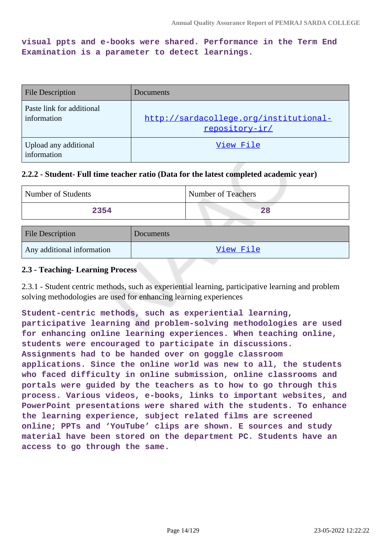**visual ppts and e-books were shared. Performance in the Term End Examination is a parameter to detect learnings.**

| <b>File Description</b>                  | Documents                                                |
|------------------------------------------|----------------------------------------------------------|
| Paste link for additional<br>information | http://sardacollege.org/institutional-<br>repository-ir/ |
| Upload any additional<br>information     | View File                                                |

#### **2.2.2 - Student- Full time teacher ratio (Data for the latest completed academic year)**

| Number of Students | Number of Teachers |
|--------------------|--------------------|
| 2354               |                    |

| <b>File Description</b>    | Documents |
|----------------------------|-----------|
| Any additional information | View File |

#### **2.3 - Teaching- Learning Process**

2.3.1 - Student centric methods, such as experiential learning, participative learning and problem solving methodologies are used for enhancing learning experiences

**Student-centric methods, such as experiential learning, participative learning and problem-solving methodologies are used for enhancing online learning experiences. When teaching online, students were encouraged to participate in discussions. Assignments had to be handed over on goggle classroom applications. Since the online world was new to all, the students who faced difficulty in online submission, online classrooms and portals were guided by the teachers as to how to go through this process. Various videos, e-books, links to important websites, and PowerPoint presentations were shared with the students. To enhance the learning experience, subject related films are screened online; PPTs and 'YouTube' clips are shown. E sources and study material have been stored on the department PC. Students have an access to go through the same.**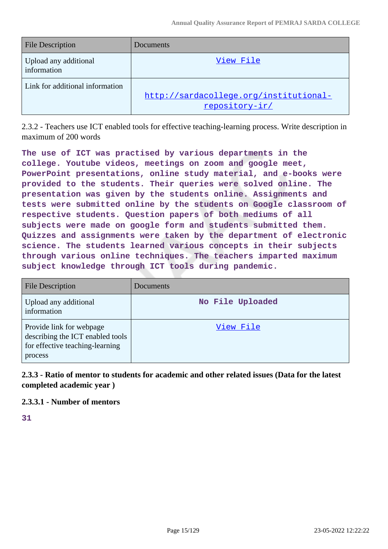| <b>File Description</b>              | Documents                                                |
|--------------------------------------|----------------------------------------------------------|
| Upload any additional<br>information | View File                                                |
| Link for additional information      | http://sardacollege.org/institutional-<br>repository-ir/ |

2.3.2 - Teachers use ICT enabled tools for effective teaching-learning process. Write description in maximum of 200 words

**The use of ICT was practised by various departments in the college. Youtube videos, meetings on zoom and google meet, PowerPoint presentations, online study material, and e-books were provided to the students. Their queries were solved online. The presentation was given by the students online. Assignments and tests were submitted online by the students on Google classroom of respective students. Question papers of both mediums of all subjects were made on google form and students submitted them. Quizzes and assignments were taken by the department of electronic science. The students learned various concepts in their subjects through various online techniques. The teachers imparted maximum subject knowledge through ICT tools during pandemic.**

| <b>File Description</b>                                                                                    | Documents        |
|------------------------------------------------------------------------------------------------------------|------------------|
| Upload any additional<br>information                                                                       | No File Uploaded |
| Provide link for webpage<br>describing the ICT enabled tools<br>for effective teaching-learning<br>process | View File        |

# **2.3.3 - Ratio of mentor to students for academic and other related issues (Data for the latest completed academic year )**

# **2.3.3.1 - Number of mentors**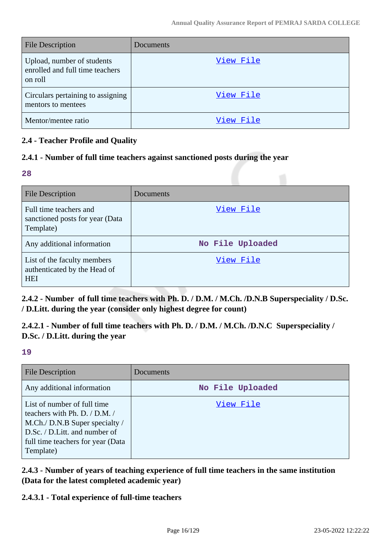| <b>File Description</b>                                                  | Documents |
|--------------------------------------------------------------------------|-----------|
| Upload, number of students<br>enrolled and full time teachers<br>on roll | View File |
| Circulars pertaining to assigning<br>mentors to mentees                  | View File |
| Mentor/mentee ratio                                                      | View File |

# **2.4 - Teacher Profile and Quality**

# **2.4.1 - Number of full time teachers against sanctioned posts during the year**

#### **28**

| File Description                                                          | Documents        |
|---------------------------------------------------------------------------|------------------|
| Full time teachers and<br>sanctioned posts for year (Data<br>Template)    | View File        |
| Any additional information                                                | No File Uploaded |
| List of the faculty members<br>authenticated by the Head of<br><b>HEI</b> | View File        |

**2.4.2 - Number of full time teachers with Ph. D. / D.M. / M.Ch. /D.N.B Superspeciality / D.Sc. / D.Litt. during the year (consider only highest degree for count)**

**2.4.2.1 - Number of full time teachers with Ph. D. / D.M. / M.Ch. /D.N.C Superspeciality / D.Sc. / D.Litt. during the year**

**19**

| <b>File Description</b>                                                                                                                                                            | Documents        |
|------------------------------------------------------------------------------------------------------------------------------------------------------------------------------------|------------------|
| Any additional information                                                                                                                                                         | No File Uploaded |
| List of number of full time<br>teachers with Ph. D. / D.M. /<br>M.Ch./ D.N.B Super specialty /<br>D.Sc. / D.Litt. and number of<br>full time teachers for year (Data)<br>Template) | View File        |

**2.4.3 - Number of years of teaching experience of full time teachers in the same institution (Data for the latest completed academic year)**

**2.4.3.1 - Total experience of full-time teachers**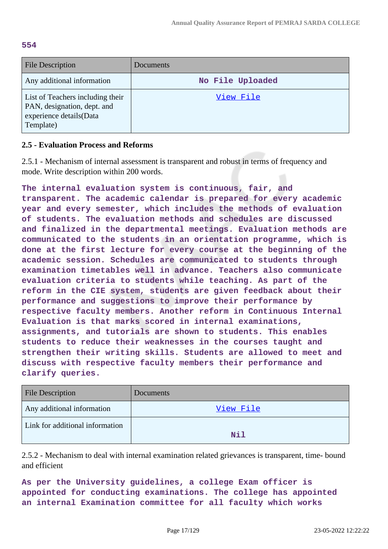**554**

| File Description                                                                                        | Documents        |
|---------------------------------------------------------------------------------------------------------|------------------|
| Any additional information                                                                              | No File Uploaded |
| List of Teachers including their<br>PAN, designation, dept. and<br>experience details(Data<br>Template) | View File        |

### **2.5 - Evaluation Process and Reforms**

2.5.1 - Mechanism of internal assessment is transparent and robust in terms of frequency and mode. Write description within 200 words.

**The internal evaluation system is continuous, fair, and transparent. The academic calendar is prepared for every academic year and every semester, which includes the methods of evaluation of students. The evaluation methods and schedules are discussed and finalized in the departmental meetings. Evaluation methods are communicated to the students in an orientation programme, which is done at the first lecture for every course at the beginning of the academic session. Schedules are communicated to students through examination timetables well in advance. Teachers also communicate evaluation criteria to students while teaching. As part of the reform in the CIE system, students are given feedback about their performance and suggestions to improve their performance by respective faculty members. Another reform in Continuous Internal Evaluation is that marks scored in internal examinations, assignments, and tutorials are shown to students. This enables students to reduce their weaknesses in the courses taught and strengthen their writing skills. Students are allowed to meet and discuss with respective faculty members their performance and clarify queries.**

| <b>File Description</b>         | <b>Documents</b> |
|---------------------------------|------------------|
| Any additional information      | View File        |
| Link for additional information | Nil              |

2.5.2 - Mechanism to deal with internal examination related grievances is transparent, time- bound and efficient

**As per the University guidelines, a college Exam officer is appointed for conducting examinations. The college has appointed an internal Examination committee for all faculty which works**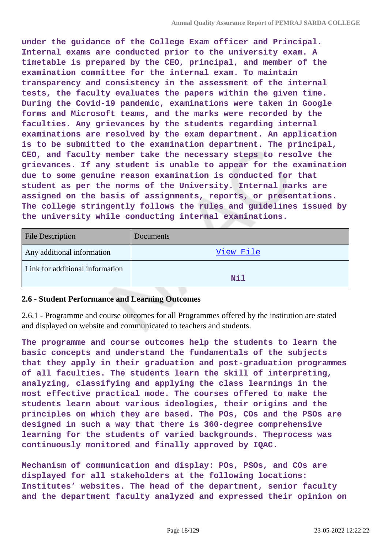**under the guidance of the College Exam officer and Principal. Internal exams are conducted prior to the university exam. A timetable is prepared by the CEO, principal, and member of the examination committee for the internal exam. To maintain transparency and consistency in the assessment of the internal tests, the faculty evaluates the papers within the given time. During the Covid-19 pandemic, examinations were taken in Google forms and Microsoft teams, and the marks were recorded by the faculties. Any grievances by the students regarding internal examinations are resolved by the exam department. An application is to be submitted to the examination department. The principal, CEO, and faculty member take the necessary steps to resolve the grievances. If any student is unable to appear for the examination due to some genuine reason examination is conducted for that student as per the norms of the University. Internal marks are assigned on the basis of assignments, reports, or presentations. The college stringently follows the rules and guidelines issued by the university while conducting internal examinations.**

| <b>File Description</b>         | Documents  |
|---------------------------------|------------|
| Any additional information      | View File  |
| Link for additional information | <b>Nil</b> |

### **2.6 - Student Performance and Learning Outcomes**

2.6.1 - Programme and course outcomes for all Programmes offered by the institution are stated and displayed on website and communicated to teachers and students.

**The programme and course outcomes help the students to learn the basic concepts and understand the fundamentals of the subjects that they apply in their graduation and post-graduation programmes of all faculties. The students learn the skill of interpreting, analyzing, classifying and applying the class learnings in the most effective practical mode. The courses offered to make the students learn about various ideologies, their origins and the principles on which they are based. The POs, COs and the PSOs are designed in such a way that there is 360-degree comprehensive learning for the students of varied backgrounds. Theprocess was continuously monitored and finally approved by IQAC.**

**Mechanism of communication and display: POs, PSOs, and COs are displayed for all stakeholders at the following locations: Institutes' websites. The head of the department, senior faculty and the department faculty analyzed and expressed their opinion on**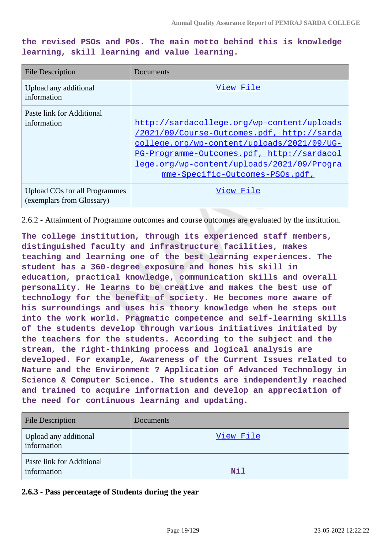**the revised PSOs and POs. The main motto behind this is knowledge learning, skill learning and value learning.**

| <b>File Description</b>                                    | Documents                                                                                                                                                                                                                                                             |
|------------------------------------------------------------|-----------------------------------------------------------------------------------------------------------------------------------------------------------------------------------------------------------------------------------------------------------------------|
| Upload any additional<br>information                       | View File                                                                                                                                                                                                                                                             |
| Paste link for Additional<br>information                   | http://sardacollege.org/wp-content/uploads<br>/2021/09/Course-Outcomes.pdf, http://sarda<br>college.org/wp-content/uploads/2021/09/UG-<br>PG-Programme-Outcomes.pdf, http://sardacol<br>lege.org/wp-content/uploads/2021/09/Progra<br>mme-Specific-Outcomes-PSOs.pdf, |
| Upload COs for all Programmes<br>(exemplars from Glossary) | View File                                                                                                                                                                                                                                                             |

2.6.2 - Attainment of Programme outcomes and course outcomes are evaluated by the institution.

**The college institution, through its experienced staff members, distinguished faculty and infrastructure facilities, makes teaching and learning one of the best learning experiences. The student has a 360-degree exposure and hones his skill in education, practical knowledge, communication skills and overall personality. He learns to be creative and makes the best use of technology for the benefit of society. He becomes more aware of his surroundings and uses his theory knowledge when he steps out into the work world. Pragmatic competence and self-learning skills of the students develop through various initiatives initiated by the teachers for the students. According to the subject and the stream, the right-thinking process and logical analysis are developed. For example, Awareness of the Current Issues related to Nature and the Environment ? Application of Advanced Technology in Science & Computer Science. The students are independently reached and trained to acquire information and develop an appreciation of the need for continuous learning and updating.**

| <b>File Description</b>                  | Documents |
|------------------------------------------|-----------|
| Upload any additional<br>information     | View File |
| Paste link for Additional<br>information | Nil       |

**2.6.3 - Pass percentage of Students during the year**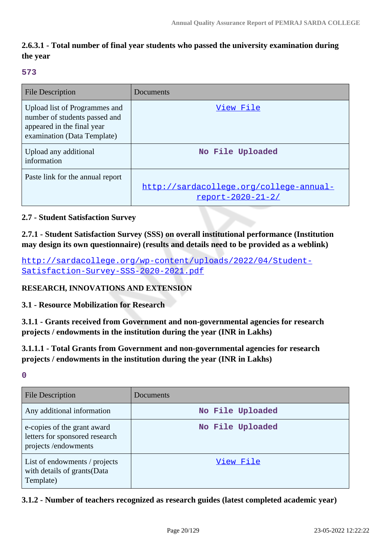# **2.6.3.1 - Total number of final year students who passed the university examination during the year**

#### **573**

| <b>File Description</b>                                                                                                     | Documents                                                      |
|-----------------------------------------------------------------------------------------------------------------------------|----------------------------------------------------------------|
| Upload list of Programmes and<br>number of students passed and<br>appeared in the final year<br>examination (Data Template) | View File                                                      |
| Upload any additional<br>information                                                                                        | No File Uploaded                                               |
| Paste link for the annual report                                                                                            | http://sardacollege.org/college-annual-<br>$report-2020-21-2/$ |

### **2.7 - Student Satisfaction Survey**

**2.7.1 - Student Satisfaction Survey (SSS) on overall institutional performance (Institution may design its own questionnaire) (results and details need to be provided as a weblink)**

[http://sardacollege.org/wp-content/uploads/2022/04/Student-](http://sardacollege.org/wp-content/uploads/2022/04/Student-Satisfaction-Survey-SSS-2020-2021.pdf)[Satisfaction-Survey-SSS-2020-2021.pdf](http://sardacollege.org/wp-content/uploads/2022/04/Student-Satisfaction-Survey-SSS-2020-2021.pdf)

### **RESEARCH, INNOVATIONS AND EXTENSION**

# **3.1 - Resource Mobilization for Research**

**3.1.1 - Grants received from Government and non-governmental agencies for research projects / endowments in the institution during the year (INR in Lakhs)**

**3.1.1.1 - Total Grants from Government and non-governmental agencies for research projects / endowments in the institution during the year (INR in Lakhs)**

**0**

| <b>File Description</b>                                                              | Documents        |
|--------------------------------------------------------------------------------------|------------------|
| Any additional information                                                           | No File Uploaded |
| e-copies of the grant award<br>letters for sponsored research<br>projects/endowments | No File Uploaded |
| List of endowments / projects<br>with details of grants(Data<br>Template)            | View File        |

### **3.1.2 - Number of teachers recognized as research guides (latest completed academic year)**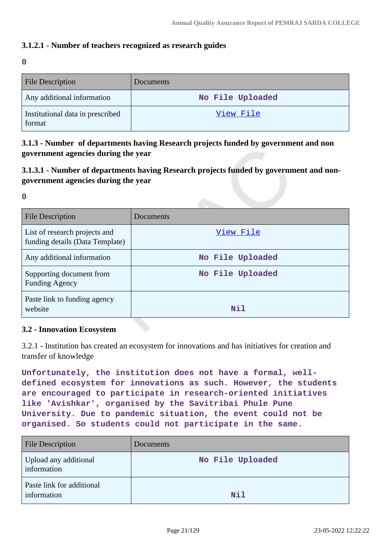# **3.1.2.1 - Number of teachers recognized as research guides**

**0**

| <b>File Description</b>                    | Documents        |
|--------------------------------------------|------------------|
| Any additional information                 | No File Uploaded |
| Institutional data in prescribed<br>format | View File        |

**3.1.3 - Number of departments having Research projects funded by government and non government agencies during the year**

**3.1.3.1 - Number of departments having Research projects funded by government and nongovernment agencies during the year**

**0**

| File Description                                                 | Documents        |
|------------------------------------------------------------------|------------------|
| List of research projects and<br>funding details (Data Template) | View File        |
| Any additional information                                       | No File Uploaded |
| Supporting document from<br><b>Funding Agency</b>                | No File Uploaded |
| Paste link to funding agency<br>website                          | Nil              |

#### **3.2 - Innovation Ecosystem**

3.2.1 - Institution has created an ecosystem for innovations and has initiatives for creation and transfer of knowledge

**Unfortunately, the institution does not have a formal, welldefined ecosystem for innovations as such. However, the students are encouraged to participate in research-oriented initiatives like 'Avishkar', organised by the Savitribai Phule Pune University. Due to pandemic situation, the event could not be organised. So students could not participate in the same.**

| <b>File Description</b>                  | Documents        |
|------------------------------------------|------------------|
| Upload any additional<br>information     | No File Uploaded |
| Paste link for additional<br>information | <b>Nil</b>       |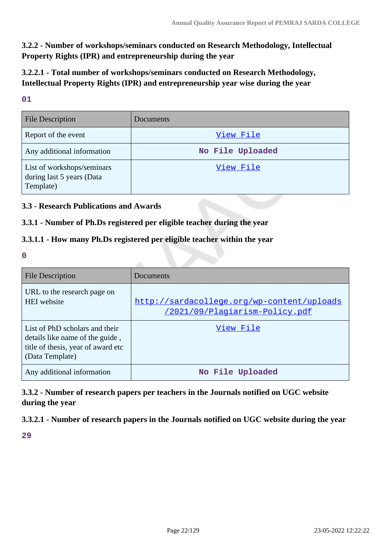**3.2.2 - Number of workshops/seminars conducted on Research Methodology, Intellectual Property Rights (IPR) and entrepreneurship during the year**

**3.2.2.1 - Total number of workshops/seminars conducted on Research Methodology, Intellectual Property Rights (IPR) and entrepreneurship year wise during the year**

**01**

| <b>File Description</b>                                              | Documents        |
|----------------------------------------------------------------------|------------------|
| Report of the event                                                  | View File        |
| Any additional information                                           | No File Uploaded |
| List of workshops/seminars<br>during last 5 years (Data<br>Template) | <u>View File</u> |

# **3.3 - Research Publications and Awards**

### **3.3.1 - Number of Ph.Ds registered per eligible teacher during the year**

# **3.3.1.1 - How many Ph.Ds registered per eligible teacher within the year**

**0**

| <b>File Description</b>                                                                                                    | Documents                                                                    |
|----------------------------------------------------------------------------------------------------------------------------|------------------------------------------------------------------------------|
| URL to the research page on<br><b>HEI</b> website                                                                          | http://sardacollege.org/wp-content/uploads<br>/2021/09/Plagiarism-Policy.pdf |
| List of PhD scholars and their<br>details like name of the guide,<br>title of thesis, year of award etc<br>(Data Template) | View File                                                                    |
| Any additional information                                                                                                 | No File Uploaded                                                             |

**3.3.2 - Number of research papers per teachers in the Journals notified on UGC website during the year**

**3.3.2.1 - Number of research papers in the Journals notified on UGC website during the year**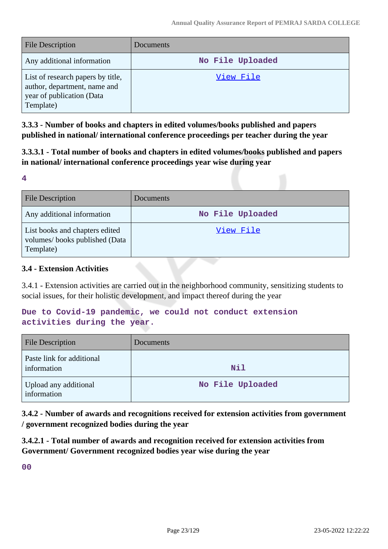| <b>File Description</b>                                                                                     | Documents        |
|-------------------------------------------------------------------------------------------------------------|------------------|
| Any additional information                                                                                  | No File Uploaded |
| List of research papers by title,<br>author, department, name and<br>year of publication (Data<br>Template) | View File        |

**3.3.3 - Number of books and chapters in edited volumes/books published and papers published in national/ international conference proceedings per teacher during the year**

**3.3.3.1 - Total number of books and chapters in edited volumes/books published and papers in national/ international conference proceedings year wise during year**

#### **4**

| File Description                                                             | Documents        |
|------------------------------------------------------------------------------|------------------|
| Any additional information                                                   | No File Uploaded |
| List books and chapters edited<br>volumes/books published (Data<br>Template) | View File        |

# **3.4 - Extension Activities**

3.4.1 - Extension activities are carried out in the neighborhood community, sensitizing students to social issues, for their holistic development, and impact thereof during the year

# **Due to Covid-19 pandemic, we could not conduct extension activities during the year.**

| <b>File Description</b>                  | Documents        |
|------------------------------------------|------------------|
| Paste link for additional<br>information | Nil              |
| Upload any additional<br>information     | No File Uploaded |

**3.4.2 - Number of awards and recognitions received for extension activities from government / government recognized bodies during the year**

**3.4.2.1 - Total number of awards and recognition received for extension activities from Government/ Government recognized bodies year wise during the year**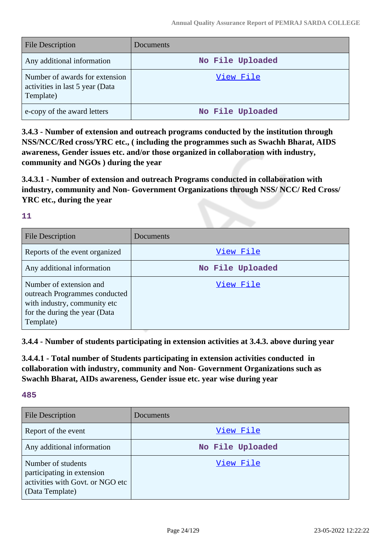| <b>File Description</b>                                                        | Documents        |
|--------------------------------------------------------------------------------|------------------|
| Any additional information                                                     | No File Uploaded |
| Number of awards for extension<br>activities in last 5 year (Data<br>Template) | View File        |
| e-copy of the award letters                                                    | No File Uploaded |

**3.4.3 - Number of extension and outreach programs conducted by the institution through NSS/NCC/Red cross/YRC etc., ( including the programmes such as Swachh Bharat, AIDS awareness, Gender issues etc. and/or those organized in collaboration with industry, community and NGOs ) during the year**

**3.4.3.1 - Number of extension and outreach Programs conducted in collaboration with industry, community and Non- Government Organizations through NSS/ NCC/ Red Cross/ YRC etc., during the year**

### **11**

| <b>File Description</b>                                                                                                                | Documents        |
|----------------------------------------------------------------------------------------------------------------------------------------|------------------|
| Reports of the event organized                                                                                                         | View File        |
| Any additional information                                                                                                             | No File Uploaded |
| Number of extension and<br>outreach Programmes conducted<br>with industry, community etc<br>for the during the year (Data<br>Template) | View File        |

**3.4.4 - Number of students participating in extension activities at 3.4.3. above during year**

**3.4.4.1 - Total number of Students participating in extension activities conducted in collaboration with industry, community and Non- Government Organizations such as Swachh Bharat, AIDs awareness, Gender issue etc. year wise during year**

| <b>File Description</b>                                                                                 | Documents        |
|---------------------------------------------------------------------------------------------------------|------------------|
| Report of the event                                                                                     | View File        |
| Any additional information                                                                              | No File Uploaded |
| Number of students<br>participating in extension<br>activities with Govt. or NGO etc<br>(Data Template) | View File        |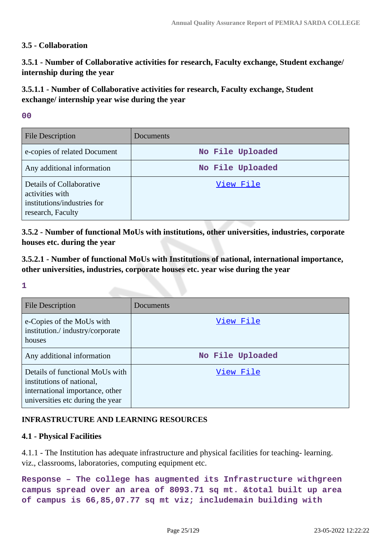### **3.5 - Collaboration**

**3.5.1 - Number of Collaborative activities for research, Faculty exchange, Student exchange/ internship during the year**

**3.5.1.1 - Number of Collaborative activities for research, Faculty exchange, Student exchange/ internship year wise during the year**

#### **00**

| <b>File Description</b>                                                                         | Documents        |
|-------------------------------------------------------------------------------------------------|------------------|
| e-copies of related Document                                                                    | No File Uploaded |
| Any additional information                                                                      | No File Uploaded |
| Details of Collaborative<br>activities with<br>institutions/industries for<br>research, Faculty | View File        |

**3.5.2 - Number of functional MoUs with institutions, other universities, industries, corporate houses etc. during the year**

**3.5.2.1 - Number of functional MoUs with Institutions of national, international importance, other universities, industries, corporate houses etc. year wise during the year**

#### **1**

| <b>File Description</b>                                                                                                             | Documents        |
|-------------------------------------------------------------------------------------------------------------------------------------|------------------|
| e-Copies of the MoUs with<br>institution./industry/corporate<br>houses                                                              | View File        |
| Any additional information                                                                                                          | No File Uploaded |
| Details of functional MoUs with<br>institutions of national,<br>international importance, other<br>universities etc during the year | View File        |

# **INFRASTRUCTURE AND LEARNING RESOURCES**

### **4.1 - Physical Facilities**

4.1.1 - The Institution has adequate infrastructure and physical facilities for teaching- learning. viz., classrooms, laboratories, computing equipment etc.

**Response – The college has augmented its Infrastructure withgreen campus spread over an area of 8093.71 sq mt. &total built up area of campus is 66,85,07.77 sq mt viz; includemain building with**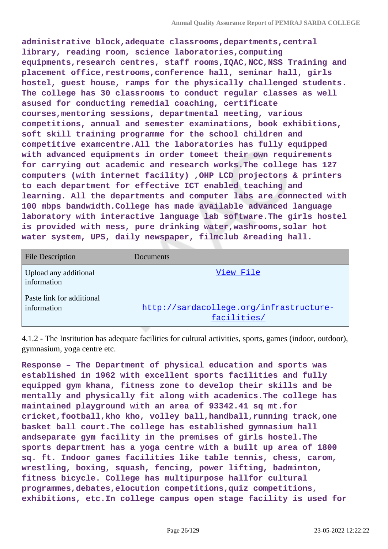**administrative block,adequate classrooms,departments,central library, reading room, science laboratories,computing equipments,research centres, staff rooms,IQAC,NCC,NSS Training and placement office,restrooms,conference hall, seminar hall, girls hostel, guest house, ramps for the physically challenged students. The college has 30 classrooms to conduct regular classes as well asused for conducting remedial coaching, certificate courses,mentoring sessions, departmental meeting, various competitions, annual and semester examinations, book exhibitions, soft skill training programme for the school children and competitive examcentre.All the laboratories has fully equipped with advanced equipments in order tomeet their own requirements for carrying out academic and research works.The college has 127 computers (with internet facility) ,OHP LCD projectors & printers to each department for effective ICT enabled teaching and learning. All the departments and computer labs are connected with 100 mbps bandwidth.College has made available advanced language laboratory with interactive language lab software.The girls hostel is provided with mess, pure drinking water,washrooms,solar hot water system, UPS, daily newspaper, filmclub &reading hall.**

| <b>File Description</b>                  | Documents                                              |
|------------------------------------------|--------------------------------------------------------|
| Upload any additional<br>information     | View File                                              |
| Paste link for additional<br>information | http://sardacollege.org/infrastructure-<br>facilities/ |

4.1.2 - The Institution has adequate facilities for cultural activities, sports, games (indoor, outdoor), gymnasium, yoga centre etc.

**Response – The Department of physical education and sports was established in 1962 with excellent sports facilities and fully equipped gym khana, fitness zone to develop their skills and be mentally and physically fit along with academics.The college has maintained playground with an area of 93342.41 sq mt.for cricket,football,kho kho, volley ball,handball,running track,one basket ball court.The college has established gymnasium hall andseparate gym facility in the premises of girls hostel.The sports department has a yoga centre with a built up area of 1800 sq. ft. Indoor games facilities like table tennis, chess, carom, wrestling, boxing, squash, fencing, power lifting, badminton, fitness bicycle. College has multipurpose hallfor cultural programmes,debates,elocution competitions,quiz competitions, exhibitions, etc.In college campus open stage facility is used for**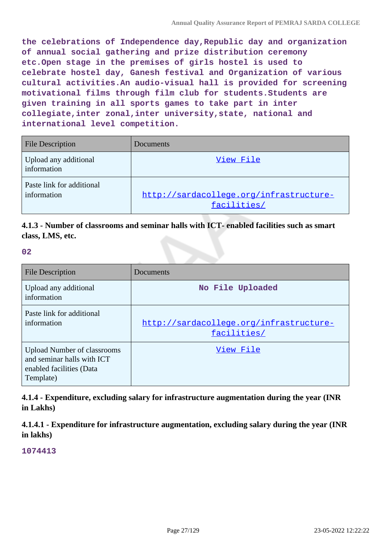**the celebrations of Independence day,Republic day and organization of annual social gathering and prize distribution ceremony etc.Open stage in the premises of girls hostel is used to celebrate hostel day, Ganesh festival and Organization of various cultural activities.An audio-visual hall is provided for screening motivational films through film club for students.Students are given training in all sports games to take part in inter collegiate,inter zonal,inter university,state, national and international level competition.**

| <b>File Description</b>                  | Documents                                              |
|------------------------------------------|--------------------------------------------------------|
| Upload any additional<br>information     | View File                                              |
| Paste link for additional<br>information | http://sardacollege.org/infrastructure-<br>facilities/ |

# **4.1.3 - Number of classrooms and seminar halls with ICT- enabled facilities such as smart class, LMS, etc.**

**02**

| <b>File Description</b>                                                                                   | Documents                                              |
|-----------------------------------------------------------------------------------------------------------|--------------------------------------------------------|
| Upload any additional<br>information                                                                      | No File Uploaded                                       |
| Paste link for additional<br>information                                                                  | http://sardacollege.org/infrastructure-<br>facilities/ |
| <b>Upload Number of classrooms</b><br>and seminar halls with ICT<br>enabled facilities (Data<br>Template) | View File                                              |

**4.1.4 - Expenditure, excluding salary for infrastructure augmentation during the year (INR in Lakhs)**

**4.1.4.1 - Expenditure for infrastructure augmentation, excluding salary during the year (INR in lakhs)**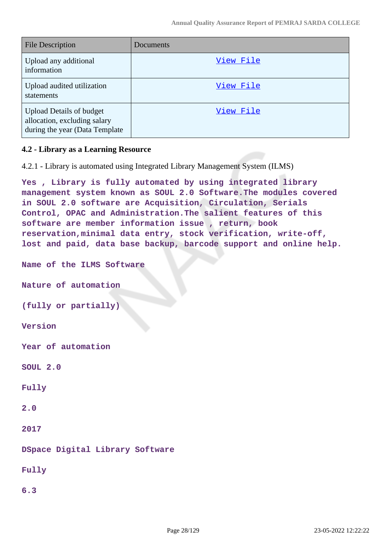| <b>File Description</b>                                                                           | Documents |
|---------------------------------------------------------------------------------------------------|-----------|
| Upload any additional<br>information                                                              | View File |
| Upload audited utilization<br>statements                                                          | View File |
| <b>Upload Details of budget</b><br>allocation, excluding salary<br>during the year (Data Template | View File |

### **4.2 - Library as a Learning Resource**

4.2.1 - Library is automated using Integrated Library Management System (ILMS)

**Yes , Library is fully automated by using integrated library management system known as SOUL 2.0 Software.The modules covered in SOUL 2.0 software are Acquisition, Circulation, Serials Control, OPAC and Administration.The salient features of this software are member information issue , return, book reservation,minimal data entry, stock verification, write-off, lost and paid, data base backup, barcode support and online help.**

**Name of the ILMS Software**

**Nature of automation**

**(fully or partially)**

**Version**

**Year of automation**

**SOUL 2.0**

**Fully**

**2.0**

**2017**

**DSpace Digital Library Software**

**Fully**

**6.3**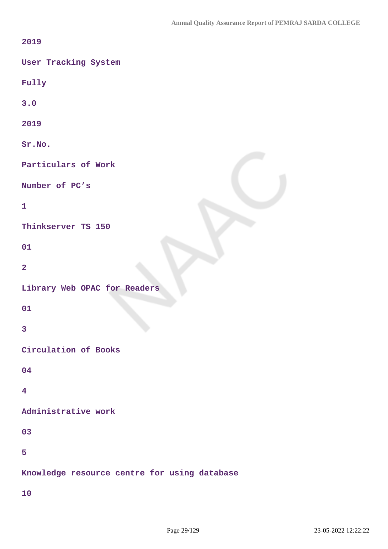| 2019                                         |
|----------------------------------------------|
| User Tracking System                         |
| Fully                                        |
| 3.0                                          |
| 2019                                         |
| Sr.NO.                                       |
| Particulars of Work                          |
| Number of PC's                               |
| $\mathbf{1}$                                 |
| Thinkserver TS 150                           |
| 01                                           |
| $\overline{\mathbf{2}}$                      |
| Library Web OPAC for Readers                 |
| 01                                           |
| $\overline{\mathbf{3}}$                      |
| Circulation of Books                         |
| 04                                           |
| 4                                            |
| Administrative work                          |
| 03                                           |
| 5                                            |
| Knowledge resource centre for using database |
| 10                                           |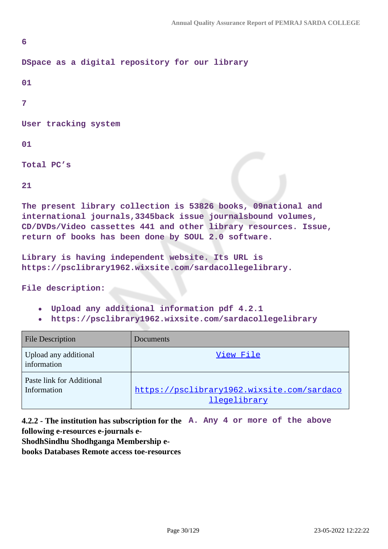```
6
DSpace as a digital repository for our library
01
7
User tracking system
01
```
**Total PC's**

**21**

**The present library collection is 53826 books, 09national and international journals,3345back issue journalsbound volumes, CD/DVDs/Video cassettes 441 and other library resources. Issue, return of books has been done by SOUL 2.0 software.**

```
Library is having independent website. Its URL is
https://psclibrary1962.wixsite.com/sardacollegelibrary.
```
**File description:**

- **Upload any additional information pdf 4.2.1**
- **https://psclibrary1962.wixsite.com/sardacollegelibrary**

| <b>File Description</b>                  | Documents                                                         |
|------------------------------------------|-------------------------------------------------------------------|
| Upload any additional<br>information     | View File                                                         |
| Paste link for Additional<br>Information | https://psclibrary1962.wixsite.com/sardaco<br><i>llegelibrary</i> |

**4.2.2 - The institution has subscription for the A. Any 4 or more of the above following e-resources e-journals e-**

**ShodhSindhu Shodhganga Membership e-**

**books Databases Remote access toe-resources**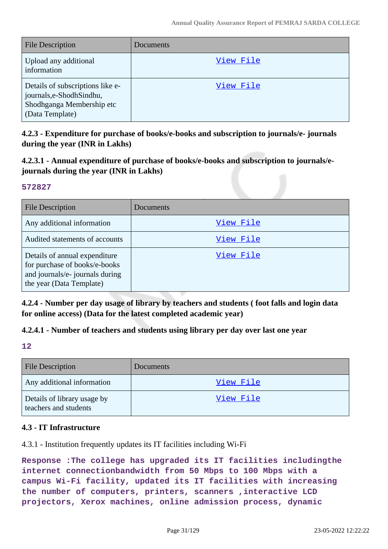| <b>File Description</b>                                                                                       | Documents |
|---------------------------------------------------------------------------------------------------------------|-----------|
| Upload any additional<br>information                                                                          | View File |
| Details of subscriptions like e-<br>journals, e-Shodh Sindhu,<br>Shodhganga Membership etc<br>(Data Template) | View File |

**4.2.3 - Expenditure for purchase of books/e-books and subscription to journals/e- journals during the year (INR in Lakhs)**

**4.2.3.1 - Annual expenditure of purchase of books/e-books and subscription to journals/ejournals during the year (INR in Lakhs)**

#### **572827**

| <b>File Description</b>                                                                                                       | Documents |
|-------------------------------------------------------------------------------------------------------------------------------|-----------|
| Any additional information                                                                                                    | View File |
| Audited statements of accounts                                                                                                | View File |
| Details of annual expenditure<br>for purchase of books/e-books<br>and journals/e- journals during<br>the year (Data Template) | View File |

**4.2.4 - Number per day usage of library by teachers and students ( foot falls and login data for online access) (Data for the latest completed academic year)**

# **4.2.4.1 - Number of teachers and students using library per day over last one year**

**12**

| <b>File Description</b>                              | Documents |
|------------------------------------------------------|-----------|
| Any additional information                           | View File |
| Details of library usage by<br>teachers and students | View File |

# **4.3 - IT Infrastructure**

4.3.1 - Institution frequently updates its IT facilities including Wi-Fi

**Response :The college has upgraded its IT facilities includingthe internet connectionbandwidth from 50 Mbps to 100 Mbps with a campus Wi-Fi facility, updated its IT facilities with increasing the number of computers, printers, scanners ,interactive LCD projectors, Xerox machines, online admission process, dynamic**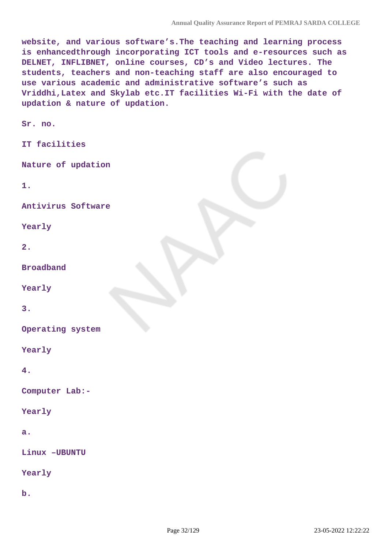**website, and various software's.The teaching and learning process is enhancedthrough incorporating ICT tools and e-resources such as DELNET, INFLIBNET, online courses, CD's and Video lectures. The students, teachers and non-teaching staff are also encouraged to use various academic and administrative software's such as Vriddhi,Latex and Skylab etc.IT facilities Wi-Fi with the date of updation & nature of updation.**

**Sr. no.**

**IT facilities**

**Nature of updation**

**1.**

**Antivirus Software**

**Yearly**

**2.**

**Broadband**

**Yearly**

**3.**

**Operating system**

**Yearly**

**4.**

**Computer Lab:-**

**Yearly**

**a.**

**Linux –UBUNTU**

**Yearly**

**b.**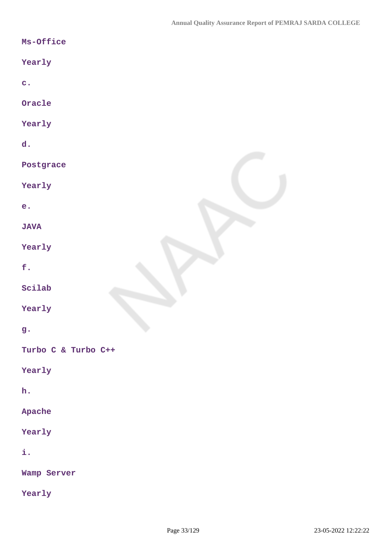| Ms-Office           |
|---------------------|
| Yearly              |
| $\mathbf{c}$ .      |
| Oracle              |
| Yearly              |
| d.                  |
| Postgrace           |
| Yearly              |
| e.                  |
| <b>JAVA</b>         |
| Yearly              |
| f.                  |
| Scilab              |
| Yearly              |
| g.                  |
| Turbo C & Turbo C++ |
| Yearly              |
| h.                  |
| Apache              |
| Yearly              |
| i.                  |
| Wamp Server         |
| Yearly              |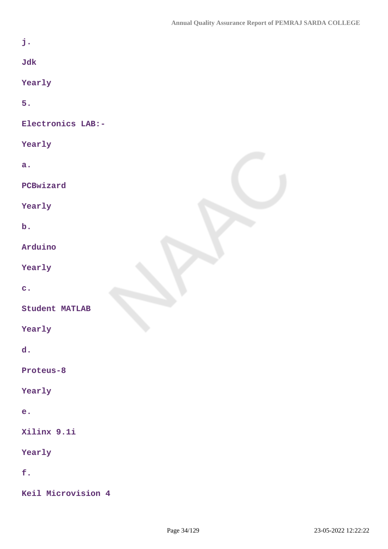| j.                    |  |
|-----------------------|--|
| Jdk                   |  |
| Yearly                |  |
| 5.                    |  |
| Electronics LAB:-     |  |
| Yearly                |  |
| a.                    |  |
| PCBwizard             |  |
| Yearly                |  |
| $\mathbf b$ .         |  |
| Arduino               |  |
| Yearly                |  |
| $\overline{c}$ .      |  |
| <b>Student MATLAB</b> |  |
| Yearly                |  |
| d.                    |  |
| Proteus-8             |  |
| Yearly                |  |
| e.                    |  |
| Xilinx 9.1i           |  |
| Yearly                |  |
| f.                    |  |
| Keil Microvision 4    |  |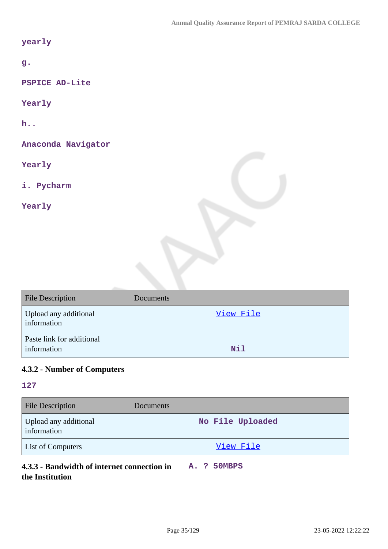### **yearly**

**g.**

**PSPICE AD-Lite**

**Yearly**

**h..** 

**Anaconda Navigator**

**Yearly**

**i. Pycharm** 

**Yearly**

| <b>File Description</b>                  | Documents |
|------------------------------------------|-----------|
| Upload any additional<br>information     | View File |
| Paste link for additional<br>information | Nil       |

# **4.3.2 - Number of Computers**

### **127**

| <b>File Description</b>              | Documents        |
|--------------------------------------|------------------|
| Upload any additional<br>information | No File Uploaded |
| <b>List of Computers</b>             | View File        |

# **4.3.3 - Bandwidth of internet connection in A. ? 50MBPS the Institution**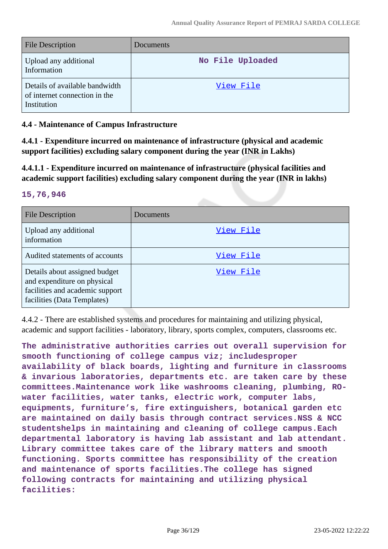| <b>File Description</b>                                                        | <b>Documents</b> |
|--------------------------------------------------------------------------------|------------------|
| Upload any additional<br>Information                                           | No File Uploaded |
| Details of available bandwidth<br>of internet connection in the<br>Institution | View File        |

# **4.4 - Maintenance of Campus Infrastructure**

**4.4.1 - Expenditure incurred on maintenance of infrastructure (physical and academic support facilities) excluding salary component during the year (INR in Lakhs)**

**4.4.1.1 - Expenditure incurred on maintenance of infrastructure (physical facilities and academic support facilities) excluding salary component during the year (INR in lakhs)**

### **15,76,946**

| <b>File Description</b>                                                                                                        | Documents |
|--------------------------------------------------------------------------------------------------------------------------------|-----------|
| Upload any additional<br>information                                                                                           | View File |
| Audited statements of accounts                                                                                                 | View File |
| Details about assigned budget<br>and expenditure on physical<br>facilities and academic support<br>facilities (Data Templates) | View File |

4.4.2 - There are established systems and procedures for maintaining and utilizing physical, academic and support facilities - laboratory, library, sports complex, computers, classrooms etc.

**The administrative authorities carries out overall supervision for smooth functioning of college campus viz; includesproper availability of black boards, lighting and furniture in classrooms & invarious laboratories, departments etc. are taken care by these committees.Maintenance work like washrooms cleaning, plumbing, ROwater facilities, water tanks, electric work, computer labs, equipments, furniture's, fire extinguishers, botanical garden etc are maintained on daily basis through contract services.NSS & NCC studentshelps in maintaining and cleaning of college campus.Each departmental laboratory is having lab assistant and lab attendant. Library committee takes care of the library matters and smooth functioning. Sports committee has responsibility of the creation and maintenance of sports facilities.The college has signed following contracts for maintaining and utilizing physical facilities:**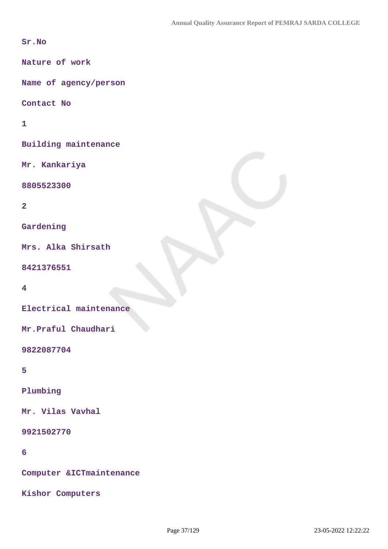**Sr.No**

**Nature of work**

**Name of agency/person**

**Contact No**

**1**

**Building maintenance**

**Mr. Kankariya**

**8805523300**

**2**

**Gardening**

**Mrs. Alka Shirsath**

**8421376551**

**4**

**Electrical maintenance**

**Mr.Praful Chaudhari**

**9822087704**

**5**

**Plumbing**

**Mr. Vilas Vavhal**

**9921502770**

**6**

**Computer &ICTmaintenance**

**Kishor Computers**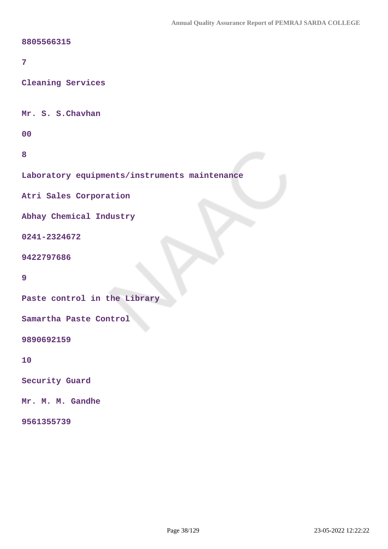### **8805566315**

### **7**

**Cleaning Services** 

**Mr. S. S.Chavhan**

**00**

**8**

**Laboratory equipments/instruments maintenance**

**Atri Sales Corporation**

**Abhay Chemical Industry**

**0241-2324672**

**9422797686**

#### **9**

**Paste control in the Library**

**Samartha Paste Control**

**9890692159**

**10**

**Security Guard**

**Mr. M. M. Gandhe**

**9561355739**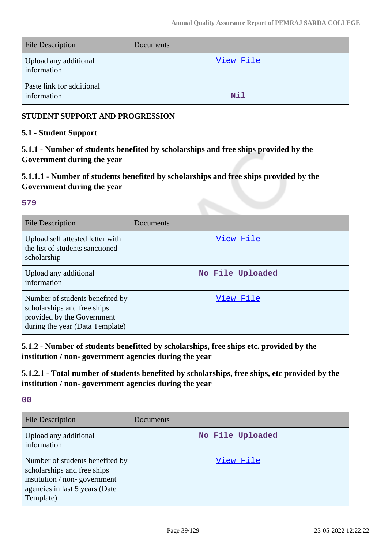| <b>File Description</b>                  | Documents |
|------------------------------------------|-----------|
| Upload any additional<br>information     | View File |
| Paste link for additional<br>information | Nil       |

## **STUDENT SUPPORT AND PROGRESSION**

## **5.1 - Student Support**

**5.1.1 - Number of students benefited by scholarships and free ships provided by the Government during the year**

# **5.1.1.1 - Number of students benefited by scholarships and free ships provided by the Government during the year**

### **579**

| <b>File Description</b>                                                                                                         | Documents        |
|---------------------------------------------------------------------------------------------------------------------------------|------------------|
| Upload self attested letter with<br>the list of students sanctioned<br>scholarship                                              | View File        |
| Upload any additional<br>information                                                                                            | No File Uploaded |
| Number of students benefited by<br>scholarships and free ships<br>provided by the Government<br>during the year (Data Template) | View File        |

**5.1.2 - Number of students benefitted by scholarships, free ships etc. provided by the institution / non- government agencies during the year**

**5.1.2.1 - Total number of students benefited by scholarships, free ships, etc provided by the institution / non- government agencies during the year**

**00**

| <b>File Description</b>                                                                                                                       | Documents        |
|-----------------------------------------------------------------------------------------------------------------------------------------------|------------------|
| Upload any additional<br>information                                                                                                          | No File Uploaded |
| Number of students benefited by<br>scholarships and free ships<br>institution / non-government<br>agencies in last 5 years (Date<br>Template) | View File        |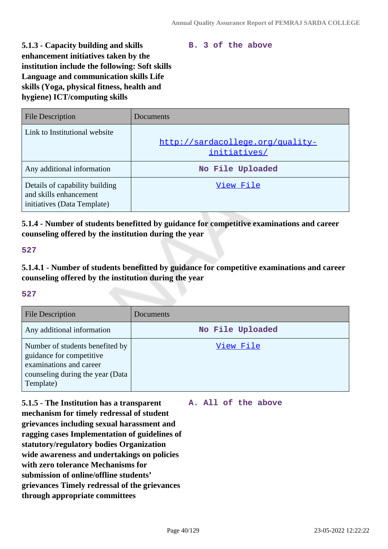### **B. 3 of the above**

**5.1.3 - Capacity building and skills enhancement initiatives taken by the institution include the following: Soft skills Language and communication skills Life skills (Yoga, physical fitness, health and hygiene) ICT/computing skills**

| <b>File Description</b>                                                                 | Documents                                        |
|-----------------------------------------------------------------------------------------|--------------------------------------------------|
| Link to Institutional website                                                           | http://sardacollege.org/quality-<br>initiatives/ |
| Any additional information                                                              | No File Uploaded                                 |
| Details of capability building<br>and skills enhancement<br>initiatives (Data Template) | View File                                        |

**5.1.4 - Number of students benefitted by guidance for competitive examinations and career counseling offered by the institution during the year**

### **527**

**5.1.4.1 - Number of students benefitted by guidance for competitive examinations and career counseling offered by the institution during the year**

#### **527**

| <b>File Description</b>                                                                                                                 | Documents        |
|-----------------------------------------------------------------------------------------------------------------------------------------|------------------|
| Any additional information                                                                                                              | No File Uploaded |
| Number of students benefited by<br>guidance for competitive<br>examinations and career<br>counseling during the year (Data<br>Template) | View File        |

**5.1.5 - The Institution has a transparent mechanism for timely redressal of student grievances including sexual harassment and ragging cases Implementation of guidelines of statutory/regulatory bodies Organization wide awareness and undertakings on policies with zero tolerance Mechanisms for submission of online/offline students' grievances Timely redressal of the grievances through appropriate committees**

### **A. All of the above**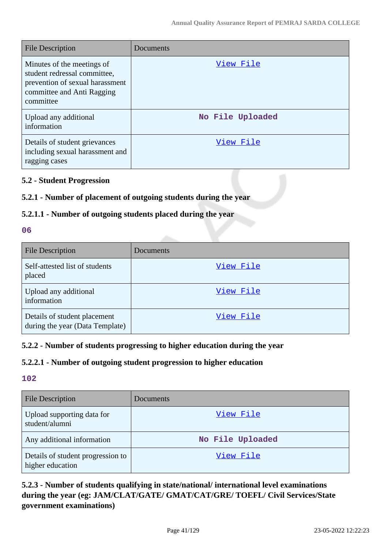| <b>File Description</b>                                                                                                                  | Documents        |
|------------------------------------------------------------------------------------------------------------------------------------------|------------------|
| Minutes of the meetings of<br>student redressal committee,<br>prevention of sexual harassment<br>committee and Anti Ragging<br>committee | View File        |
| Upload any additional<br>information                                                                                                     | No File Uploaded |
| Details of student grievances<br>including sexual harassment and<br>ragging cases                                                        | View File        |

## **5.2 - Student Progression**

## **5.2.1 - Number of placement of outgoing students during the year**

## **5.2.1.1 - Number of outgoing students placed during the year**

### **06**

| <b>File Description</b>                                         | Documents |
|-----------------------------------------------------------------|-----------|
| Self-attested list of students<br>placed                        | View File |
| Upload any additional<br>information                            | View File |
| Details of student placement<br>during the year (Data Template) | View File |

## **5.2.2 - Number of students progressing to higher education during the year**

# **5.2.2.1 - Number of outgoing student progression to higher education**

# **102**

| <b>File Description</b>                               | Documents        |
|-------------------------------------------------------|------------------|
| Upload supporting data for<br>student/alumni          | View File        |
| Any additional information                            | No File Uploaded |
| Details of student progression to<br>higher education | View File        |

# **5.2.3 - Number of students qualifying in state/national/ international level examinations during the year (eg: JAM/CLAT/GATE/ GMAT/CAT/GRE/ TOEFL/ Civil Services/State government examinations)**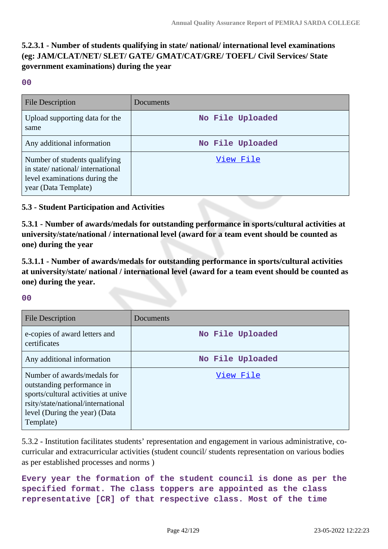# **5.2.3.1 - Number of students qualifying in state/ national/ international level examinations (eg: JAM/CLAT/NET/ SLET/ GATE/ GMAT/CAT/GRE/ TOEFL/ Civil Services/ State government examinations) during the year**

**00**

| <b>File Description</b>                                                                                                   | Documents        |
|---------------------------------------------------------------------------------------------------------------------------|------------------|
| Upload supporting data for the<br>same                                                                                    | No File Uploaded |
| Any additional information                                                                                                | No File Uploaded |
| Number of students qualifying<br>in state/national/international<br>level examinations during the<br>year (Data Template) | View File        |

## **5.3 - Student Participation and Activities**

**5.3.1 - Number of awards/medals for outstanding performance in sports/cultural activities at university/state/national / international level (award for a team event should be counted as one) during the year**

**5.3.1.1 - Number of awards/medals for outstanding performance in sports/cultural activities at university/state/ national / international level (award for a team event should be counted as one) during the year.**

### **00**

| <b>File Description</b>                                                                                                                                                              | Documents        |
|--------------------------------------------------------------------------------------------------------------------------------------------------------------------------------------|------------------|
| e-copies of award letters and<br>certificates                                                                                                                                        | No File Uploaded |
| Any additional information                                                                                                                                                           | No File Uploaded |
| Number of awards/medals for<br>outstanding performance in<br>sports/cultural activities at unive<br>rsity/state/national/international<br>level (During the year) (Data<br>Template) | View File        |

5.3.2 - Institution facilitates students' representation and engagement in various administrative, cocurricular and extracurricular activities (student council/ students representation on various bodies as per established processes and norms )

# **Every year the formation of the student council is done as per the specified format. The class toppers are appointed as the class representative [CR] of that respective class. Most of the time**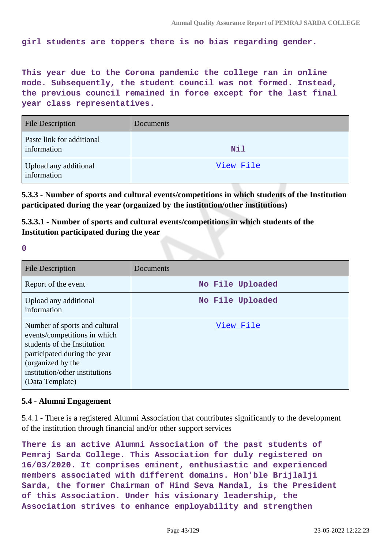**girl students are toppers there is no bias regarding gender.**

**This year due to the Corona pandemic the college ran in online mode. Subsequently, the student council was not formed. Instead, the previous council remained in force except for the last final year class representatives.**

| <b>File Description</b>                  | Documents  |
|------------------------------------------|------------|
| Paste link for additional<br>information | <b>Nil</b> |
| Upload any additional<br>information     | View File  |

**5.3.3 - Number of sports and cultural events/competitions in which students of the Institution participated during the year (organized by the institution/other institutions)**

**5.3.3.1 - Number of sports and cultural events/competitions in which students of the Institution participated during the year**

**0**

| <b>File Description</b>                                                                                                                                                                                | Documents        |
|--------------------------------------------------------------------------------------------------------------------------------------------------------------------------------------------------------|------------------|
| Report of the event                                                                                                                                                                                    | No File Uploaded |
| Upload any additional<br>information                                                                                                                                                                   | No File Uploaded |
| Number of sports and cultural<br>events/competitions in which<br>students of the Institution<br>participated during the year<br>(organized by the<br>institution/other institutions<br>(Data Template) | View File        |

### **5.4 - Alumni Engagement**

5.4.1 - There is a registered Alumni Association that contributes significantly to the development of the institution through financial and/or other support services

**There is an active Alumni Association of the past students of Pemraj Sarda College. This Association for duly registered on 16/03/2020. It comprises eminent, enthusiastic and experienced members associated with different domains. Hon'ble Brijlalji Sarda, the former Chairman of Hind Seva Mandal, is the President of this Association. Under his visionary leadership, the Association strives to enhance employability and strengthen**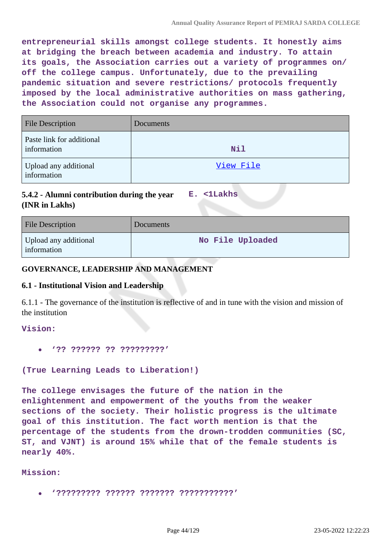**entrepreneurial skills amongst college students. It honestly aims at bridging the breach between academia and industry. To attain its goals, the Association carries out a variety of programmes on/ off the college campus. Unfortunately, due to the prevailing pandemic situation and severe restrictions/ protocols frequently imposed by the local administrative authorities on mass gathering, the Association could not organise any programmes.**

| <b>File Description</b>                  | Documents  |
|------------------------------------------|------------|
| Paste link for additional<br>information | <b>Nil</b> |
| Upload any additional<br>information     | View File  |

**5.4.2 - Alumni contribution during the year (INR in Lakhs) E. <1Lakhs**

| <b>File Description</b>              | Documents        |
|--------------------------------------|------------------|
| Upload any additional<br>information | No File Uploaded |

### **GOVERNANCE, LEADERSHIP AND MANAGEMENT**

### **6.1 - Institutional Vision and Leadership**

6.1.1 - The governance of the institution is reflective of and in tune with the vision and mission of the institution

#### **Vision:**

**'?? ?????? ?? ?????????'**

**(True Learning Leads to Liberation!)**

**The college envisages the future of the nation in the enlightenment and empowerment of the youths from the weaker sections of the society. Their holistic progress is the ultimate goal of this institution. The fact worth mention is that the percentage of the students from the drown-trodden communities (SC, ST, and VJNT) is around 15% while that of the female students is nearly 40%.**

**Mission:**

**'????????? ?????? ??????? ???????????'**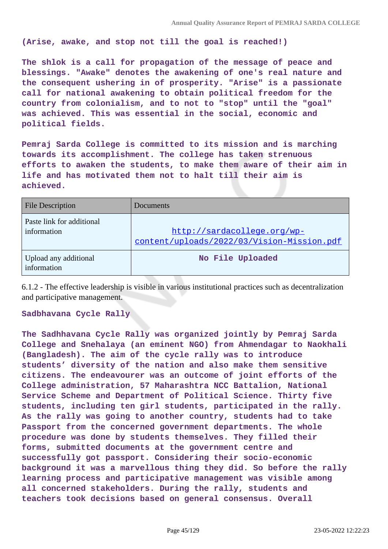**(Arise, awake, and stop not till the goal is reached!)**

**The shlok is a call for propagation of the message of peace and blessings. "Awake" denotes the awakening of one's real nature and the consequent ushering in of prosperity. "Arise" is a passionate call for national awakening to obtain political freedom for the country from colonialism, and to not to "stop" until the "goal" was achieved. This was essential in the social, economic and political fields.**

**Pemraj Sarda College is committed to its mission and is marching towards its accomplishment. The college has taken strenuous efforts to awaken the students, to make them aware of their aim in life and has motivated them not to halt till their aim is achieved.**

| <b>File Description</b>                  | Documents                                                                 |
|------------------------------------------|---------------------------------------------------------------------------|
| Paste link for additional<br>information | http://sardacollege.org/wp-<br>content/uploads/2022/03/Vision-Mission.pdf |
| Upload any additional<br>information     | No File Uploaded                                                          |

6.1.2 - The effective leadership is visible in various institutional practices such as decentralization and participative management.

#### **Sadbhavana Cycle Rally**

**The Sadhhavana Cycle Rally was organized jointly by Pemraj Sarda College and Snehalaya (an eminent NGO) from Ahmendagar to Naokhali (Bangladesh). The aim of the cycle rally was to introduce students' diversity of the nation and also make them sensitive citizens. The endeavourer was an outcome of joint efforts of the College administration, 57 Maharashtra NCC Battalion, National Service Scheme and Department of Political Science. Thirty five students, including ten girl students, participated in the rally. As the rally was going to another country, students had to take Passport from the concerned government departments. The whole procedure was done by students themselves. They filled their forms, submitted documents at the government centre and successfully got passport. Considering their socio-economic background it was a marvellous thing they did. So before the rally learning process and participative management was visible among all concerned stakeholders. During the rally, students and teachers took decisions based on general consensus. Overall**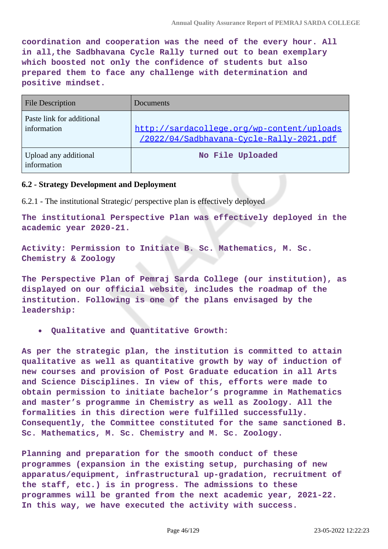**coordination and cooperation was the need of the every hour. All in all,the Sadbhavana Cycle Rally turned out to bean exemplary which boosted not only the confidence of students but also prepared them to face any challenge with determination and positive mindset.**

| <b>File Description</b>                  | Documents                                                                              |
|------------------------------------------|----------------------------------------------------------------------------------------|
| Paste link for additional<br>information | http://sardacollege.org/wp-content/uploads<br>/2022/04/Sadbhavana-Cycle-Rally-2021.pdf |
| Upload any additional<br>information     | No File Uploaded                                                                       |

### **6.2 - Strategy Development and Deployment**

6.2.1 - The institutional Strategic/ perspective plan is effectively deployed

**The institutional Perspective Plan was effectively deployed in the academic year 2020-21.**

**Activity: Permission to Initiate B. Sc. Mathematics, M. Sc. Chemistry & Zoology**

**The Perspective Plan of Pemraj Sarda College (our institution), as displayed on our official website, includes the roadmap of the institution. Following is one of the plans envisaged by the leadership:**

**Qualitative and Quantitative Growth:**

**As per the strategic plan, the institution is committed to attain qualitative as well as quantitative growth by way of induction of new courses and provision of Post Graduate education in all Arts and Science Disciplines. In view of this, efforts were made to obtain permission to initiate bachelor's programme in Mathematics and master's programme in Chemistry as well as Zoology. All the formalities in this direction were fulfilled successfully. Consequently, the Committee constituted for the same sanctioned B. Sc. Mathematics, M. Sc. Chemistry and M. Sc. Zoology.**

**Planning and preparation for the smooth conduct of these programmes (expansion in the existing setup, purchasing of new apparatus/equipment, infrastructural up-gradation, recruitment of the staff, etc.) is in progress. The admissions to these programmes will be granted from the next academic year, 2021-22. In this way, we have executed the activity with success.**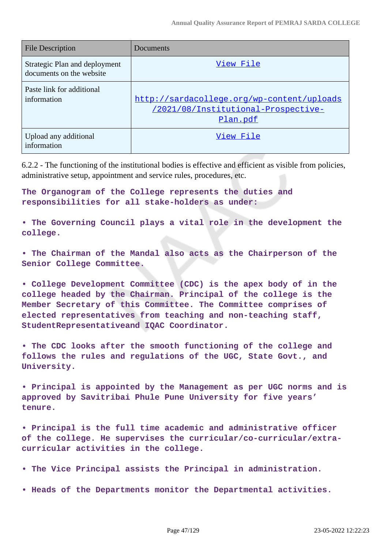| <b>File Description</b>                                   | Documents                                                                                            |
|-----------------------------------------------------------|------------------------------------------------------------------------------------------------------|
| Strategic Plan and deployment<br>documents on the website | View File                                                                                            |
| Paste link for additional<br>information                  | http://sardacollege.org/wp-content/uploads<br>/2021/08/Institutional-Prospective-<br><u>Plan.pdf</u> |
| Upload any additional<br>information                      | View File                                                                                            |

6.2.2 - The functioning of the institutional bodies is effective and efficient as visible from policies, administrative setup, appointment and service rules, procedures, etc.

**The Organogram of the College represents the duties and responsibilities for all stake-holders as under:**

**• The Governing Council plays a vital role in the development the college.**

**• The Chairman of the Mandal also acts as the Chairperson of the Senior College Committee.**

**• College Development Committee (CDC) is the apex body of in the college headed by the Chairman. Principal of the college is the Member Secretary of this Committee. The Committee comprises of elected representatives from teaching and non-teaching staff, StudentRepresentativeand IQAC Coordinator.**

**• The CDC looks after the smooth functioning of the college and follows the rules and regulations of the UGC, State Govt., and University.**

**• Principal is appointed by the Management as per UGC norms and is approved by Savitribai Phule Pune University for five years' tenure.**

**• Principal is the full time academic and administrative officer of the college. He supervises the curricular/co-curricular/extracurricular activities in the college.**

**• The Vice Principal assists the Principal in administration.**

**• Heads of the Departments monitor the Departmental activities.**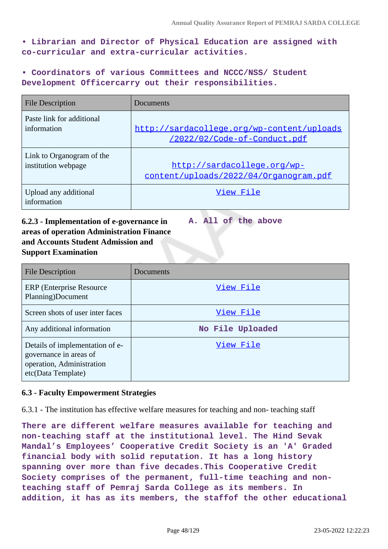**• Librarian and Director of Physical Education are assigned with co-curricular and extra-curricular activities.**

**• Coordinators of various Committees and NCCC/NSS/ Student Development Officercarry out their responsibilities.**

| <b>File Description</b>              | Documents                                  |
|--------------------------------------|--------------------------------------------|
| Paste link for additional            | http://sardacollege.org/wp-content/uploads |
| information                          | /2022/02/Code-of-Conduct.pdf               |
| Link to Organogram of the            | http://sardacollege.org/wp-                |
| institution webpage                  | content/uploads/2022/04/Organogram.pdf     |
| Upload any additional<br>information | View File                                  |

# **6.2.3 - Implementation of e-governance in areas of operation Administration Finance and Accounts Student Admission and Support Examination**

**A. All of the above**

| <b>File Description</b>                                                                                      | Documents        |
|--------------------------------------------------------------------------------------------------------------|------------------|
| <b>ERP</b> (Enterprise Resource)<br>Planning)Document                                                        | View File        |
| Screen shots of user inter faces                                                                             | View File        |
| Any additional information                                                                                   | No File Uploaded |
| Details of implementation of e-<br>governance in areas of<br>operation, Administration<br>etc(Data Template) | View File        |

# **6.3 - Faculty Empowerment Strategies**

6.3.1 - The institution has effective welfare measures for teaching and non- teaching staff

**There are different welfare measures available for teaching and non-teaching staff at the institutional level. The Hind Sevak Mandal's Employees' Cooperative Credit Society is an 'A' Graded financial body with solid reputation. It has a long history spanning over more than five decades.This Cooperative Credit Society comprises of the permanent, full-time teaching and nonteaching staff of Pemraj Sarda College as its members. In addition, it has as its members, the staffof the other educational**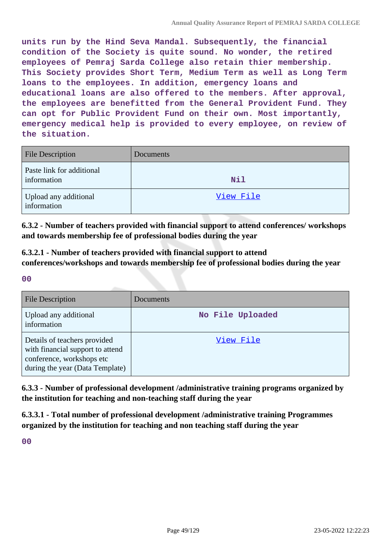**units run by the Hind Seva Mandal. Subsequently, the financial condition of the Society is quite sound. No wonder, the retired employees of Pemraj Sarda College also retain thier membership. This Society provides Short Term, Medium Term as well as Long Term loans to the employees. In addition, emergency loans and educational loans are also offered to the members. After approval, the employees are benefitted from the General Provident Fund. They can opt for Public Provident Fund on their own. Most importantly, emergency medical help is provided to every employee, on review of the situation.**

| <b>File Description</b>                  | Documents  |
|------------------------------------------|------------|
| Paste link for additional<br>information | <b>Nil</b> |
| Upload any additional<br>information     | View File  |

**6.3.2 - Number of teachers provided with financial support to attend conferences/ workshops and towards membership fee of professional bodies during the year**

**6.3.2.1 - Number of teachers provided with financial support to attend conferences/workshops and towards membership fee of professional bodies during the year**

**00**

| <b>File Description</b>                                                                                                          | Documents        |
|----------------------------------------------------------------------------------------------------------------------------------|------------------|
| Upload any additional<br>information                                                                                             | No File Uploaded |
| Details of teachers provided<br>with financial support to attend<br>conference, workshops etc<br>during the year (Data Template) | View File        |

**6.3.3 - Number of professional development /administrative training programs organized by the institution for teaching and non-teaching staff during the year**

**6.3.3.1 - Total number of professional development /administrative training Programmes organized by the institution for teaching and non teaching staff during the year**

**00**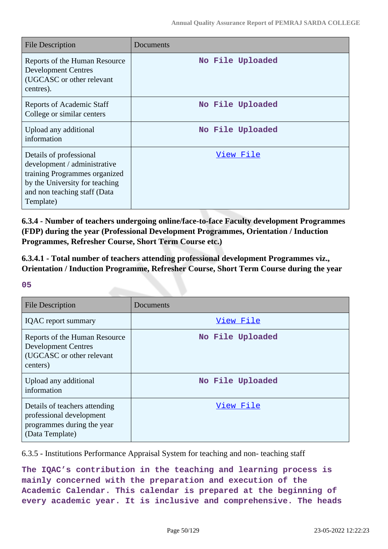| <b>File Description</b>                                                                                                                                                 | Documents        |
|-------------------------------------------------------------------------------------------------------------------------------------------------------------------------|------------------|
| Reports of the Human Resource<br><b>Development Centres</b><br>(UGCASC or other relevant<br>centres).                                                                   | No File Uploaded |
| <b>Reports of Academic Staff</b><br>College or similar centers                                                                                                          | No File Uploaded |
| Upload any additional<br>information                                                                                                                                    | No File Uploaded |
| Details of professional<br>development / administrative<br>training Programmes organized<br>by the University for teaching<br>and non teaching staff (Data<br>Template) | <u>View File</u> |

**6.3.4 - Number of teachers undergoing online/face-to-face Faculty development Programmes (FDP) during the year (Professional Development Programmes, Orientation / Induction Programmes, Refresher Course, Short Term Course etc.)**

**6.3.4.1 - Total number of teachers attending professional development Programmes viz., Orientation / Induction Programme, Refresher Course, Short Term Course during the year**

### **05**

| <b>File Description</b>                                                                                    | Documents        |
|------------------------------------------------------------------------------------------------------------|------------------|
| <b>IQAC</b> report summary                                                                                 | View File        |
| Reports of the Human Resource<br><b>Development Centres</b><br>(UGCASC or other relevant<br>centers)       | No File Uploaded |
| Upload any additional<br>information                                                                       | No File Uploaded |
| Details of teachers attending<br>professional development<br>programmes during the year<br>(Data Template) | <u>View File</u> |

6.3.5 - Institutions Performance Appraisal System for teaching and non- teaching staff

**The IQAC's contribution in the teaching and learning process is mainly concerned with the preparation and execution of the Academic Calendar. This calendar is prepared at the beginning of every academic year. It is inclusive and comprehensive. The heads**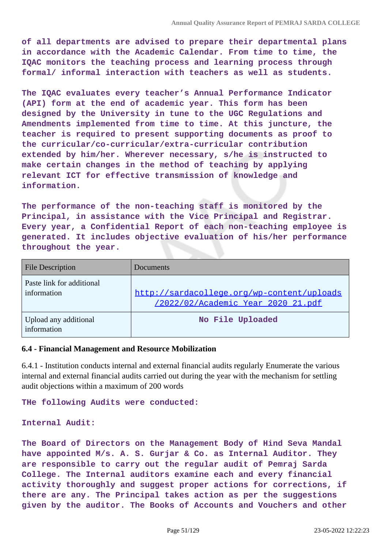**of all departments are advised to prepare their departmental plans in accordance with the Academic Calendar. From time to time, the IQAC monitors the teaching process and learning process through formal/ informal interaction with teachers as well as students.**

**The IQAC evaluates every teacher's Annual Performance Indicator (API) form at the end of academic year. This form has been designed by the University in tune to the UGC Regulations and Amendments implemented from time to time. At this juncture, the teacher is required to present supporting documents as proof to the curricular/co-curricular/extra-curricular contribution extended by him/her. Wherever necessary, s/he is instructed to make certain changes in the method of teaching by applying relevant ICT for effective transmission of knowledge and information.**

**The performance of the non-teaching staff is monitored by the Principal, in assistance with the Vice Principal and Registrar. Every year, a Confidential Report of each non-teaching employee is generated. It includes objective evaluation of his/her performance throughout the year.**

| <b>File Description</b>                  | Documents                                                                        |
|------------------------------------------|----------------------------------------------------------------------------------|
| Paste link for additional<br>information | http://sardacollege.org/wp-content/uploads<br>/2022/02/Academic Year 2020 21.pdf |
| Upload any additional<br>information     | No File Uploaded                                                                 |

### **6.4 - Financial Management and Resource Mobilization**

6.4.1 - Institution conducts internal and external financial audits regularly Enumerate the various internal and external financial audits carried out during the year with the mechanism for settling audit objections within a maximum of 200 words

#### **THe following Audits were conducted:**

#### **Internal Audit:**

**The Board of Directors on the Management Body of Hind Seva Mandal have appointed M/s. A. S. Gurjar & Co. as Internal Auditor. They are responsible to carry out the regular audit of Pemraj Sarda College. The Internal auditors examine each and every financial activity thoroughly and suggest proper actions for corrections, if there are any. The Principal takes action as per the suggestions given by the auditor. The Books of Accounts and Vouchers and other**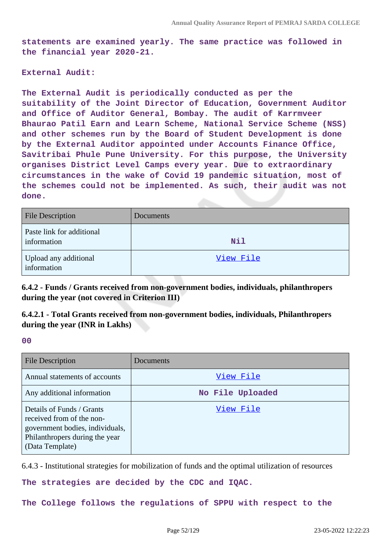**statements are examined yearly. The same practice was followed in the financial year 2020-21.**

#### **External Audit:**

**The External Audit is periodically conducted as per the suitability of the Joint Director of Education, Government Auditor and Office of Auditor General, Bombay. The audit of Karrmveer Bhaurao Patil Earn and Learn Scheme, National Service Scheme (NSS) and other schemes run by the Board of Student Development is done by the External Auditor appointed under Accounts Finance Office, Savitribai Phule Pune University. For this purpose, the University organises District Level Camps every year. Due to extraordinary circumstances in the wake of Covid 19 pandemic situation, most of the schemes could not be implemented. As such, their audit was not done.**

| <b>File Description</b>                  | Documents  |
|------------------------------------------|------------|
| Paste link for additional<br>information | <b>Nil</b> |
| Upload any additional<br>information     | View File  |

**6.4.2 - Funds / Grants received from non-government bodies, individuals, philanthropers during the year (not covered in Criterion III)**

**6.4.2.1 - Total Grants received from non-government bodies, individuals, Philanthropers during the year (INR in Lakhs)**

**00**

| <b>File Description</b>                                                                                                                        | Documents        |
|------------------------------------------------------------------------------------------------------------------------------------------------|------------------|
| Annual statements of accounts                                                                                                                  | View File        |
| Any additional information                                                                                                                     | No File Uploaded |
| Details of Funds / Grants<br>received from of the non-<br>government bodies, individuals,<br>Philanthropers during the year<br>(Data Template) | View File        |

6.4.3 - Institutional strategies for mobilization of funds and the optimal utilization of resources

**The strategies are decided by the CDC and IQAC.**

**The College follows the regulations of SPPU with respect to the**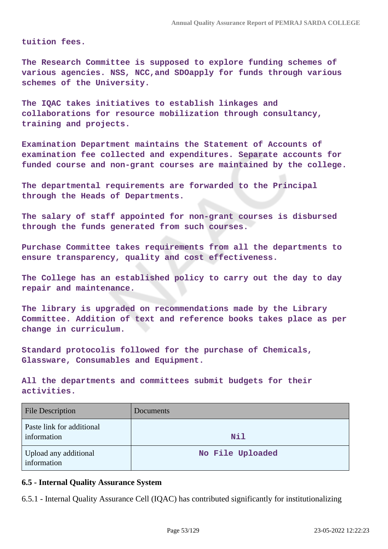**tuition fees.**

**The Research Committee is supposed to explore funding schemes of various agencies. NSS, NCC,and SDOapply for funds through various schemes of the University.**

**The IQAC takes initiatives to establish linkages and collaborations for resource mobilization through consultancy, training and projects.**

**Examination Department maintains the Statement of Accounts of examination fee collected and expenditures. Separate accounts for funded course and non-grant courses are maintained by the college.**

**The departmental requirements are forwarded to the Principal through the Heads of Departments.**

**The salary of staff appointed for non-grant courses is disbursed through the funds generated from such courses.**

**Purchase Committee takes requirements from all the departments to ensure transparency, quality and cost effectiveness.**

**The College has an established policy to carry out the day to day repair and maintenance.**

**The library is upgraded on recommendations made by the Library Committee. Addition of text and reference books takes place as per change in curriculum.**

**Standard protocolis followed for the purchase of Chemicals, Glassware, Consumables and Equipment.**

**All the departments and committees submit budgets for their activities.**

| <b>File Description</b>                  | Documents        |
|------------------------------------------|------------------|
| Paste link for additional<br>information | Nil              |
| Upload any additional<br>information     | No File Uploaded |

### **6.5 - Internal Quality Assurance System**

6.5.1 - Internal Quality Assurance Cell (IQAC) has contributed significantly for institutionalizing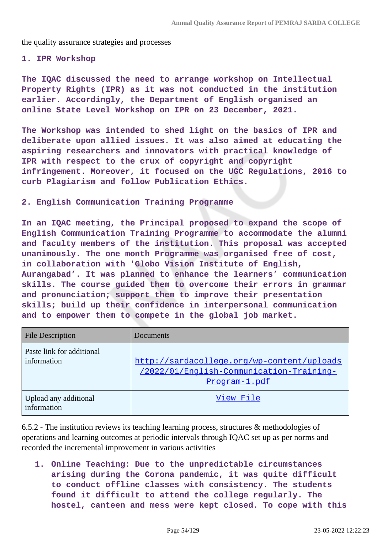the quality assurance strategies and processes

#### **1. IPR Workshop**

**The IQAC discussed the need to arrange workshop on Intellectual Property Rights (IPR) as it was not conducted in the institution earlier. Accordingly, the Department of English organised an online State Level Workshop on IPR on 23 December, 2021.**

**The Workshop was intended to shed light on the basics of IPR and deliberate upon allied issues. It was also aimed at educating the aspiring researchers and innovators with practical knowledge of IPR with respect to the crux of copyright and copyright infringement. Moreover, it focused on the UGC Regulations, 2016 to curb Plagiarism and follow Publication Ethics.**

#### **2. English Communication Training Programme**

**In an IQAC meeting, the Principal proposed to expand the scope of English Communication Training Programme to accommodate the alumni and faculty members of the institution. This proposal was accepted unanimously. The one month Programme was organised free of cost, in collaboration with 'Globo Vision Institute of English, Aurangabad'. It was planned to enhance the learners' communication skills. The course guided them to overcome their errors in grammar and pronunciation; support them to improve their presentation skills; build up their confidence in interpersonal communication and to empower them to compete in the global job market.**

| <b>File Description</b>                  | Documents                                                                                               |
|------------------------------------------|---------------------------------------------------------------------------------------------------------|
| Paste link for additional<br>information | http://sardacollege.org/wp-content/uploads<br>/2022/01/English-Communication-Training-<br>Program-1.pdf |
| Upload any additional<br>information     | View File                                                                                               |

6.5.2 - The institution reviews its teaching learning process, structures & methodologies of operations and learning outcomes at periodic intervals through IQAC set up as per norms and recorded the incremental improvement in various activities

**1. Online Teaching: Due to the unpredictable circumstances arising during the Corona pandemic, it was quite difficult to conduct offline classes with consistency. The students found it difficult to attend the college regularly. The hostel, canteen and mess were kept closed. To cope with this**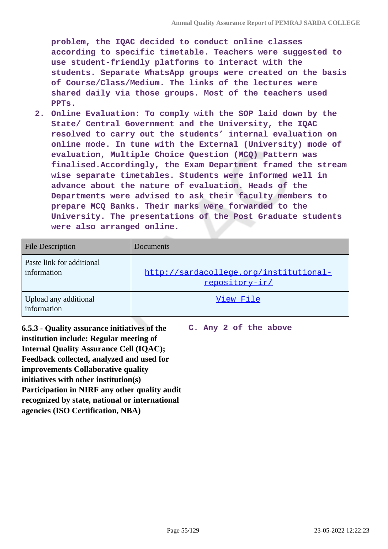**problem, the IQAC decided to conduct online classes according to specific timetable. Teachers were suggested to use student-friendly platforms to interact with the students. Separate WhatsApp groups were created on the basis of Course/Class/Medium. The links of the lectures were shared daily via those groups. Most of the teachers used PPTs.**

**2. Online Evaluation: To comply with the SOP laid down by the State/ Central Government and the University, the IQAC resolved to carry out the students' internal evaluation on online mode. In tune with the External (University) mode of evaluation, Multiple Choice Question (MCQ) Pattern was finalised.Accordingly, the Exam Department framed the stream wise separate timetables. Students were informed well in advance about the nature of evaluation. Heads of the Departments were advised to ask their faculty members to prepare MCQ Banks. Their marks were forwarded to the University. The presentations of the Post Graduate students were also arranged online.**

| <b>File Description</b>                  | Documents                                                |
|------------------------------------------|----------------------------------------------------------|
| Paste link for additional<br>information | http://sardacollege.org/institutional-<br>repository-ir/ |
| Upload any additional<br>information     | View File                                                |

**6.5.3 - Quality assurance initiatives of the institution include: Regular meeting of Internal Quality Assurance Cell (IQAC); Feedback collected, analyzed and used for improvements Collaborative quality initiatives with other institution(s) Participation in NIRF any other quality audit recognized by state, national or international agencies (ISO Certification, NBA)**

**C. Any 2 of the above**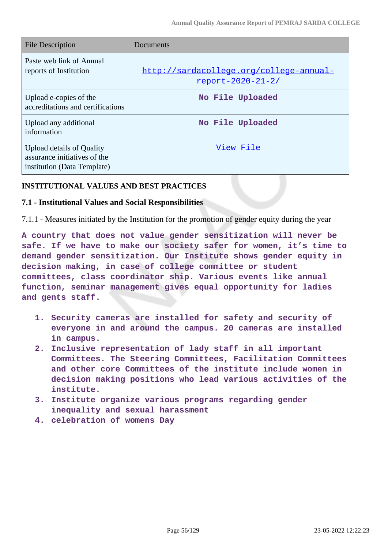| File Description                                                                                | Documents                                                           |
|-------------------------------------------------------------------------------------------------|---------------------------------------------------------------------|
| Paste web link of Annual<br>reports of Institution                                              | http://sardacollege.org/college-annual-<br><u>report-2020-21-2/</u> |
| Upload e-copies of the<br>accreditations and certifications                                     | No File Uploaded                                                    |
| Upload any additional<br>information                                                            | No File Uploaded                                                    |
| <b>Upload details of Quality</b><br>assurance initiatives of the<br>institution (Data Template) | View File                                                           |

## **INSTITUTIONAL VALUES AND BEST PRACTICES**

### **7.1 - Institutional Values and Social Responsibilities**

7.1.1 - Measures initiated by the Institution for the promotion of gender equity during the year

**A country that does not value gender sensitization will never be safe. If we have to make our society safer for women, it's time to demand gender sensitization. Our Institute shows gender equity in decision making, in case of college committee or student committees, class coordinator ship. Various events like annual function, seminar management gives equal opportunity for ladies and gents staff.**

- **1. Security cameras are installed for safety and security of everyone in and around the campus. 20 cameras are installed in campus.**
- **2. Inclusive representation of lady staff in all important Committees. The Steering Committees, Facilitation Committees and other core Committees of the institute include women in decision making positions who lead various activities of the institute.**
- **3. Institute organize various programs regarding gender inequality and sexual harassment**
- **4. celebration of womens Day**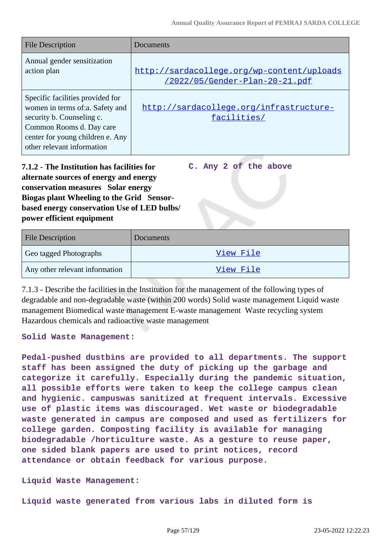| <b>File Description</b>                                                                                                                                                                        | Documents                                                                    |
|------------------------------------------------------------------------------------------------------------------------------------------------------------------------------------------------|------------------------------------------------------------------------------|
| Annual gender sensitization<br>action plan                                                                                                                                                     | http://sardacollege.org/wp-content/uploads<br>/2022/05/Gender-Plan-20-21.pdf |
| Specific facilities provided for<br>women in terms of:a. Safety and<br>security b. Counseling c.<br>Common Rooms d. Day care<br>center for young children e. Any<br>other relevant information | http://sardacollege.org/infrastructure-<br>facilities/                       |

**7.1.2 - The Institution has facilities for alternate sources of energy and energy conservation measures Solar energy Biogas plant Wheeling to the Grid Sensorbased energy conservation Use of LED bulbs/ power efficient equipment C. Any 2 of the above**

| <b>File Description</b>        | Documents |
|--------------------------------|-----------|
| Geo tagged Photographs         | View File |
| Any other relevant information | View File |

7.1.3 - Describe the facilities in the Institution for the management of the following types of degradable and non-degradable waste (within 200 words) Solid waste management Liquid waste management Biomedical waste management E-waste management Waste recycling system Hazardous chemicals and radioactive waste management

#### **Solid Waste Management:**

**Pedal-pushed dustbins are provided to all departments. The support staff has been assigned the duty of picking up the garbage and categorize it carefully. Especially during the pandemic situation, all possible efforts were taken to keep the college campus clean and hygienic. campuswas sanitized at frequent intervals. Excessive use of plastic items was discouraged. Wet waste or biodegradable waste generated in campus are composed and used as fertilizers for college garden. Composting facility is available for managing biodegradable /horticulture waste. As a gesture to reuse paper, one sided blank papers are used to print notices, record attendance or obtain feedback for various purpose.**

### **Liquid Waste Management:**

**Liquid waste generated from various labs in diluted form is**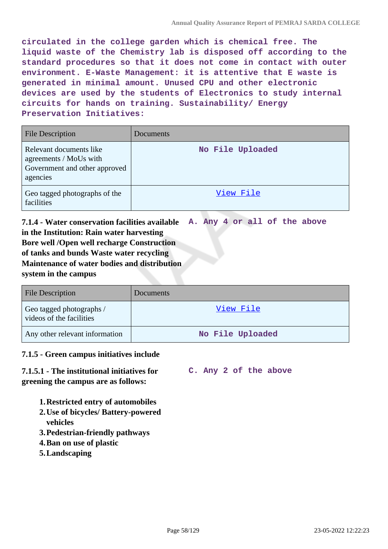**circulated in the college garden which is chemical free. The liquid waste of the Chemistry lab is disposed off according to the standard procedures so that it does not come in contact with outer environment. E-Waste Management: it is attentive that E waste is generated in minimal amount. Unused CPU and other electronic devices are used by the students of Electronics to study internal circuits for hands on training. Sustainability/ Energy Preservation Initiatives:**

| <b>File Description</b>                                                                        | Documents        |
|------------------------------------------------------------------------------------------------|------------------|
| Relevant documents like<br>agreements / MoUs with<br>Government and other approved<br>agencies | No File Uploaded |
| Geo tagged photographs of the<br>facilities                                                    | View File        |

**7.1.4 - Water conservation facilities available in the Institution: Rain water harvesting Bore well /Open well recharge Construction of tanks and bunds Waste water recycling Maintenance of water bodies and distribution system in the campus A. Any 4 or all of the above**

| <b>File Description</b>                              | Documents        |
|------------------------------------------------------|------------------|
| Geo tagged photographs /<br>videos of the facilities | View File        |
| Any other relevant information                       | No File Uploaded |

## **7.1.5 - Green campus initiatives include**

**7.1.5.1 - The institutional initiatives for greening the campus are as follows:**

**C. Any 2 of the above**

**1.Restricted entry of automobiles** 

- **2.Use of bicycles/ Battery-powered vehicles**
- **3.Pedestrian-friendly pathways**
- **4.Ban on use of plastic**
- **5.Landscaping**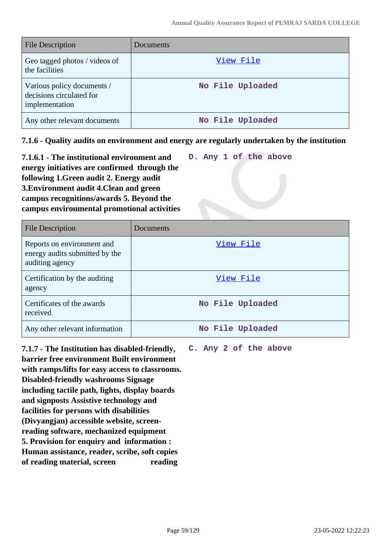| <b>File Description</b>                                                  | Documents        |
|--------------------------------------------------------------------------|------------------|
| Geo tagged photos / videos of<br>the facilities                          | View File        |
| Various policy documents /<br>decisions circulated for<br>implementation | No File Uploaded |
| Any other relevant documents                                             | No File Uploaded |

**7.1.6 - Quality audits on environment and energy are regularly undertaken by the institution**

| 7.1.6.1 - The institutional environment and  |  |  | D. Any 1 of the above |
|----------------------------------------------|--|--|-----------------------|
| energy initiatives are confirmed through the |  |  |                       |
| following 1. Green audit 2. Energy audit     |  |  |                       |
| 3. Environment audit 4. Clean and green      |  |  |                       |
| campus recognitions/awards 5. Beyond the     |  |  |                       |
| campus environmental promotional activities  |  |  |                       |

| File Description                                                                | Documents        |
|---------------------------------------------------------------------------------|------------------|
| Reports on environment and<br>energy audits submitted by the<br>auditing agency | View File        |
| Certification by the auditing<br>agency                                         | View File        |
| Certificates of the awards<br>received                                          | No File Uploaded |
| Any other relevant information                                                  | No File Uploaded |

**7.1.7 - The Institution has disabled-friendly, barrier free environment Built environment with ramps/lifts for easy access to classrooms. Disabled-friendly washrooms Signage including tactile path, lights, display boards and signposts Assistive technology and facilities for persons with disabilities (Divyangjan) accessible website, screenreading software, mechanized equipment 5. Provision for enquiry and information : Human assistance, reader, scribe, soft copies of reading material, screen reading**

**C. Any 2 of the above**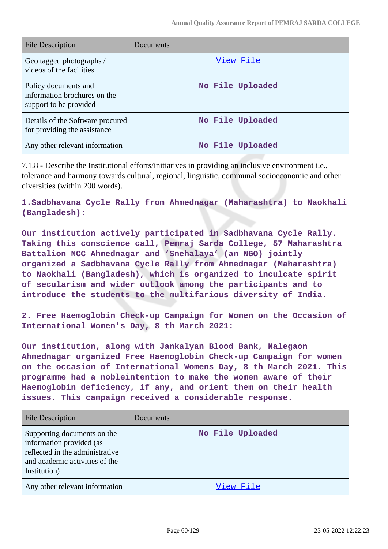| <b>File Description</b>                                                        | Documents        |
|--------------------------------------------------------------------------------|------------------|
| Geo tagged photographs /<br>videos of the facilities                           | View File        |
| Policy documents and<br>information brochures on the<br>support to be provided | No File Uploaded |
| Details of the Software procured<br>for providing the assistance               | No File Uploaded |
| Any other relevant information                                                 | No File Uploaded |

7.1.8 - Describe the Institutional efforts/initiatives in providing an inclusive environment i.e., tolerance and harmony towards cultural, regional, linguistic, communal socioeconomic and other diversities (within 200 words).

**1.Sadbhavana Cycle Rally from Ahmednagar (Maharashtra) to Naokhali (Bangladesh):**

**Our institution actively participated in Sadbhavana Cycle Rally. Taking this conscience call, Pemraj Sarda College, 57 Maharashtra Battalion NCC Ahmednagar and 'Snehalaya' (an NGO) jointly organized a Sadbhavana Cycle Rally from Ahmednagar (Maharashtra) to Naokhali (Bangladesh), which is organized to inculcate spirit of secularism and wider outlook among the participants and to introduce the students to the multifarious diversity of India.**

**2. Free Haemoglobin Check-up Campaign for Women on the Occasion of International Women's Day, 8 th March 2021:**

**Our institution, along with Jankalyan Blood Bank, Nalegaon Ahmednagar organized Free Haemoglobin Check-up Campaign for women on the occasion of International Womens Day, 8 th March 2021. This programme had a nobleintention to make the women aware of their Haemoglobin deficiency, if any, and orient them on their health issues. This campaign received a considerable response.**

| <b>File Description</b>                                                                                                                      | Documents        |
|----------------------------------------------------------------------------------------------------------------------------------------------|------------------|
| Supporting documents on the<br>information provided (as<br>reflected in the administrative<br>and academic activities of the<br>Institution) | No File Uploaded |
| Any other relevant information                                                                                                               | View File        |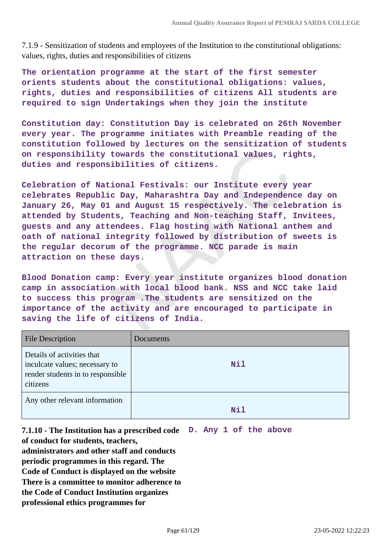7.1.9 - Sensitization of students and employees of the Institution to the constitutional obligations: values, rights, duties and responsibilities of citizens

**The orientation programme at the start of the first semester orients students about the constitutional obligations: values, rights, duties and responsibilities of citizens All students are required to sign Undertakings when they join the institute**

**Constitution day: Constitution Day is celebrated on 26th November every year. The programme initiates with Preamble reading of the constitution followed by lectures on the sensitization of students on responsibility towards the constitutional values, rights, duties and responsibilities of citizens.**

**Celebration of National Festivals: our Institute every year celebrates Republic Day, Maharashtra Day and Independence day on January 26, May 01 and August 15 respectively. The celebration is attended by Students, Teaching and Non-teaching Staff, Invitees, guests and any attendees. Flag hosting with National anthem and oath of national integrity followed by distribution of sweets is the regular decorum of the programme. NCC parade is main attraction on these days.**

**Blood Donation camp: Every year institute organizes blood donation camp in association with local blood bank. NSS and NCC take laid to success this program .The students are sensitized on the importance of the activity and are encouraged to participate in saving the life of citizens of India.**

| <b>File Description</b>                                                                                       | Documents  |
|---------------------------------------------------------------------------------------------------------------|------------|
| Details of activities that<br>inculcate values; necessary to<br>render students in to responsible<br>citizens | Nil        |
| Any other relevant information                                                                                | <b>Nil</b> |

**7.1.10 - The Institution has a prescribed code D. Any 1 of the above of conduct for students, teachers, administrators and other staff and conducts periodic programmes in this regard. The Code of Conduct is displayed on the website There is a committee to monitor adherence to the Code of Conduct Institution organizes professional ethics programmes for**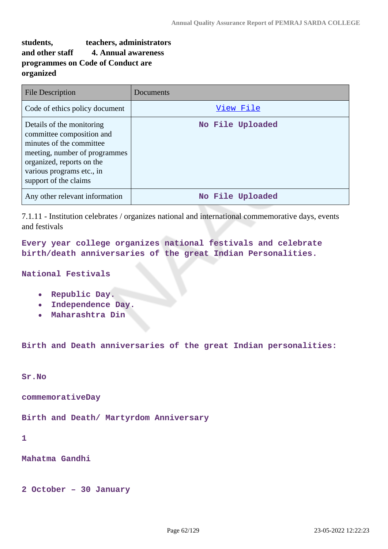# **students, teachers, administrators and other staff 4. Annual awareness programmes on Code of Conduct are organized**

| File Description                                                                                                                                                                                       | Documents        |
|--------------------------------------------------------------------------------------------------------------------------------------------------------------------------------------------------------|------------------|
| Code of ethics policy document                                                                                                                                                                         | View File        |
| Details of the monitoring<br>committee composition and<br>minutes of the committee<br>meeting, number of programmes<br>organized, reports on the<br>various programs etc., in<br>support of the claims | No File Uploaded |
| Any other relevant information                                                                                                                                                                         | No File Uploaded |

7.1.11 - Institution celebrates / organizes national and international commemorative days, events and festivals

**Every year college organizes national festivals and celebrate birth/death anniversaries of the great Indian Personalities.**

### **National Festivals**

- **Republic Day.**
- **Independence Day.**
- **Maharashtra Din**

**Birth and Death anniversaries of the great Indian personalities:**

**Sr.No**

**commemorativeDay**

**Birth and Death/ Martyrdom Anniversary**

**1**

#### **Mahatma Gandhi**

**2 October – 30 January**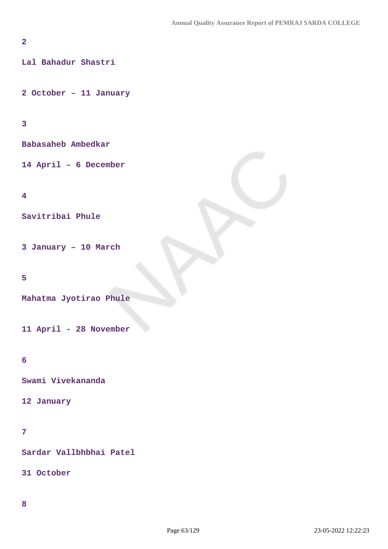## **2**

**Lal Bahadur Shastri**

**2 October – 11 January**

## **3**

**Babasaheb Ambedkar**

**14 April – 6 December**

### **4**

**Savitribai Phule**

**3 January – 10 March**

### **5**

**Mahatma Jyotirao Phule**

**11 April - 28 November**

## **6**

**Swami Vivekananda**

### **12 January**

## **7**

**Sardar Vallbhbhai Patel**

**31 October**

### **8**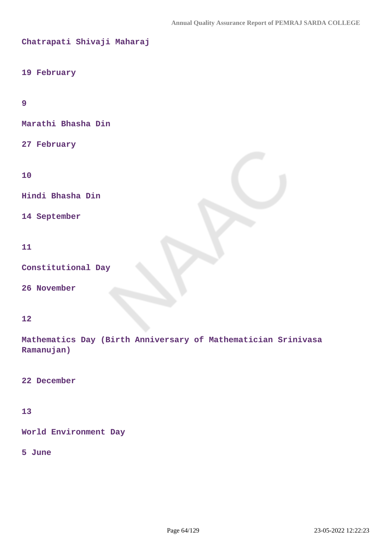```
Chatrapati Shivaji Maharaj
```
### **19 February**

**9**

**Marathi Bhasha Din**

**27 February**

**10**

**Hindi Bhasha Din**

**14 September**

### **11**

**Constitutional Day**

**26 November**

### **12**

**Mathematics Day (Birth Anniversary of Mathematician Srinivasa Ramanujan)**

**22 December**

## **13**

**World Environment Day**

### **5 June**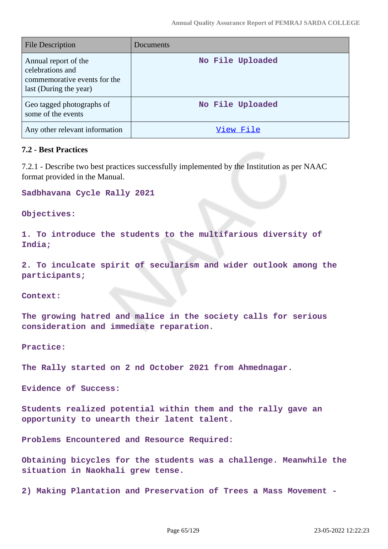| <b>File Description</b>                                                                            | Documents        |
|----------------------------------------------------------------------------------------------------|------------------|
| Annual report of the<br>celebrations and<br>commemorative events for the<br>last (During the year) | No File Uploaded |
| Geo tagged photographs of<br>some of the events                                                    | No File Uploaded |
| Any other relevant information                                                                     | View File        |

### **7.2 - Best Practices**

7.2.1 - Describe two best practices successfully implemented by the Institution as per NAAC format provided in the Manual.

**Sadbhavana Cycle Rally 2021**

**Objectives:**

**1. To introduce the students to the multifarious diversity of India;**

**2. To inculcate spirit of secularism and wider outlook among the participants;**

**Context:**

**The growing hatred and malice in the society calls for serious consideration and immediate reparation.**

**Practice:**

**The Rally started on 2 nd October 2021 from Ahmednagar.**

**Evidence of Success:** 

**Students realized potential within them and the rally gave an opportunity to unearth their latent talent.**

**Problems Encountered and Resource Required:**

**Obtaining bicycles for the students was a challenge. Meanwhile the situation in Naokhali grew tense.**

**2) Making Plantation and Preservation of Trees a Mass Movement -**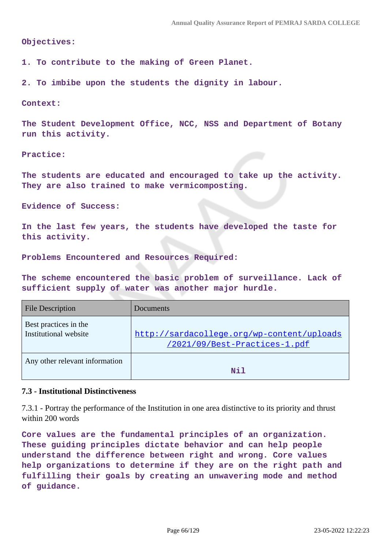#### **Objectives:**

**1. To contribute to the making of Green Planet.**

**2. To imbibe upon the students the dignity in labour.**

#### **Context:**

**The Student Development Office, NCC, NSS and Department of Botany run this activity.**

#### **Practice:**

**The students are educated and encouraged to take up the activity. They are also trained to make vermicomposting.**

**Evidence of Success:**

**In the last few years, the students have developed the taste for this activity.**

**Problems Encountered and Resources Required:**

**The scheme encountered the basic problem of surveillance. Lack of sufficient supply of water was another major hurdle.**

| <b>File Description</b>                        | Documents                                                                   |
|------------------------------------------------|-----------------------------------------------------------------------------|
| Best practices in the<br>Institutional website | http://sardacollege.org/wp-content/uploads<br>/2021/09/Best-Practices-1.pdf |
| Any other relevant information                 | Nil                                                                         |

#### **7.3 - Institutional Distinctiveness**

7.3.1 - Portray the performance of the Institution in one area distinctive to its priority and thrust within 200 words

**Core values are the fundamental principles of an organization. These guiding principles dictate behavior and can help people understand the difference between right and wrong. Core values help organizations to determine if they are on the right path and fulfilling their goals by creating an unwavering mode and method of guidance.**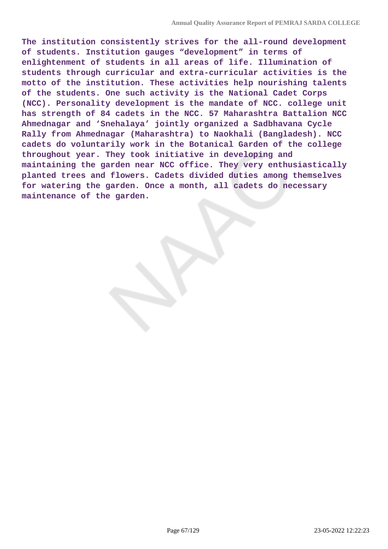**The institution consistently strives for the all-round development of students. Institution gauges "development" in terms of enlightenment of students in all areas of life. Illumination of students through curricular and extra-curricular activities is the motto of the institution. These activities help nourishing talents of the students. One such activity is the National Cadet Corps (NCC). Personality development is the mandate of NCC. college unit has strength of 84 cadets in the NCC. 57 Maharashtra Battalion NCC Ahmednagar and 'Snehalaya' jointly organized a Sadbhavana Cycle Rally from Ahmednagar (Maharashtra) to Naokhali (Bangladesh). NCC cadets do voluntarily work in the Botanical Garden of the college throughout year. They took initiative in developing and maintaining the garden near NCC office. They very enthusiastically planted trees and flowers. Cadets divided duties among themselves for watering the garden. Once a month, all cadets do necessary maintenance of the garden.**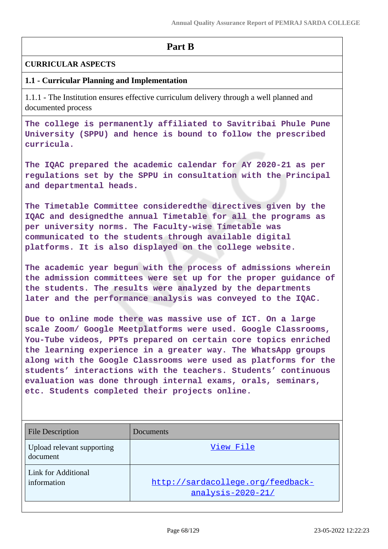# **Part B**

### **CURRICULAR ASPECTS**

## **1.1 - Curricular Planning and Implementation**

1.1.1 - The Institution ensures effective curriculum delivery through a well planned and documented process

**The college is permanently affiliated to Savitribai Phule Pune University (SPPU) and hence is bound to follow the prescribed curricula.**

**The IQAC prepared the academic calendar for AY 2020-21 as per regulations set by the SPPU in consultation with the Principal and departmental heads.**

**The Timetable Committee consideredthe directives given by the IQAC and designedthe annual Timetable for all the programs as per university norms. The Faculty-wise Timetable was communicated to the students through available digital platforms. It is also displayed on the college website.**

**The academic year begun with the process of admissions wherein the admission committees were set up for the proper guidance of the students. The results were analyzed by the departments later and the performance analysis was conveyed to the IQAC.**

**Due to online mode there was massive use of ICT. On a large scale Zoom/ Google Meetplatforms were used. Google Classrooms, You-Tube videos, PPTs prepared on certain core topics enriched the learning experience in a greater way. The WhatsApp groups along with the Google Classrooms were used as platforms for the students' interactions with the teachers. Students' continuous evaluation was done through internal exams, orals, seminars, etc. Students completed their projects online.**

| <b>File Description</b>                   | Documents                                              |
|-------------------------------------------|--------------------------------------------------------|
| Upload relevant supporting<br>document    | View File                                              |
| <b>Link for Additional</b><br>information | http://sardacollege.org/feedback-<br>analysis-2020-21/ |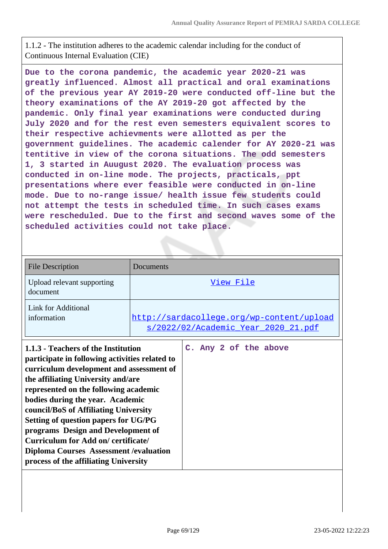1.1.2 - The institution adheres to the academic calendar including for the conduct of Continuous Internal Evaluation (CIE)

**Due to the corona pandemic, the academic year 2020-21 was greatly influenced. Almost all practical and oral examinations of the previous year AY 2019-20 were conducted off-line but the theory examinations of the AY 2019-20 got affected by the pandemic. Only final year examinations were conducted during July 2020 and for the rest even semesters equivalent scores to their respective achievments were allotted as per the government guidelines. The academic calender for AY 2020-21 was tentitive in view of the corona situations. The odd semesters 1, 3 started in Auugust 2020. The evaluation process was conducted in on-line mode. The projects, practicals, ppt presentations where ever feasible were conducted in on-line mode. Due to no-range issue/ health issue few students could not attempt the tests in scheduled time. In such cases exams were rescheduled. Due to the first and second waves some of the scheduled activities could not take place.** 

| <b>File Description</b>                                                                                                                                                                                                                                                                                                                                                                                                                                                                                      | Documents |                                                                                  |
|--------------------------------------------------------------------------------------------------------------------------------------------------------------------------------------------------------------------------------------------------------------------------------------------------------------------------------------------------------------------------------------------------------------------------------------------------------------------------------------------------------------|-----------|----------------------------------------------------------------------------------|
| Upload relevant supporting<br>document                                                                                                                                                                                                                                                                                                                                                                                                                                                                       |           | View File                                                                        |
| Link for Additional<br>information                                                                                                                                                                                                                                                                                                                                                                                                                                                                           |           | http://sardacollege.org/wp-content/upload<br>s/2022/02/Academic_Year_2020_21.pdf |
| 1.1.3 - Teachers of the Institution<br>participate in following activities related to<br>curriculum development and assessment of<br>the affiliating University and/are<br>represented on the following academic<br>bodies during the year. Academic<br>council/BoS of Affiliating University<br>Setting of question papers for UG/PG<br>programs Design and Development of<br>Curriculum for Add on/certificate/<br><b>Diploma Courses Assessment / evaluation</b><br>process of the affiliating University |           | C. Any 2 of the above                                                            |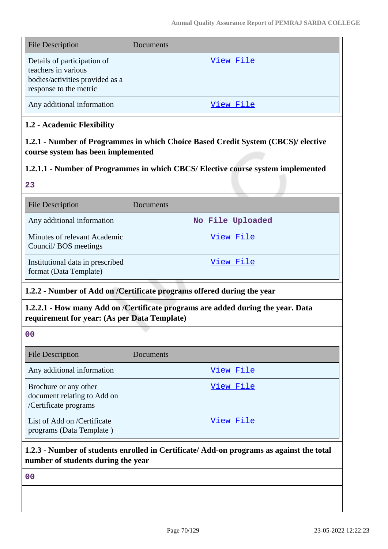| <b>File Description</b>                                                                                         | Documents |
|-----------------------------------------------------------------------------------------------------------------|-----------|
| Details of participation of<br>teachers in various<br>bodies/activities provided as a<br>response to the metric | View File |
| Any additional information                                                                                      | View File |

# **1.2 - Academic Flexibility**

**1.2.1 - Number of Programmes in which Choice Based Credit System (CBCS)/ elective course system has been implemented**

# **1.2.1.1 - Number of Programmes in which CBCS/ Elective course system implemented**

## **23**

| <b>File Description</b>                                    | Documents        |
|------------------------------------------------------------|------------------|
| Any additional information                                 | No File Uploaded |
| Minutes of relevant Academic<br>Council/BOS meetings       | View File        |
| Institutional data in prescribed<br>format (Data Template) | View File        |

# **1.2.2 - Number of Add on /Certificate programs offered during the year**

# **1.2.2.1 - How many Add on /Certificate programs are added during the year. Data requirement for year: (As per Data Template)**

## **00**

| <b>File Description</b>                                                       | Documents |
|-------------------------------------------------------------------------------|-----------|
| Any additional information                                                    | View File |
| Brochure or any other<br>document relating to Add on<br>/Certificate programs | View File |
| List of Add on /Certificate<br>programs (Data Template)                       | View File |

# **1.2.3 - Number of students enrolled in Certificate/ Add-on programs as against the total number of students during the year**

**00**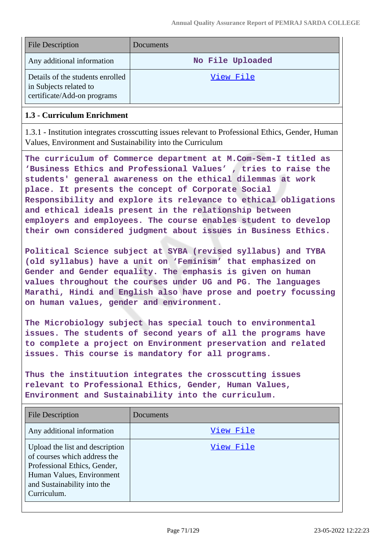| <b>File Description</b>                                                                   | Documents        |
|-------------------------------------------------------------------------------------------|------------------|
| Any additional information                                                                | No File Uploaded |
| Details of the students enrolled<br>in Subjects related to<br>certificate/Add-on programs | View File        |

## **1.3 - Curriculum Enrichment**

1.3.1 - Institution integrates crosscutting issues relevant to Professional Ethics, Gender, Human Values, Environment and Sustainability into the Curriculum

**The curriculum of Commerce department at M.Com-Sem-I titled as 'Business Ethics and Professional Values' , tries to raise the students' general awareness on the ethical dilemmas at work place. It presents the concept of Corporate Social Responsibility and explore its relevance to ethical obligations and ethical ideals present in the relationship between employers and employees. The course enables student to develop their own considered judgment about issues in Business Ethics.**

**Political Science subject at SYBA (revised syllabus) and TYBA (old syllabus) have a unit on 'Feminism' that emphasized on Gender and Gender equality. The emphasis is given on human values throughout the courses under UG and PG. The languages Marathi, Hindi and English also have prose and poetry focussing on human values, gender and environment.**

**The Microbiology subject has special touch to environmental issues. The students of second years of all the programs have to complete a project on Environment preservation and related issues. This course is mandatory for all programs.**

**Thus the instituution integrates the crosscutting issues relevant to Professional Ethics, Gender, Human Values, Environment and Sustainability into the curriculum.**

| <b>File Description</b>                                                                                                                                                    | Documents |
|----------------------------------------------------------------------------------------------------------------------------------------------------------------------------|-----------|
| Any additional information                                                                                                                                                 | View File |
| Upload the list and description<br>of courses which address the<br>Professional Ethics, Gender,<br>Human Values, Environment<br>and Sustainability into the<br>Curriculum. | View File |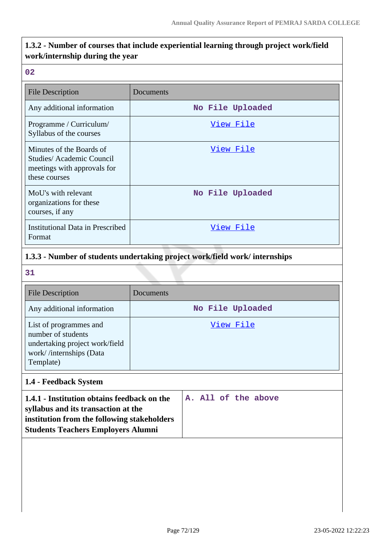# **1.3.2 - Number of courses that include experiential learning through project work/field work/internship during the year**

### **02**

| <b>File Description</b>                                                                               | Documents        |
|-------------------------------------------------------------------------------------------------------|------------------|
| Any additional information                                                                            | No File Uploaded |
| Programme / Curriculum/<br>Syllabus of the courses                                                    | View File        |
| Minutes of the Boards of<br>Studies/ Academic Council<br>meetings with approvals for<br>these courses | View File        |
| MoU's with relevant<br>organizations for these<br>courses, if any                                     | No File Uploaded |
| Institutional Data in Prescribed<br>Format                                                            | View File        |

# **1.3.3 - Number of students undertaking project work/field work/ internships**

**31**

| <b>File Description</b>                                                                                                | Documents        |
|------------------------------------------------------------------------------------------------------------------------|------------------|
| Any additional information                                                                                             | No File Uploaded |
| List of programmes and<br>number of students<br>undertaking project work/field<br>work//internships (Data<br>Template) | View File        |

# **1.4 - Feedback System**

| syllabus and its transaction at the<br>institution from the following stakeholders<br><b>Students Teachers Employers Alumni</b> | 1.4.1 - Institution obtains feedback on the<br>A. All of the above |
|---------------------------------------------------------------------------------------------------------------------------------|--------------------------------------------------------------------|
|---------------------------------------------------------------------------------------------------------------------------------|--------------------------------------------------------------------|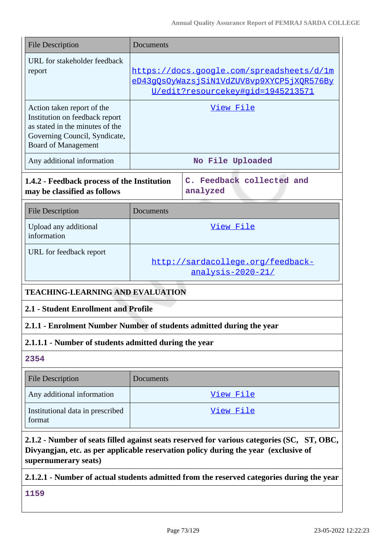| <b>File Description</b>                                                                                                                                                                                   | Documents |                                                                                                                             |
|-----------------------------------------------------------------------------------------------------------------------------------------------------------------------------------------------------------|-----------|-----------------------------------------------------------------------------------------------------------------------------|
| URL for stakeholder feedback<br>report                                                                                                                                                                    |           | https://docs.google.com/spreadsheets/d/1m<br>eD43gQsOyWazsjSiN1VdZUV8vp9XYCP5jXQR576By<br>U/edit?resourcekey#gid=1945213571 |
| Action taken report of the<br>Institution on feedback report<br>as stated in the minutes of the<br>Governing Council, Syndicate,<br><b>Board of Management</b>                                            |           | View File                                                                                                                   |
| Any additional information                                                                                                                                                                                |           | No File Uploaded                                                                                                            |
| 1.4.2 - Feedback process of the Institution<br>may be classified as follows                                                                                                                               |           | C. Feedback collected and<br>analyzed                                                                                       |
| <b>File Description</b>                                                                                                                                                                                   | Documents |                                                                                                                             |
| Upload any additional<br>information                                                                                                                                                                      |           | View File                                                                                                                   |
| URL for feedback report                                                                                                                                                                                   |           | http://sardacollege.org/feedback-<br>analysis-2020-21/                                                                      |
| <b>TEACHING-LEARNING AND EVALUATION</b>                                                                                                                                                                   |           |                                                                                                                             |
| 2.1 - Student Enrollment and Profile                                                                                                                                                                      |           |                                                                                                                             |
| 2.1.1 - Enrolment Number Number of students admitted during the year                                                                                                                                      |           |                                                                                                                             |
| 2.1.1.1 - Number of students admitted during the year                                                                                                                                                     |           |                                                                                                                             |
| 2354                                                                                                                                                                                                      |           |                                                                                                                             |
| <b>File Description</b>                                                                                                                                                                                   | Documents |                                                                                                                             |
| Any additional information                                                                                                                                                                                |           | View File                                                                                                                   |
| Institutional data in prescribed<br>format                                                                                                                                                                |           | View File                                                                                                                   |
| 2.1.2 - Number of seats filled against seats reserved for various categories (SC, ST, OBC,<br>Divyangjan, etc. as per applicable reservation policy during the year (exclusive of<br>supernumerary seats) |           |                                                                                                                             |

# **2.1.2.1 - Number of actual students admitted from the reserved categories during the year**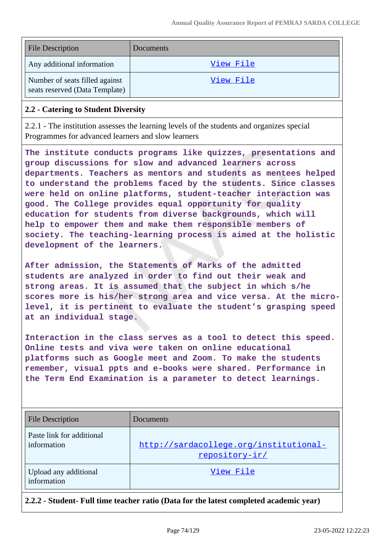| <b>File Description</b>                                          | Documents |
|------------------------------------------------------------------|-----------|
| Any additional information                                       | View File |
| Number of seats filled against<br>seats reserved (Data Template) | View File |

### **2.2 - Catering to Student Diversity**

2.2.1 - The institution assesses the learning levels of the students and organizes special Programmes for advanced learners and slow learners

**The institute conducts programs like quizzes, presentations and group discussions for slow and advanced learners across departments. Teachers as mentors and students as mentees helped to understand the problems faced by the students. Since classes were held on online platforms, student-teacher interaction was good. The College provides equal opportunity for quality education for students from diverse backgrounds, which will help to empower them and make them responsible members of society. The teaching-learning process is aimed at the holistic development of the learners.**

**After admission, the Statements of Marks of the admitted students are analyzed in order to find out their weak and strong areas. It is assumed that the subject in which s/he scores more is his/her strong area and vice versa. At the microlevel, it is pertinent to evaluate the student's grasping speed at an individual stage.**

**Interaction in the class serves as a tool to detect this speed. Online tests and viva were taken on online educational platforms such as Google meet and Zoom. To make the students remember, visual ppts and e-books were shared. Performance in the Term End Examination is a parameter to detect learnings.**

| <b>File Description</b>                  | Documents                                                |
|------------------------------------------|----------------------------------------------------------|
| Paste link for additional<br>information | http://sardacollege.org/institutional-<br>repository-ir/ |
| Upload any additional<br>information     | View File                                                |

**2.2.2 - Student- Full time teacher ratio (Data for the latest completed academic year)**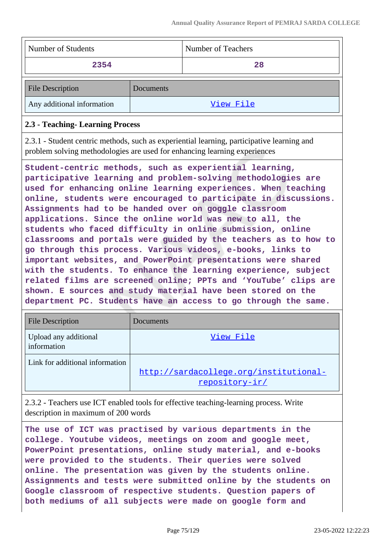| Number of Students                                                        |           | Number of Teachers                                                                                                                                                                                                                                                                                                                                                                                                                                                                                                                                                                                                                                                                                                                                                                                                                                                                                                    |
|---------------------------------------------------------------------------|-----------|-----------------------------------------------------------------------------------------------------------------------------------------------------------------------------------------------------------------------------------------------------------------------------------------------------------------------------------------------------------------------------------------------------------------------------------------------------------------------------------------------------------------------------------------------------------------------------------------------------------------------------------------------------------------------------------------------------------------------------------------------------------------------------------------------------------------------------------------------------------------------------------------------------------------------|
| 2354                                                                      |           | 28                                                                                                                                                                                                                                                                                                                                                                                                                                                                                                                                                                                                                                                                                                                                                                                                                                                                                                                    |
| <b>File Description</b>                                                   | Documents |                                                                                                                                                                                                                                                                                                                                                                                                                                                                                                                                                                                                                                                                                                                                                                                                                                                                                                                       |
| Any additional information                                                |           | View File                                                                                                                                                                                                                                                                                                                                                                                                                                                                                                                                                                                                                                                                                                                                                                                                                                                                                                             |
| 2.3 - Teaching- Learning Process                                          |           |                                                                                                                                                                                                                                                                                                                                                                                                                                                                                                                                                                                                                                                                                                                                                                                                                                                                                                                       |
| problem solving methodologies are used for enhancing learning experiences |           | 2.3.1 - Student centric methods, such as experiential learning, participative learning and                                                                                                                                                                                                                                                                                                                                                                                                                                                                                                                                                                                                                                                                                                                                                                                                                            |
|                                                                           |           | Student-centric methods, such as experiential learning,<br>participative learning and problem-solving methodologies are<br>used for enhancing online learning experiences. When teaching<br>online, students were encouraged to participate in discussions.<br>Assignments had to be handed over on goggle classroom<br>applications. Since the online world was new to all, the<br>students who faced difficulty in online submission, online<br>classrooms and portals were guided by the teachers as to how to<br>go through this process. Various videos, e-books, links to<br>important websites, and PowerPoint presentations were shared<br>with the students. To enhance the learning experience, subject<br>related films are screened online; PPTs and 'YouTube' clips are<br>shown. E sources and study material have been stored on the<br>department PC. Students have an access to go through the same. |

| <b>File Description</b>              | Documents                                                |
|--------------------------------------|----------------------------------------------------------|
| Upload any additional<br>information | View File                                                |
| Link for additional information      | http://sardacollege.org/institutional-<br>repository-ir/ |

2.3.2 - Teachers use ICT enabled tools for effective teaching-learning process. Write description in maximum of 200 words

**The use of ICT was practised by various departments in the college. Youtube videos, meetings on zoom and google meet, PowerPoint presentations, online study material, and e-books were provided to the students. Their queries were solved online. The presentation was given by the students online. Assignments and tests were submitted online by the students on Google classroom of respective students. Question papers of both mediums of all subjects were made on google form and**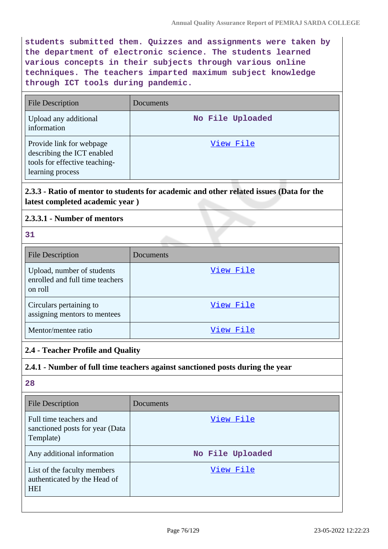**students submitted them. Quizzes and assignments were taken by the department of electronic science. The students learned various concepts in their subjects through various online techniques. The teachers imparted maximum subject knowledge through ICT tools during pandemic.**

| <b>File Description</b>                                                                                     | Documents        |
|-------------------------------------------------------------------------------------------------------------|------------------|
| Upload any additional<br>information                                                                        | No File Uploaded |
| Provide link for webpage<br>describing the ICT enabled<br>tools for effective teaching-<br>learning process | View File        |

# **2.3.3 - Ratio of mentor to students for academic and other related issues (Data for the latest completed academic year )**

# **2.3.3.1 - Number of mentors**

|                          | - 1 |
|--------------------------|-----|
| ×<br>×<br>۰,<br>v<br>. . |     |

| <b>File Description</b>                                                  | Documents |
|--------------------------------------------------------------------------|-----------|
| Upload, number of students<br>enrolled and full time teachers<br>on roll | View File |
| Circulars pertaining to<br>assigning mentors to mentees                  | View File |
| Mentor/mentee ratio                                                      | View File |

# **2.4 - Teacher Profile and Quality**

# **2.4.1 - Number of full time teachers against sanctioned posts during the year**

| <b>File Description</b>                                                   | Documents        |
|---------------------------------------------------------------------------|------------------|
| Full time teachers and<br>sanctioned posts for year (Data<br>Template)    | View File        |
| Any additional information                                                | No File Uploaded |
| List of the faculty members<br>authenticated by the Head of<br><b>HEI</b> | View File        |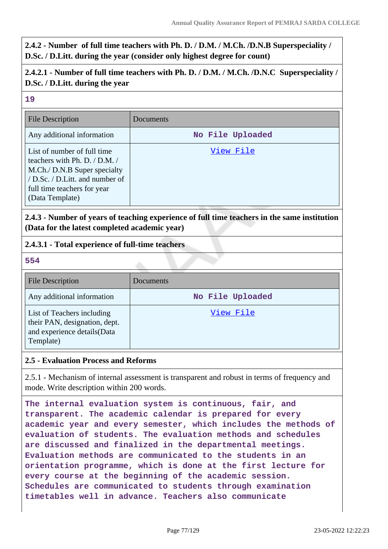**2.4.2 - Number of full time teachers with Ph. D. / D.M. / M.Ch. /D.N.B Superspeciality / D.Sc. / D.Litt. during the year (consider only highest degree for count)**

# **2.4.2.1 - Number of full time teachers with Ph. D. / D.M. / M.Ch. /D.N.C Superspeciality / D.Sc. / D.Litt. during the year**

#### **19**

| <b>File Description</b>                                                                                                                                                           | Documents        |
|-----------------------------------------------------------------------------------------------------------------------------------------------------------------------------------|------------------|
| Any additional information                                                                                                                                                        | No File Uploaded |
| List of number of full time<br>teachers with Ph. D. / D.M. /<br>M.Ch./ D.N.B Super specialty<br>/ D.Sc. / D.Litt. and number of<br>full time teachers for year<br>(Data Template) | View File        |

**2.4.3 - Number of years of teaching experience of full time teachers in the same institution (Data for the latest completed academic year)**

### **2.4.3.1 - Total experience of full-time teachers**

**554**

| <b>File Description</b>                                                                                  | Documents        |
|----------------------------------------------------------------------------------------------------------|------------------|
| Any additional information                                                                               | No File Uploaded |
| List of Teachers including<br>their PAN, designation, dept.<br>and experience details (Data<br>Template) | View File        |

### **2.5 - Evaluation Process and Reforms**

2.5.1 - Mechanism of internal assessment is transparent and robust in terms of frequency and mode. Write description within 200 words.

**The internal evaluation system is continuous, fair, and transparent. The academic calendar is prepared for every academic year and every semester, which includes the methods of evaluation of students. The evaluation methods and schedules are discussed and finalized in the departmental meetings. Evaluation methods are communicated to the students in an orientation programme, which is done at the first lecture for every course at the beginning of the academic session. Schedules are communicated to students through examination timetables well in advance. Teachers also communicate**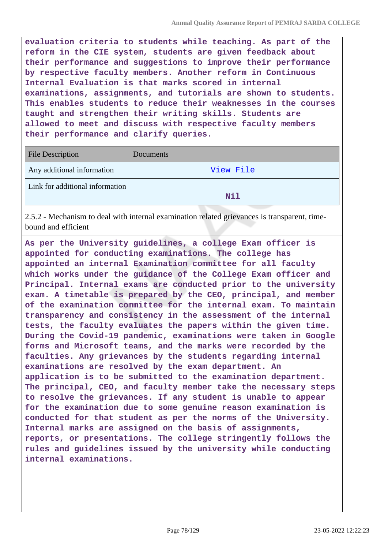**evaluation criteria to students while teaching. As part of the reform in the CIE system, students are given feedback about their performance and suggestions to improve their performance by respective faculty members. Another reform in Continuous Internal Evaluation is that marks scored in internal examinations, assignments, and tutorials are shown to students. This enables students to reduce their weaknesses in the courses taught and strengthen their writing skills. Students are allowed to meet and discuss with respective faculty members their performance and clarify queries.**

| <b>File Description</b>         | Documents |
|---------------------------------|-----------|
| Any additional information      | View File |
| Link for additional information | Nil       |

2.5.2 - Mechanism to deal with internal examination related grievances is transparent, timebound and efficient

**As per the University guidelines, a college Exam officer is appointed for conducting examinations. The college has appointed an internal Examination committee for all faculty which works under the guidance of the College Exam officer and Principal. Internal exams are conducted prior to the university exam. A timetable is prepared by the CEO, principal, and member of the examination committee for the internal exam. To maintain transparency and consistency in the assessment of the internal tests, the faculty evaluates the papers within the given time. During the Covid-19 pandemic, examinations were taken in Google forms and Microsoft teams, and the marks were recorded by the faculties. Any grievances by the students regarding internal examinations are resolved by the exam department. An application is to be submitted to the examination department. The principal, CEO, and faculty member take the necessary steps to resolve the grievances. If any student is unable to appear for the examination due to some genuine reason examination is conducted for that student as per the norms of the University. Internal marks are assigned on the basis of assignments, reports, or presentations. The college stringently follows the rules and guidelines issued by the university while conducting internal examinations.**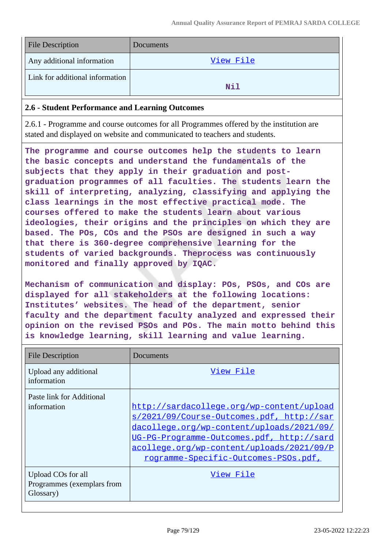| <b>File Description</b>         | Documents |
|---------------------------------|-----------|
| Any additional information      | View File |
| Link for additional information | Nil       |

#### **2.6 - Student Performance and Learning Outcomes**

2.6.1 - Programme and course outcomes for all Programmes offered by the institution are stated and displayed on website and communicated to teachers and students.

**The programme and course outcomes help the students to learn the basic concepts and understand the fundamentals of the subjects that they apply in their graduation and postgraduation programmes of all faculties. The students learn the skill of interpreting, analyzing, classifying and applying the class learnings in the most effective practical mode. The courses offered to make the students learn about various ideologies, their origins and the principles on which they are based. The POs, COs and the PSOs are designed in such a way that there is 360-degree comprehensive learning for the students of varied backgrounds. Theprocess was continuously monitored and finally approved by IQAC.**

**Mechanism of communication and display: POs, PSOs, and COs are displayed for all stakeholders at the following locations: Institutes' websites. The head of the department, senior faculty and the department faculty analyzed and expressed their opinion on the revised PSOs and POs. The main motto behind this is knowledge learning, skill learning and value learning.**

| <b>File Description</b>                                       | Documents                                                                                                                                                                                                                                                             |
|---------------------------------------------------------------|-----------------------------------------------------------------------------------------------------------------------------------------------------------------------------------------------------------------------------------------------------------------------|
| Upload any additional<br>information                          | View File                                                                                                                                                                                                                                                             |
| Paste link for Additional<br>information                      | http://sardacollege.org/wp-content/upload<br>s/2021/09/Course-Outcomes.pdf, http://sar<br>dacollege.org/wp-content/uploads/2021/09/<br>UG-PG-Programme-Outcomes.pdf, http://sard<br>acollege.org/wp-content/uploads/2021/09/P<br>rogramme-Specific-Outcomes-PSOs.pdf, |
| Upload COs for all<br>Programmes (exemplars from<br>Glossary) | View File                                                                                                                                                                                                                                                             |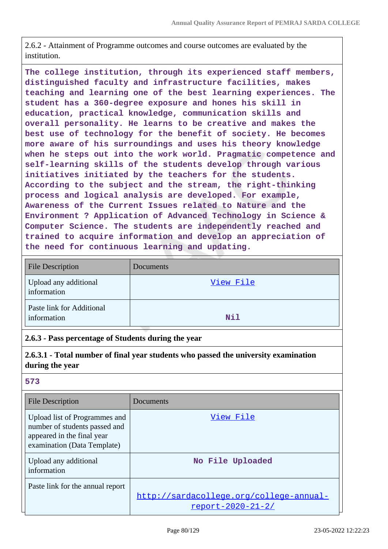2.6.2 - Attainment of Programme outcomes and course outcomes are evaluated by the institution.

**The college institution, through its experienced staff members, distinguished faculty and infrastructure facilities, makes teaching and learning one of the best learning experiences. The student has a 360-degree exposure and hones his skill in education, practical knowledge, communication skills and overall personality. He learns to be creative and makes the best use of technology for the benefit of society. He becomes more aware of his surroundings and uses his theory knowledge when he steps out into the work world. Pragmatic competence and self-learning skills of the students develop through various initiatives initiated by the teachers for the students. According to the subject and the stream, the right-thinking process and logical analysis are developed. For example, Awareness of the Current Issues related to Nature and the Environment ? Application of Advanced Technology in Science & Computer Science. The students are independently reached and trained to acquire information and develop an appreciation of the need for continuous learning and updating.**

| <b>File Description</b>                  | Documents |
|------------------------------------------|-----------|
| Upload any additional<br>information     | View File |
| Paste link for Additional<br>information | Nil       |

### **2.6.3 - Pass percentage of Students during the year**

**2.6.3.1 - Total number of final year students who passed the university examination during the year**

| <b>File Description</b>                                                                                                     | Documents                                                           |
|-----------------------------------------------------------------------------------------------------------------------------|---------------------------------------------------------------------|
| Upload list of Programmes and<br>number of students passed and<br>appeared in the final year<br>examination (Data Template) | View File                                                           |
| Upload any additional<br>information                                                                                        | No File Uploaded                                                    |
| Paste link for the annual report                                                                                            | http://sardacollege.org/college-annual-<br><u>report-2020-21-2/</u> |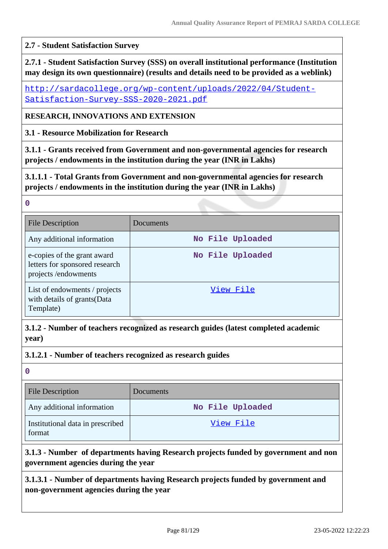#### **2.7 - Student Satisfaction Survey**

**2.7.1 - Student Satisfaction Survey (SSS) on overall institutional performance (Institution may design its own questionnaire) (results and details need to be provided as a weblink)**

[http://sardacollege.org/wp-content/uploads/2022/04/Student-](http://sardacollege.org/wp-content/uploads/2022/04/Student-Satisfaction-Survey-SSS-2020-2021.pdf)[Satisfaction-Survey-SSS-2020-2021.pdf](http://sardacollege.org/wp-content/uploads/2022/04/Student-Satisfaction-Survey-SSS-2020-2021.pdf)

**RESEARCH, INNOVATIONS AND EXTENSION**

**3.1 - Resource Mobilization for Research**

**3.1.1 - Grants received from Government and non-governmental agencies for research projects / endowments in the institution during the year (INR in Lakhs)**

**3.1.1.1 - Total Grants from Government and non-governmental agencies for research projects / endowments in the institution during the year (INR in Lakhs)**

| <b>File Description</b>                                                              | Documents        |
|--------------------------------------------------------------------------------------|------------------|
| Any additional information                                                           | No File Uploaded |
| e-copies of the grant award<br>letters for sponsored research<br>projects/endowments | No File Uploaded |
| List of endowments / projects<br>with details of grants(Data<br>Template)            | View File        |

**3.1.2 - Number of teachers recognized as research guides (latest completed academic year)**

**3.1.2.1 - Number of teachers recognized as research guides**

**0**

**0**

| <b>File Description</b>                    | Documents        |
|--------------------------------------------|------------------|
| Any additional information                 | No File Uploaded |
| Institutional data in prescribed<br>format | View File        |

# **3.1.3 - Number of departments having Research projects funded by government and non government agencies during the year**

**3.1.3.1 - Number of departments having Research projects funded by government and non-government agencies during the year**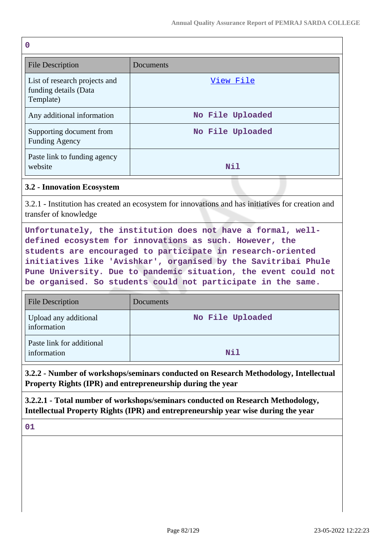| $\mathbf 0$                                                         |                  |
|---------------------------------------------------------------------|------------------|
| <b>File Description</b>                                             | Documents        |
| List of research projects and<br>funding details (Data<br>Template) | View File        |
| Any additional information                                          | No File Uploaded |
| Supporting document from<br><b>Funding Agency</b>                   | No File Uploaded |
| Paste link to funding agency<br>website                             | Nil              |

#### **3.2 - Innovation Ecosystem**

3.2.1 - Institution has created an ecosystem for innovations and has initiatives for creation and transfer of knowledge

**Unfortunately, the institution does not have a formal, welldefined ecosystem for innovations as such. However, the students are encouraged to participate in research-oriented initiatives like 'Avishkar', organised by the Savitribai Phule Pune University. Due to pandemic situation, the event could not be organised. So students could not participate in the same.**

| <b>File Description</b>                  | Documents        |
|------------------------------------------|------------------|
| Upload any additional<br>information     | No File Uploaded |
| Paste link for additional<br>information | Nil              |

**3.2.2 - Number of workshops/seminars conducted on Research Methodology, Intellectual Property Rights (IPR) and entrepreneurship during the year**

**3.2.2.1 - Total number of workshops/seminars conducted on Research Methodology, Intellectual Property Rights (IPR) and entrepreneurship year wise during the year**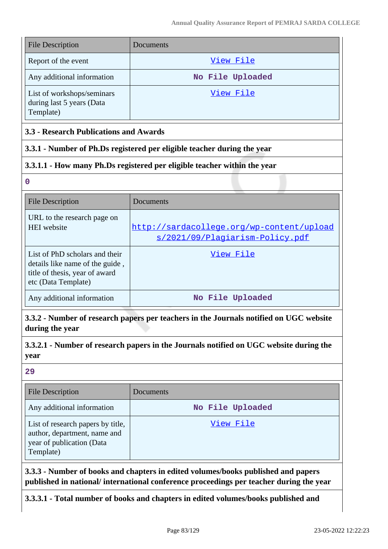| <b>File Description</b>                                              | Documents        |
|----------------------------------------------------------------------|------------------|
| Report of the event                                                  | View File        |
| Any additional information                                           | No File Uploaded |
| List of workshops/seminars<br>during last 5 years (Data<br>Template) | View File        |

### **3.3 - Research Publications and Awards**

### **3.3.1 - Number of Ph.Ds registered per eligible teacher during the year**

# **3.3.1.1 - How many Ph.Ds registered per eligible teacher within the year**

**0**

| File Description                                                                                                           | Documents                                                                    |
|----------------------------------------------------------------------------------------------------------------------------|------------------------------------------------------------------------------|
| URL to the research page on<br><b>HEI</b> website                                                                          | http://sardacollege.org/wp-content/upload<br>s/2021/09/Plagiarism-Policy.pdf |
| List of PhD scholars and their<br>details like name of the guide,<br>title of thesis, year of award<br>etc (Data Template) | View File                                                                    |
| Any additional information                                                                                                 | No File Uploaded                                                             |

**3.3.2 - Number of research papers per teachers in the Journals notified on UGC website during the year**

**3.3.2.1 - Number of research papers in the Journals notified on UGC website during the year**

#### **29**

| <b>File Description</b>                                                                                     | Documents        |
|-------------------------------------------------------------------------------------------------------------|------------------|
| Any additional information                                                                                  | No File Uploaded |
| List of research papers by title,<br>author, department, name and<br>year of publication (Data<br>Template) | View File        |

**3.3.3 - Number of books and chapters in edited volumes/books published and papers published in national/ international conference proceedings per teacher during the year**

**3.3.3.1 - Total number of books and chapters in edited volumes/books published and**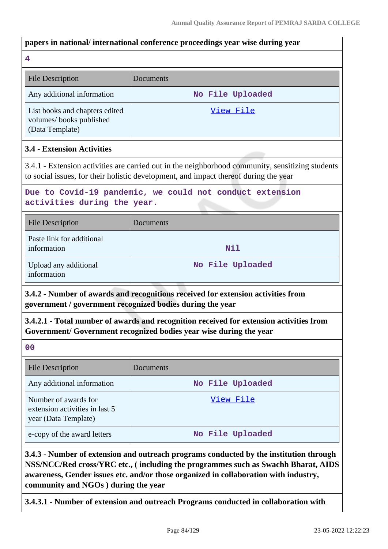#### **papers in national/ international conference proceedings year wise during year**

**4**

| <b>File Description</b>                                                      | Documents        |
|------------------------------------------------------------------------------|------------------|
| Any additional information                                                   | No File Uploaded |
| List books and chapters edited<br>volumes/books published<br>(Data Template) | View File        |

### **3.4 - Extension Activities**

3.4.1 - Extension activities are carried out in the neighborhood community, sensitizing students to social issues, for their holistic development, and impact thereof during the year

# **Due to Covid-19 pandemic, we could not conduct extension activities during the year.**

| <b>File Description</b>                  | Documents        |
|------------------------------------------|------------------|
| Paste link for additional<br>information | Nil              |
| Upload any additional<br>information     | No File Uploaded |

**3.4.2 - Number of awards and recognitions received for extension activities from government / government recognized bodies during the year**

**3.4.2.1 - Total number of awards and recognition received for extension activities from Government/ Government recognized bodies year wise during the year**

**00**

| <b>File Description</b>                                                        | Documents        |
|--------------------------------------------------------------------------------|------------------|
| Any additional information                                                     | No File Uploaded |
| Number of awards for<br>extension activities in last 5<br>year (Data Template) | View File        |
| e-copy of the award letters                                                    | No File Uploaded |

**3.4.3 - Number of extension and outreach programs conducted by the institution through NSS/NCC/Red cross/YRC etc., ( including the programmes such as Swachh Bharat, AIDS awareness, Gender issues etc. and/or those organized in collaboration with industry, community and NGOs ) during the year**

**3.4.3.1 - Number of extension and outreach Programs conducted in collaboration with**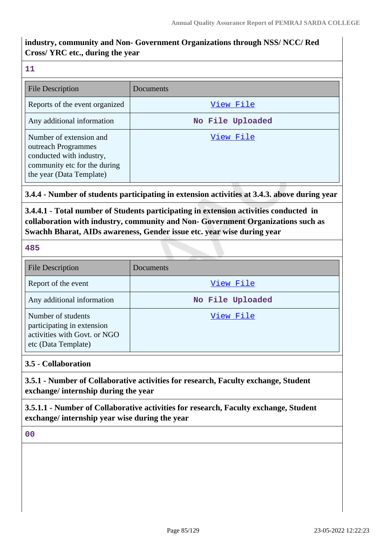# **industry, community and Non- Government Organizations through NSS/ NCC/ Red Cross/ YRC etc., during the year**

#### **11**

| <b>File Description</b>                                                                                                                | Documents        |
|----------------------------------------------------------------------------------------------------------------------------------------|------------------|
| Reports of the event organized                                                                                                         | View File        |
| Any additional information                                                                                                             | No File Uploaded |
| Number of extension and<br>outreach Programmes<br>conducted with industry,<br>community etc for the during<br>the year (Data Template) | View File        |

### **3.4.4 - Number of students participating in extension activities at 3.4.3. above during year**

**3.4.4.1 - Total number of Students participating in extension activities conducted in collaboration with industry, community and Non- Government Organizations such as Swachh Bharat, AIDs awareness, Gender issue etc. year wise during year**

#### **485**

| <b>File Description</b>                                                                                 | Documents        |
|---------------------------------------------------------------------------------------------------------|------------------|
| Report of the event                                                                                     | View File        |
| Any additional information                                                                              | No File Uploaded |
| Number of students<br>participating in extension<br>activities with Govt. or NGO<br>etc (Data Template) | View File        |

### **3.5 - Collaboration**

**3.5.1 - Number of Collaborative activities for research, Faculty exchange, Student exchange/ internship during the year**

**3.5.1.1 - Number of Collaborative activities for research, Faculty exchange, Student exchange/ internship year wise during the year**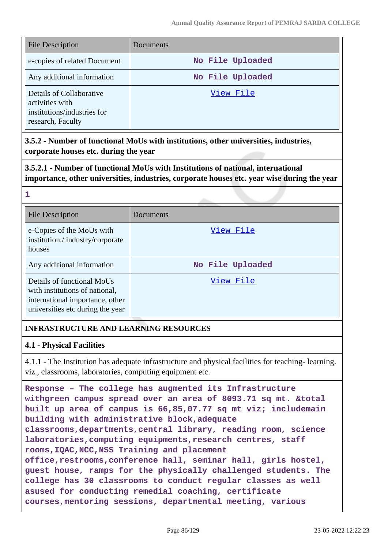| <b>File Description</b>                                                                         | Documents        |
|-------------------------------------------------------------------------------------------------|------------------|
| e-copies of related Document                                                                    | No File Uploaded |
| Any additional information                                                                      | No File Uploaded |
| Details of Collaborative<br>activities with<br>institutions/industries for<br>research, Faculty | View File        |

**3.5.2 - Number of functional MoUs with institutions, other universities, industries, corporate houses etc. during the year**

**3.5.2.1 - Number of functional MoUs with Institutions of national, international importance, other universities, industries, corporate houses etc. year wise during the year**

| <b>File Description</b>                                                                                                             | Documents        |
|-------------------------------------------------------------------------------------------------------------------------------------|------------------|
| e-Copies of the MoUs with<br>institution./industry/corporate<br>houses                                                              | View File        |
| Any additional information                                                                                                          | No File Uploaded |
| Details of functional MoUs<br>with institutions of national,<br>international importance, other<br>universities etc during the year | View File        |

# **INFRASTRUCTURE AND LEARNING RESOURCES**

### **4.1 - Physical Facilities**

**1**

4.1.1 - The Institution has adequate infrastructure and physical facilities for teaching- learning. viz., classrooms, laboratories, computing equipment etc.

```
Response – The college has augmented its Infrastructure
withgreen campus spread over an area of 8093.71 sq mt. &total
built up area of campus is 66,85,07.77 sq mt viz; includemain
building with administrative block,adequate
classrooms,departments,central library, reading room, science
laboratories,computing equipments,research centres, staff
rooms,IQAC,NCC,NSS Training and placement
office,restrooms,conference hall, seminar hall, girls hostel,
guest house, ramps for the physically challenged students. The
college has 30 classrooms to conduct regular classes as well
asused for conducting remedial coaching, certificate
courses,mentoring sessions, departmental meeting, various
```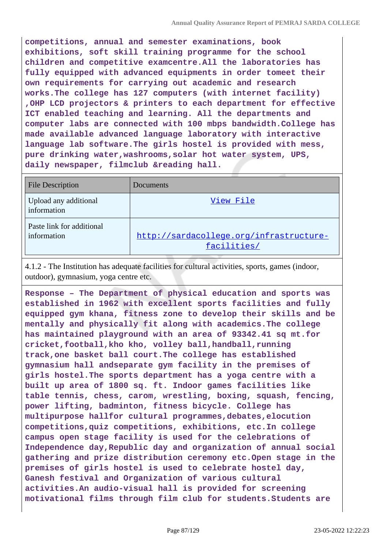**competitions, annual and semester examinations, book exhibitions, soft skill training programme for the school children and competitive examcentre.All the laboratories has fully equipped with advanced equipments in order tomeet their own requirements for carrying out academic and research works.The college has 127 computers (with internet facility) ,OHP LCD projectors & printers to each department for effective ICT enabled teaching and learning. All the departments and computer labs are connected with 100 mbps bandwidth.College has made available advanced language laboratory with interactive language lab software.The girls hostel is provided with mess, pure drinking water,washrooms,solar hot water system, UPS, daily newspaper, filmclub &reading hall.**

| <b>File Description</b>                  | Documents                                              |
|------------------------------------------|--------------------------------------------------------|
| Upload any additional<br>information     | View File                                              |
| Paste link for additional<br>information | http://sardacollege.org/infrastructure-<br>facilities/ |

4.1.2 - The Institution has adequate facilities for cultural activities, sports, games (indoor, outdoor), gymnasium, yoga centre etc.

**Response – The Department of physical education and sports was established in 1962 with excellent sports facilities and fully equipped gym khana, fitness zone to develop their skills and be mentally and physically fit along with academics.The college has maintained playground with an area of 93342.41 sq mt.for cricket,football,kho kho, volley ball,handball,running track,one basket ball court.The college has established gymnasium hall andseparate gym facility in the premises of girls hostel.The sports department has a yoga centre with a built up area of 1800 sq. ft. Indoor games facilities like table tennis, chess, carom, wrestling, boxing, squash, fencing, power lifting, badminton, fitness bicycle. College has multipurpose hallfor cultural programmes,debates,elocution competitions,quiz competitions, exhibitions, etc.In college campus open stage facility is used for the celebrations of Independence day,Republic day and organization of annual social gathering and prize distribution ceremony etc.Open stage in the premises of girls hostel is used to celebrate hostel day, Ganesh festival and Organization of various cultural activities.An audio-visual hall is provided for screening motivational films through film club for students.Students are**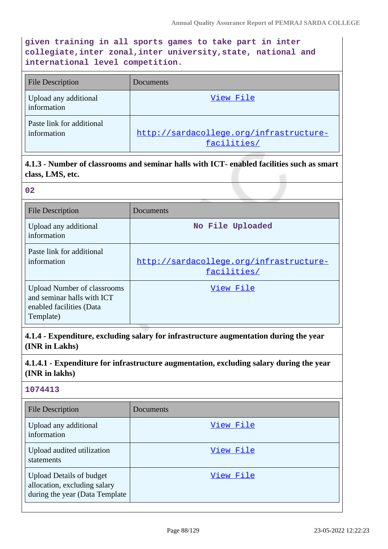**given training in all sports games to take part in inter collegiate,inter zonal,inter university,state, national and international level competition.**

| File Description                         | Documents                                              |
|------------------------------------------|--------------------------------------------------------|
| Upload any additional<br>information     | View File                                              |
| Paste link for additional<br>information | http://sardacollege.org/infrastructure-<br>facilities/ |

**4.1.3 - Number of classrooms and seminar halls with ICT- enabled facilities such as smart class, LMS, etc.**

| 02                                                                                                        |                                                        |
|-----------------------------------------------------------------------------------------------------------|--------------------------------------------------------|
| <b>File Description</b>                                                                                   | Documents                                              |
| Upload any additional<br>information                                                                      | No File Uploaded                                       |
| Paste link for additional<br>information                                                                  | http://sardacollege.org/infrastructure-<br>facilities/ |
| <b>Upload Number of classrooms</b><br>and seminar halls with ICT<br>enabled facilities (Data<br>Template) | View File                                              |

**4.1.4 - Expenditure, excluding salary for infrastructure augmentation during the year (INR in Lakhs)**

# **4.1.4.1 - Expenditure for infrastructure augmentation, excluding salary during the year (INR in lakhs)**

| <b>File Description</b>                                                                           | Documents |
|---------------------------------------------------------------------------------------------------|-----------|
| Upload any additional<br>information                                                              | View File |
| Upload audited utilization<br>statements                                                          | View File |
| <b>Upload Details of budget</b><br>allocation, excluding salary<br>during the year (Data Template | View File |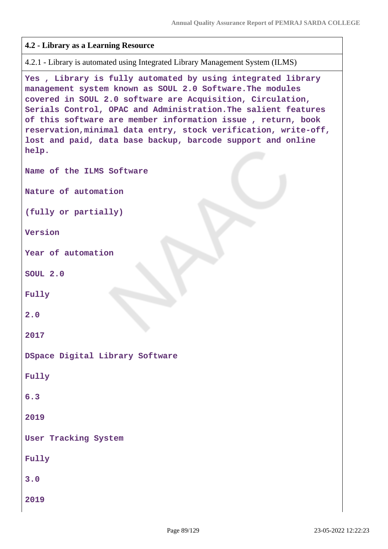```
4.2 - Library as a Learning Resource
4.2.1 - Library is automated using Integrated Library Management System (ILMS)
Yes , Library is fully automated by using integrated library
management system known as SOUL 2.0 Software.The modules
covered in SOUL 2.0 software are Acquisition, Circulation,
Serials Control, OPAC and Administration.The salient features
of this software are member information issue , return, book
reservation,minimal data entry, stock verification, write-off,
lost and paid, data base backup, barcode support and online
help.
Name of the ILMS Software
Nature of automation
(fully or partially)
Version
Year of automation
SOUL 2.0
Fully
2.0
2017
DSpace Digital Library Software
Fully
6.3
2019
User Tracking System
Fully
3.0
2019
```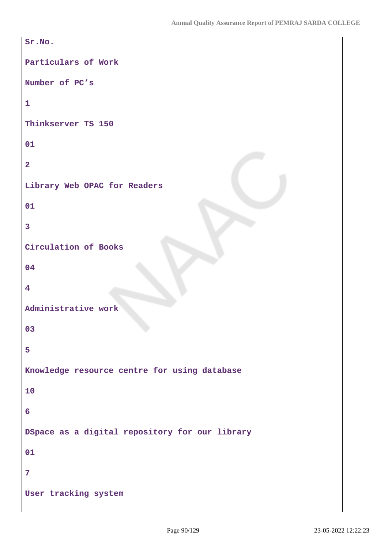```
Sr.No.
Particulars of Work
Number of PC's
1
Thinkserver TS 150
01
2
Library Web OPAC for Readers
01
3
Circulation of Books
04
4
Administrative work
03
5
Knowledge resource centre for using database
10
6
DSpace as a digital repository for our library
01
7
User tracking system
```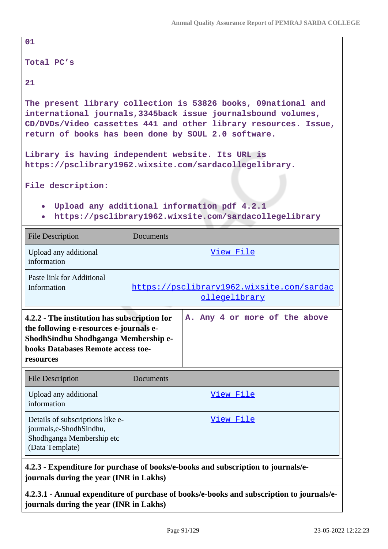| 01                                                                                                                                                                                                                                                       |                                                   |  |  |  |  |  |
|----------------------------------------------------------------------------------------------------------------------------------------------------------------------------------------------------------------------------------------------------------|---------------------------------------------------|--|--|--|--|--|
| Total PC's                                                                                                                                                                                                                                               |                                                   |  |  |  |  |  |
| 21                                                                                                                                                                                                                                                       |                                                   |  |  |  |  |  |
| The present library collection is 53826 books, 09national and<br>international journals, 3345back issue journalsbound volumes,<br>CD/DVDs/Video cassettes 441 and other library resources. Issue,<br>return of books has been done by SOUL 2.0 software. |                                                   |  |  |  |  |  |
|                                                                                                                                                                                                                                                          | Library is having independent website. Its URL is |  |  |  |  |  |
| https://psclibrary1962.wixsite.com/sardacollegelibrary.                                                                                                                                                                                                  |                                                   |  |  |  |  |  |
| File description:                                                                                                                                                                                                                                        |                                                   |  |  |  |  |  |
| . Upload any additional information pdf 4.2.1                                                                                                                                                                                                            |                                                   |  |  |  |  |  |
| https://psclibrary1962.wixsite.com/sardacollegelibrary<br>$\bullet$                                                                                                                                                                                      |                                                   |  |  |  |  |  |
| <b>File Description</b>                                                                                                                                                                                                                                  | Documents                                         |  |  |  |  |  |
| Upload any additional<br>information                                                                                                                                                                                                                     | View File                                         |  |  |  |  |  |

| Paste link for Additional                                                                                                                                                          | https://psclibrary1962.wixsite.com/sardac |  |  |  |  |  |  |  |                               |
|------------------------------------------------------------------------------------------------------------------------------------------------------------------------------------|-------------------------------------------|--|--|--|--|--|--|--|-------------------------------|
| Information                                                                                                                                                                        | ollegelibrary                             |  |  |  |  |  |  |  |                               |
| 4.2.2 - The institution has subscription for<br>the following e-resources e-journals e-<br>ShodhSindhu Shodhganga Membership e-<br>books Databases Remote access toe-<br>resources |                                           |  |  |  |  |  |  |  | A. Any 4 or more of the above |

| <b>File Description</b>                                                                                     | <b>Documents</b> |
|-------------------------------------------------------------------------------------------------------------|------------------|
| Upload any additional<br>information                                                                        | View File        |
| Details of subscriptions like e-<br>journals,e-ShodhSindhu,<br>Shodhganga Membership etc<br>(Data Template) | View File        |

# **4.2.3 - Expenditure for purchase of books/e-books and subscription to journals/ejournals during the year (INR in Lakhs)**

**4.2.3.1 - Annual expenditure of purchase of books/e-books and subscription to journals/ejournals during the year (INR in Lakhs)**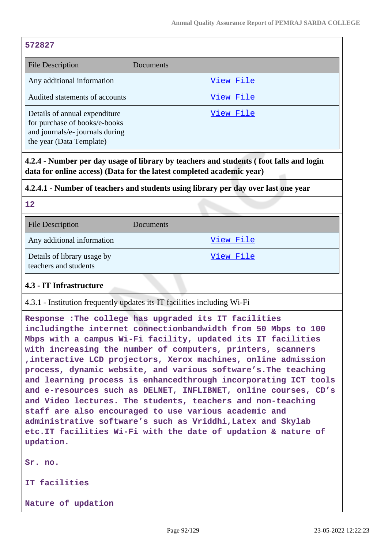#### **572827**

| <b>File Description</b>                                                                                                       | Documents |
|-------------------------------------------------------------------------------------------------------------------------------|-----------|
| Any additional information                                                                                                    | View File |
| Audited statements of accounts                                                                                                | View File |
| Details of annual expenditure<br>for purchase of books/e-books<br>and journals/e- journals during<br>the year (Data Template) | View File |

**4.2.4 - Number per day usage of library by teachers and students ( foot falls and login data for online access) (Data for the latest completed academic year)**

### **4.2.4.1 - Number of teachers and students using library per day over last one year**

#### **12**

| <b>File Description</b>                              | Documents |
|------------------------------------------------------|-----------|
| Any additional information                           | View File |
| Details of library usage by<br>teachers and students | View File |

### **4.3 - IT Infrastructure**

4.3.1 - Institution frequently updates its IT facilities including Wi-Fi

**Response :The college has upgraded its IT facilities includingthe internet connectionbandwidth from 50 Mbps to 100 Mbps with a campus Wi-Fi facility, updated its IT facilities with increasing the number of computers, printers, scanners ,interactive LCD projectors, Xerox machines, online admission process, dynamic website, and various software's.The teaching and learning process is enhancedthrough incorporating ICT tools and e-resources such as DELNET, INFLIBNET, online courses, CD's and Video lectures. The students, teachers and non-teaching staff are also encouraged to use various academic and administrative software's such as Vriddhi,Latex and Skylab etc.IT facilities Wi-Fi with the date of updation & nature of updation.**

**Sr. no.**

**IT facilities**

**Nature of updation**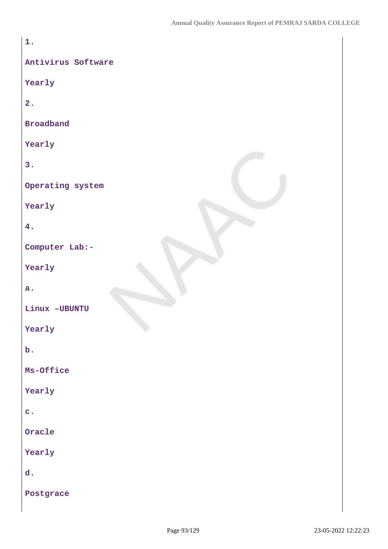| 1.                 |
|--------------------|
| Antivirus Software |
| Yearly             |
| 2.                 |
| <b>Broadband</b>   |
| Yearly             |
| 3.                 |
| Operating system   |
| Yearly             |
| 4.                 |
| Computer Lab:-     |
| Yearly             |
| a.                 |
| Linux -UBUNTU      |
| Yearly             |
| $b$ .              |
| Ms-Office          |
| Yearly             |
| $\mathbf{c}$ .     |
| Oracle             |
| Yearly             |
| d.                 |
| Postgrace          |
|                    |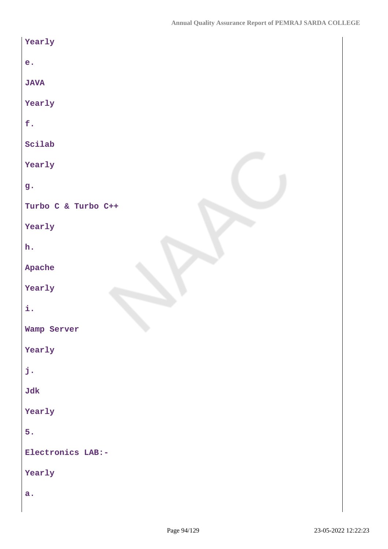| Yearly              |
|---------------------|
| e <sub>1</sub>      |
| <b>JAVA</b>         |
| Yearly              |
| f.                  |
| Scilab              |
| Yearly              |
| g.                  |
| Turbo C & Turbo C++ |
| Yearly              |
| h.                  |
| Apache              |
| Yearly              |
| i.                  |
| Wamp Server         |
| Yearly              |
| j.                  |
| Jdk                 |
| Yearly              |
| 5.                  |
| Electronics LAB:-   |
| Yearly              |
| a.                  |
|                     |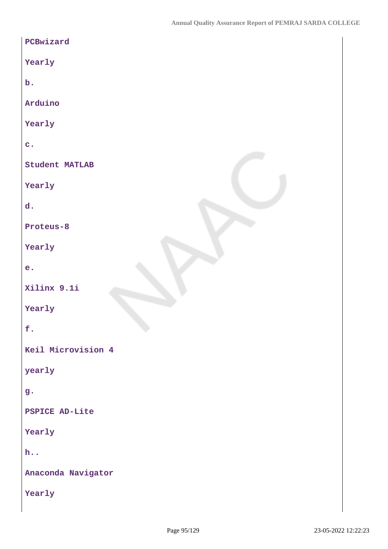| PCBwizard             |
|-----------------------|
| Yearly                |
| $\mathbf b$ .         |
| Arduino               |
| Yearly                |
| $\mathbf{c}$ .        |
| <b>Student MATLAB</b> |
| Yearly                |
| d.                    |
| Proteus-8             |
| Yearly                |
| e.                    |
| Xilinx 9.1i           |
| Yearly                |
| f.                    |
| Keil Microvision 4    |
| yearly                |
| g.                    |
| <b>PSPICE AD-Lite</b> |
| Yearly                |
| $h.$ .                |
| Anaconda Navigator    |
| Yearly                |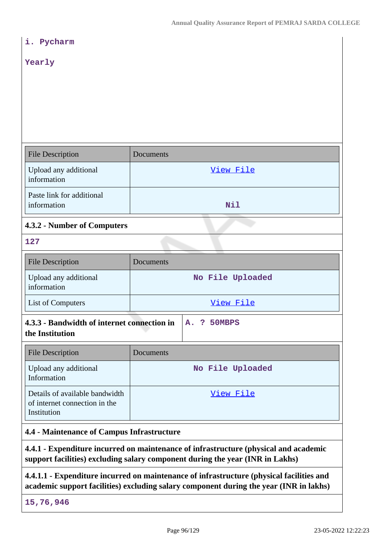| i. Pycharm                                                                                                                                                            |                  |  |
|-----------------------------------------------------------------------------------------------------------------------------------------------------------------------|------------------|--|
| Yearly                                                                                                                                                                |                  |  |
|                                                                                                                                                                       |                  |  |
|                                                                                                                                                                       |                  |  |
|                                                                                                                                                                       |                  |  |
|                                                                                                                                                                       |                  |  |
| <b>File Description</b>                                                                                                                                               | Documents        |  |
| Upload any additional<br>information                                                                                                                                  | View File        |  |
| Paste link for additional<br>information                                                                                                                              | Nil              |  |
| 4.3.2 - Number of Computers                                                                                                                                           |                  |  |
| 127                                                                                                                                                                   |                  |  |
| <b>File Description</b>                                                                                                                                               | Documents        |  |
| Upload any additional<br>information                                                                                                                                  | No File Uploaded |  |
| List of Computers                                                                                                                                                     | View File        |  |
| 4.3.3 - Bandwidth of internet connection in<br>A.<br>? 50MBPS<br>the Institution                                                                                      |                  |  |
| <b>File Description</b>                                                                                                                                               | Documents        |  |
| Upload any additional<br>Information                                                                                                                                  | No File Uploaded |  |
| Details of available bandwidth<br>of internet connection in the<br>Institution                                                                                        | View File        |  |
| 4.4 - Maintenance of Campus Infrastructure                                                                                                                            |                  |  |
| 4.4.1 - Expenditure incurred on maintenance of infrastructure (physical and academic<br>support facilities) excluding salary component during the year (INR in Lakhs) |                  |  |
|                                                                                                                                                                       |                  |  |

**4.4.1.1 - Expenditure incurred on maintenance of infrastructure (physical facilities and academic support facilities) excluding salary component during the year (INR in lakhs)**

**15,76,946**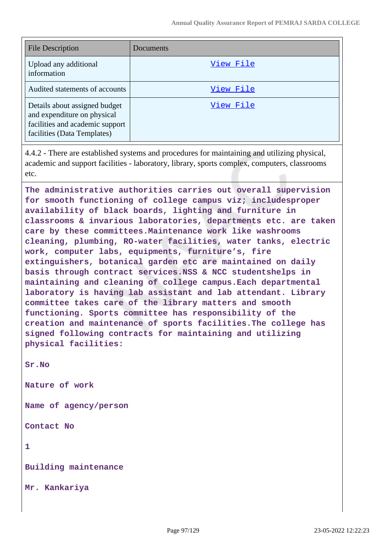| <b>File Description</b>                                                                                                        | Documents |
|--------------------------------------------------------------------------------------------------------------------------------|-----------|
| Upload any additional<br>information                                                                                           | View File |
| Audited statements of accounts                                                                                                 | View File |
| Details about assigned budget<br>and expenditure on physical<br>facilities and academic support<br>facilities (Data Templates) | View File |

4.4.2 - There are established systems and procedures for maintaining and utilizing physical, academic and support facilities - laboratory, library, sports complex, computers, classrooms etc.

**The administrative authorities carries out overall supervision for smooth functioning of college campus viz; includesproper availability of black boards, lighting and furniture in classrooms & invarious laboratories, departments etc. are taken care by these committees.Maintenance work like washrooms cleaning, plumbing, RO-water facilities, water tanks, electric work, computer labs, equipments, furniture's, fire extinguishers, botanical garden etc are maintained on daily basis through contract services.NSS & NCC studentshelps in maintaining and cleaning of college campus.Each departmental laboratory is having lab assistant and lab attendant. Library committee takes care of the library matters and smooth functioning. Sports committee has responsibility of the creation and maintenance of sports facilities.The college has signed following contracts for maintaining and utilizing physical facilities:**

**Sr.No**

**Nature of work**

**Name of agency/person**

**Contact No**

**1**

**Building maintenance**

**Mr. Kankariya**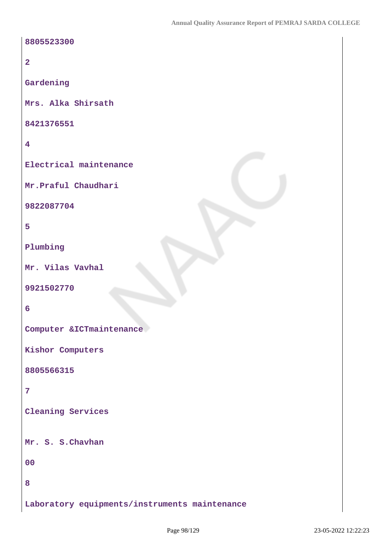| 8805523300                                    |
|-----------------------------------------------|
| $\overline{2}$                                |
| Gardening                                     |
| Mrs. Alka Shirsath                            |
| 8421376551                                    |
| $\overline{\mathbf{4}}$                       |
| Electrical maintenance                        |
| Mr. Praful Chaudhari                          |
| 9822087704                                    |
| 5                                             |
| Plumbing                                      |
| Mr. Vilas Vavhal                              |
| 9921502770                                    |
| 6                                             |
| Computer & ICTmaintenance                     |
| Kishor Computers                              |
| 8805566315                                    |
| $\overline{7}$                                |
| <b>Cleaning Services</b>                      |
| Mr. S. S. Chavhan                             |
|                                               |
| 00                                            |
| 8                                             |
| Laboratory equipments/instruments maintenance |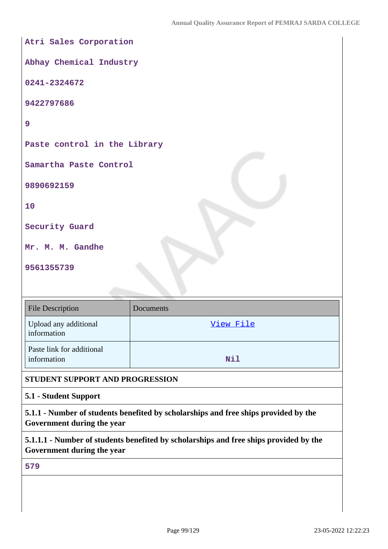**Atri Sales Corporation Abhay Chemical Industry 0241-2324672 9422797686 9 Paste control in the Library Samartha Paste Control 9890692159 10 Security Guard Mr. M. M. Gandhe 9561355739** File Description Documents Upload any additional information [View File](https://assessmentonline.naac.gov.in/storage/app/public/aqar/19395/19395_146_352.pdf?1653288741)

Paste link for additional information **Nil** 

# **STUDENT SUPPORT AND PROGRESSION**

### **5.1 - Student Support**

**5.1.1 - Number of students benefited by scholarships and free ships provided by the Government during the year**

**5.1.1.1 - Number of students benefited by scholarships and free ships provided by the Government during the year**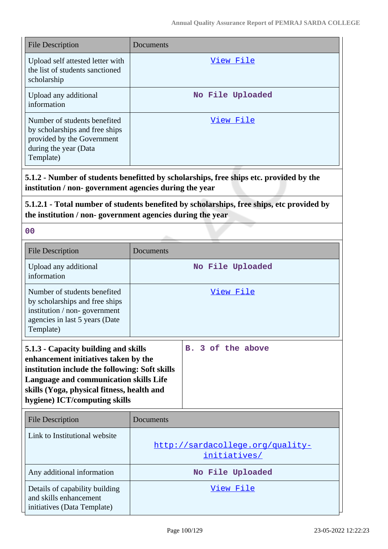| <b>File Description</b>                                                                                                                         | Documents        |  |
|-------------------------------------------------------------------------------------------------------------------------------------------------|------------------|--|
| Upload self attested letter with<br>the list of students sanctioned<br>scholarship                                                              | View File        |  |
| Upload any additional<br>information                                                                                                            | No File Uploaded |  |
| Number of students benefited<br>by scholarships and free ships<br>provided by the Government<br>during the year (Data<br>Template)              | View File        |  |
| 5.1.2 - Number of students benefitted by scholarships, free ships etc. provided by the<br>institution / non-government agencies during the year |                  |  |

**5.1.2.1 - Total number of students benefited by scholarships, free ships, etc provided by the institution / non- government agencies during the year**

| <b>File Description</b>                                                                                                                                                                                                                                        | Documents                                        |                             |
|----------------------------------------------------------------------------------------------------------------------------------------------------------------------------------------------------------------------------------------------------------------|--------------------------------------------------|-----------------------------|
| Upload any additional<br>information                                                                                                                                                                                                                           | No File Uploaded                                 |                             |
| Number of students benefited<br>by scholarships and free ships<br>institution / non-government<br>agencies in last 5 years (Date<br>Template)                                                                                                                  | View File                                        |                             |
| 5.1.3 - Capacity building and skills<br>enhancement initiatives taken by the<br>institution include the following: Soft skills<br><b>Language and communication skills Life</b><br>skills (Yoga, physical fitness, health and<br>hygiene) ICT/computing skills |                                                  | 3 of the above<br><b>B.</b> |
| <b>File Description</b>                                                                                                                                                                                                                                        | Documents                                        |                             |
| Link to Institutional website                                                                                                                                                                                                                                  | http://sardacollege.org/quality-<br>initiatives/ |                             |
| Any additional information                                                                                                                                                                                                                                     | No File Uploaded                                 |                             |
| Details of capability building<br>and skills enhancement<br>initiatives (Data Template)                                                                                                                                                                        |                                                  | View File                   |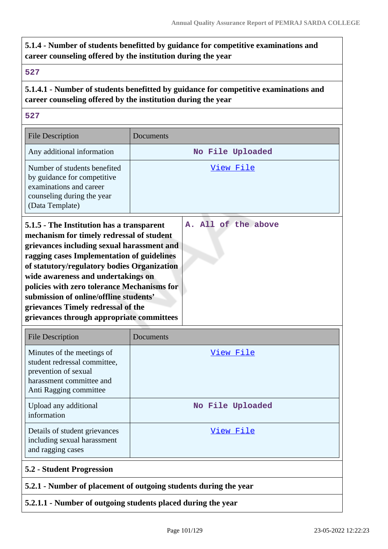# **5.1.4 - Number of students benefitted by guidance for competitive examinations and career counseling offered by the institution during the year**

#### **527**

# **5.1.4.1 - Number of students benefitted by guidance for competitive examinations and career counseling offered by the institution during the year**

#### **527**

| <b>File Description</b>                                                                                                                                                                                                                                                                                                                                                                                                                             | Documents |                     |
|-----------------------------------------------------------------------------------------------------------------------------------------------------------------------------------------------------------------------------------------------------------------------------------------------------------------------------------------------------------------------------------------------------------------------------------------------------|-----------|---------------------|
| Any additional information                                                                                                                                                                                                                                                                                                                                                                                                                          |           | No File Uploaded    |
| Number of students benefited<br>by guidance for competitive<br>examinations and career<br>counseling during the year<br>(Data Template)                                                                                                                                                                                                                                                                                                             |           | <u>View File</u>    |
| 5.1.5 - The Institution has a transparent<br>mechanism for timely redressal of student<br>grievances including sexual harassment and<br>ragging cases Implementation of guidelines<br>of statutory/regulatory bodies Organization<br>wide awareness and undertakings on<br>policies with zero tolerance Mechanisms for<br>submission of online/offline students'<br>grievances Timely redressal of the<br>grievances through appropriate committees |           | A. All of the above |

| <b>File Description</b>                                                                                                                  | Documents        |
|------------------------------------------------------------------------------------------------------------------------------------------|------------------|
| Minutes of the meetings of<br>student redressal committee,<br>prevention of sexual<br>harassment committee and<br>Anti Ragging committee | View File        |
| Upload any additional<br>information                                                                                                     | No File Uploaded |
| Details of student grievances<br>including sexual harassment<br>and ragging cases                                                        | View File        |
| <b>5.2 - Student Progression</b>                                                                                                         |                  |
| 5.2.1 - Number of placement of outgoing students during the year                                                                         |                  |

### **5.2.1.1 - Number of outgoing students placed during the year**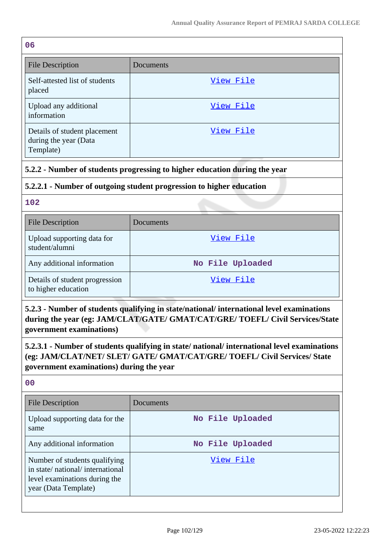| 06                                                                 |           |
|--------------------------------------------------------------------|-----------|
| <b>File Description</b>                                            | Documents |
| Self-attested list of students<br>placed                           | View File |
| Upload any additional<br>information                               | View File |
| Details of student placement<br>during the year (Data<br>Template) | View File |

# **5.2.2 - Number of students progressing to higher education during the year**

# **5.2.2.1 - Number of outgoing student progression to higher education**

#### **102**

| <b>File Description</b>                               | Documents        |
|-------------------------------------------------------|------------------|
| Upload supporting data for<br>student/alumni          | View File        |
| Any additional information                            | No File Uploaded |
| Details of student progression<br>to higher education | View File        |

**5.2.3 - Number of students qualifying in state/national/ international level examinations during the year (eg: JAM/CLAT/GATE/ GMAT/CAT/GRE/ TOEFL/ Civil Services/State government examinations)**

**5.2.3.1 - Number of students qualifying in state/ national/ international level examinations (eg: JAM/CLAT/NET/ SLET/ GATE/ GMAT/CAT/GRE/ TOEFL/ Civil Services/ State government examinations) during the year**

| <b>File Description</b>                                                                                                   | Documents        |
|---------------------------------------------------------------------------------------------------------------------------|------------------|
| Upload supporting data for the<br>same                                                                                    | No File Uploaded |
| Any additional information                                                                                                | No File Uploaded |
| Number of students qualifying<br>in state/national/international<br>level examinations during the<br>year (Data Template) | View File        |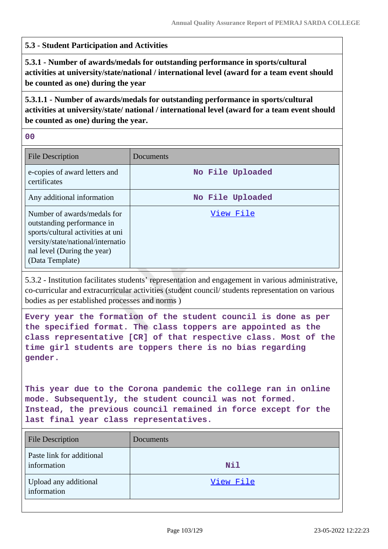#### **5.3 - Student Participation and Activities**

**5.3.1 - Number of awards/medals for outstanding performance in sports/cultural activities at university/state/national / international level (award for a team event should be counted as one) during the year**

**5.3.1.1 - Number of awards/medals for outstanding performance in sports/cultural activities at university/state/ national / international level (award for a team event should be counted as one) during the year.**

**00**

| <b>File Description</b>                                                                                                                                                               | Documents        |
|---------------------------------------------------------------------------------------------------------------------------------------------------------------------------------------|------------------|
| e-copies of award letters and<br>certificates                                                                                                                                         | No File Uploaded |
| Any additional information                                                                                                                                                            | No File Uploaded |
| Number of awards/medals for<br>outstanding performance in<br>sports/cultural activities at uni<br>versity/state/national/internatio<br>nal level (During the year)<br>(Data Template) | View File        |

5.3.2 - Institution facilitates students' representation and engagement in various administrative, co-curricular and extracurricular activities (student council/ students representation on various bodies as per established processes and norms )

**Every year the formation of the student council is done as per the specified format. The class toppers are appointed as the class representative [CR] of that respective class. Most of the time girl students are toppers there is no bias regarding gender.**

**This year due to the Corona pandemic the college ran in online mode. Subsequently, the student council was not formed. Instead, the previous council remained in force except for the last final year class representatives.**

| <b>File Description</b>                  | Documents  |
|------------------------------------------|------------|
| Paste link for additional<br>information | <b>Nil</b> |
| Upload any additional<br>information     | View File  |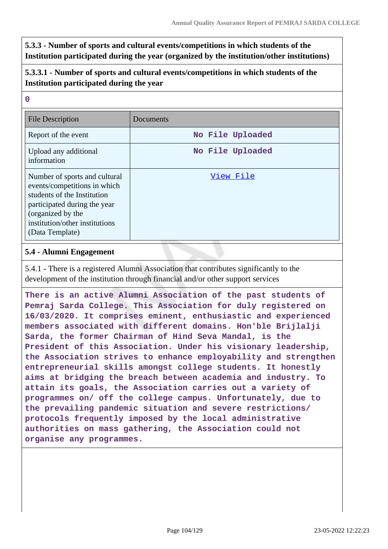**5.3.3 - Number of sports and cultural events/competitions in which students of the Institution participated during the year (organized by the institution/other institutions)**

# **5.3.3.1 - Number of sports and cultural events/competitions in which students of the Institution participated during the year**

| $\overline{0}$                                                                                                                                                                                         |                  |
|--------------------------------------------------------------------------------------------------------------------------------------------------------------------------------------------------------|------------------|
| <b>File Description</b>                                                                                                                                                                                | Documents        |
| Report of the event                                                                                                                                                                                    | No File Uploaded |
| Upload any additional<br>information                                                                                                                                                                   | No File Uploaded |
| Number of sports and cultural<br>events/competitions in which<br>students of the Institution<br>participated during the year<br>(organized by the<br>institution/other institutions<br>(Data Template) | View File        |

### **5.4 - Alumni Engagement**

5.4.1 - There is a registered Alumni Association that contributes significantly to the development of the institution through financial and/or other support services

**There is an active Alumni Association of the past students of Pemraj Sarda College. This Association for duly registered on 16/03/2020. It comprises eminent, enthusiastic and experienced members associated with different domains. Hon'ble Brijlalji Sarda, the former Chairman of Hind Seva Mandal, is the President of this Association. Under his visionary leadership, the Association strives to enhance employability and strengthen entrepreneurial skills amongst college students. It honestly aims at bridging the breach between academia and industry. To attain its goals, the Association carries out a variety of programmes on/ off the college campus. Unfortunately, due to the prevailing pandemic situation and severe restrictions/ protocols frequently imposed by the local administrative authorities on mass gathering, the Association could not organise any programmes.**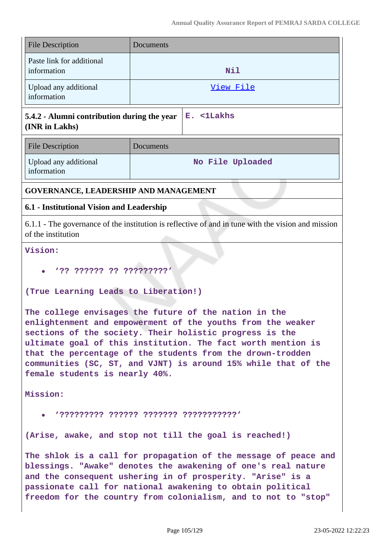| <b>File Description</b>                                                                                                  | Documents                                 |                  |  |
|--------------------------------------------------------------------------------------------------------------------------|-------------------------------------------|------------------|--|
| Paste link for additional<br>information                                                                                 | Nil                                       |                  |  |
| Upload any additional<br>information                                                                                     |                                           | View File        |  |
| 5.4.2 - Alumni contribution during the year<br>(INR in Lakhs)                                                            |                                           | E. <1Lakhs       |  |
| <b>File Description</b>                                                                                                  | Documents                                 |                  |  |
| Upload any additional<br>information                                                                                     |                                           | No File Uploaded |  |
| GOVERNANCE, LEADERSHIP AND MANAGEMENT                                                                                    |                                           |                  |  |
|                                                                                                                          | 6.1 - Institutional Vision and Leadership |                  |  |
| 6.1.1 - The governance of the institution is reflective of and in tune with the vision and mission<br>of the institution |                                           |                  |  |
| Vision:                                                                                                                  |                                           |                  |  |
| '?? ?????? ?? ?????????'                                                                                                 |                                           |                  |  |

### **(True Learning Leads to Liberation!)**

**The college envisages the future of the nation in the enlightenment and empowerment of the youths from the weaker sections of the society. Their holistic progress is the ultimate goal of this institution. The fact worth mention is that the percentage of the students from the drown-trodden communities (SC, ST, and VJNT) is around 15% while that of the female students is nearly 40%.**

**Mission:**

**'????????? ?????? ??????? ???????????'**

**(Arise, awake, and stop not till the goal is reached!)**

**The shlok is a call for propagation of the message of peace and blessings. "Awake" denotes the awakening of one's real nature and the consequent ushering in of prosperity. "Arise" is a passionate call for national awakening to obtain political freedom for the country from colonialism, and to not to "stop"**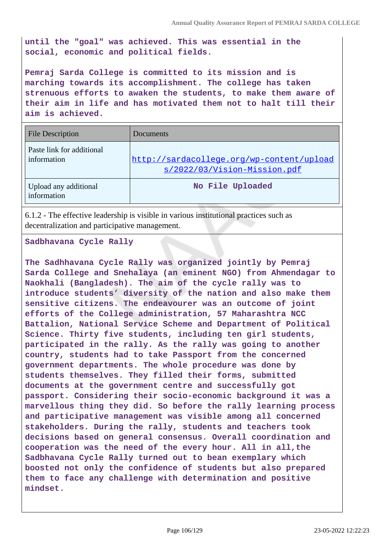**until the "goal" was achieved. This was essential in the social, economic and political fields.**

**Pemraj Sarda College is committed to its mission and is marching towards its accomplishment. The college has taken strenuous efforts to awaken the students, to make them aware of their aim in life and has motivated them not to halt till their aim is achieved.**

| <b>File Description</b>                  | Documents                                                                 |
|------------------------------------------|---------------------------------------------------------------------------|
| Paste link for additional<br>information | http://sardacollege.org/wp-content/upload<br>s/2022/03/Vision-Mission.pdf |
| Upload any additional<br>information     | No File Uploaded                                                          |

6.1.2 - The effective leadership is visible in various institutional practices such as decentralization and participative management.

**Sadbhavana Cycle Rally** 

**The Sadhhavana Cycle Rally was organized jointly by Pemraj Sarda College and Snehalaya (an eminent NGO) from Ahmendagar to Naokhali (Bangladesh). The aim of the cycle rally was to introduce students' diversity of the nation and also make them sensitive citizens. The endeavourer was an outcome of joint efforts of the College administration, 57 Maharashtra NCC Battalion, National Service Scheme and Department of Political Science. Thirty five students, including ten girl students, participated in the rally. As the rally was going to another country, students had to take Passport from the concerned government departments. The whole procedure was done by students themselves. They filled their forms, submitted documents at the government centre and successfully got passport. Considering their socio-economic background it was a marvellous thing they did. So before the rally learning process and participative management was visible among all concerned stakeholders. During the rally, students and teachers took decisions based on general consensus. Overall coordination and cooperation was the need of the every hour. All in all,the Sadbhavana Cycle Rally turned out to bean exemplary which boosted not only the confidence of students but also prepared them to face any challenge with determination and positive mindset.**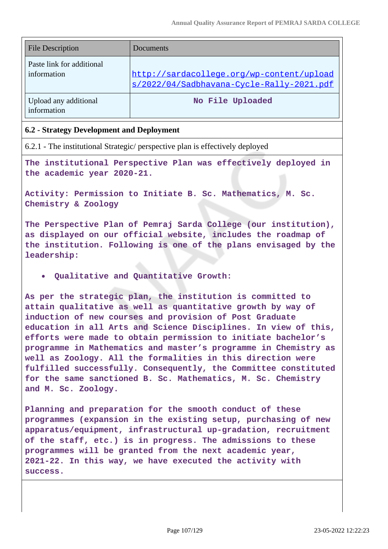| <b>File Description</b>                  | Documents                                                                              |
|------------------------------------------|----------------------------------------------------------------------------------------|
| Paste link for additional<br>information | http://sardacollege.org/wp-content/upload<br>s/2022/04/Sadbhavana-Cycle-Rally-2021.pdf |
| Upload any additional<br>information     | No File Uploaded                                                                       |

#### **6.2 - Strategy Development and Deployment**

6.2.1 - The institutional Strategic/ perspective plan is effectively deployed

**The institutional Perspective Plan was effectively deployed in the academic year 2020-21.**

**Activity: Permission to Initiate B. Sc. Mathematics, M. Sc. Chemistry & Zoology**

**The Perspective Plan of Pemraj Sarda College (our institution), as displayed on our official website, includes the roadmap of the institution. Following is one of the plans envisaged by the leadership:**

**Qualitative and Quantitative Growth:**

**As per the strategic plan, the institution is committed to attain qualitative as well as quantitative growth by way of induction of new courses and provision of Post Graduate education in all Arts and Science Disciplines. In view of this, efforts were made to obtain permission to initiate bachelor's programme in Mathematics and master's programme in Chemistry as well as Zoology. All the formalities in this direction were fulfilled successfully. Consequently, the Committee constituted for the same sanctioned B. Sc. Mathematics, M. Sc. Chemistry and M. Sc. Zoology.**

**Planning and preparation for the smooth conduct of these programmes (expansion in the existing setup, purchasing of new apparatus/equipment, infrastructural up-gradation, recruitment of the staff, etc.) is in progress. The admissions to these programmes will be granted from the next academic year, 2021-22. In this way, we have executed the activity with success.**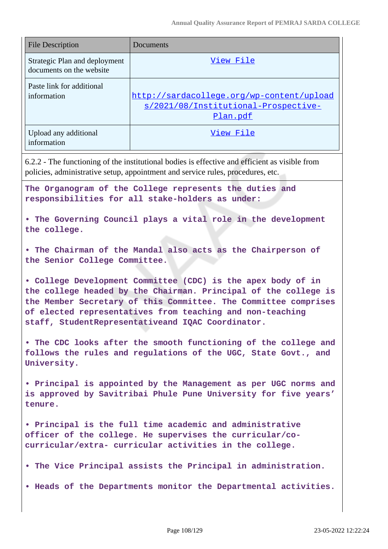| <b>File Description</b>                                                                                                                                                                                                                                                                                              | Documents                                                                                     |  |
|----------------------------------------------------------------------------------------------------------------------------------------------------------------------------------------------------------------------------------------------------------------------------------------------------------------------|-----------------------------------------------------------------------------------------------|--|
| Strategic Plan and deployment<br>documents on the website                                                                                                                                                                                                                                                            | <u>View File</u>                                                                              |  |
| Paste link for additional<br>information                                                                                                                                                                                                                                                                             | http://sardacollege.org/wp-content/upload<br>s/2021/08/Institutional-Prospective-<br>Plan.pdf |  |
| Upload any additional<br>information                                                                                                                                                                                                                                                                                 | <u>View File</u>                                                                              |  |
| 6.2.2 - The functioning of the institutional bodies is effective and efficient as visible from<br>policies, administrative setup, appointment and service rules, procedures, etc.                                                                                                                                    |                                                                                               |  |
| The Organogram of the College represents the duties and<br>responsibilities for all stake-holders as under:                                                                                                                                                                                                          |                                                                                               |  |
| . The Governing Council plays a vital role in the development<br>the college.                                                                                                                                                                                                                                        |                                                                                               |  |
| . The Chairman of the Mandal also acts as the Chairperson of<br>the Senior College Committee.                                                                                                                                                                                                                        |                                                                                               |  |
| . College Development Committee (CDC) is the apex body of in<br>the college headed by the Chairman. Principal of the college is<br>the Member Secretary of this Committee. The Committee comprises<br>of elected representatives from teaching and non-teaching<br>staff, StudentRepresentativeand IQAC Coordinator. |                                                                                               |  |
| • The CDC looks after the smooth functioning of the college and<br>follows the rules and regulations of the UGC, State Govt., and<br>University.                                                                                                                                                                     |                                                                                               |  |
| • Principal is appointed by the Management as per UGC norms and<br>is approved by Savitribai Phule Pune University for five years'<br>tenure.                                                                                                                                                                        |                                                                                               |  |
| • Principal is the full time academic and administrative<br>officer of the college. He supervises the curricular/co-<br>curricular/extra- curricular activities in the college.                                                                                                                                      |                                                                                               |  |
|                                                                                                                                                                                                                                                                                                                      | . The Vice Principal assists the Principal in administration.                                 |  |
|                                                                                                                                                                                                                                                                                                                      | . Heads of the Departments monitor the Departmental activities.                               |  |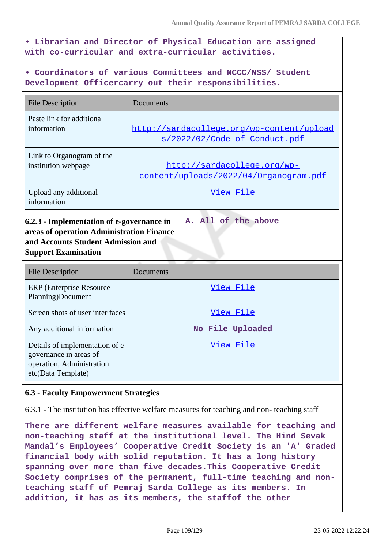**• Librarian and Director of Physical Education are assigned with co-curricular and extra-curricular activities.**

**• Coordinators of various Committees and NCCC/NSS/ Student Development Officercarry out their responsibilities.**

| <b>File Description</b>                                                                                                                                                           | Documents                                                                     |  |  |
|-----------------------------------------------------------------------------------------------------------------------------------------------------------------------------------|-------------------------------------------------------------------------------|--|--|
| Paste link for additional<br>information                                                                                                                                          | http://sardacollege.org/wp-content/upload<br>s/2022/02/Code-of-Conduct.pdf    |  |  |
| Link to Organogram of the<br>institution webpage                                                                                                                                  | <u> http://sardacollege.org/wp-</u><br>content/uploads/2022/04/Organogram.pdf |  |  |
| Upload any additional<br>information                                                                                                                                              | View File                                                                     |  |  |
| A. All of the above<br>6.2.3 - Implementation of e-governance in<br>areas of operation Administration Finance<br>and Accounts Student Admission and<br><b>Support Examination</b> |                                                                               |  |  |

| <b>File Description</b>                                                                                      | Documents        |
|--------------------------------------------------------------------------------------------------------------|------------------|
| <b>ERP</b> (Enterprise Resource)<br>Planning)Document                                                        | View File        |
| Screen shots of user inter faces                                                                             | View File        |
| Any additional information                                                                                   | No File Uploaded |
| Details of implementation of e-<br>governance in areas of<br>operation, Administration<br>etc(Data Template) | View File        |

## **6.3 - Faculty Empowerment Strategies**

6.3.1 - The institution has effective welfare measures for teaching and non- teaching staff

**There are different welfare measures available for teaching and non-teaching staff at the institutional level. The Hind Sevak Mandal's Employees' Cooperative Credit Society is an 'A' Graded financial body with solid reputation. It has a long history spanning over more than five decades.This Cooperative Credit Society comprises of the permanent, full-time teaching and nonteaching staff of Pemraj Sarda College as its members. In addition, it has as its members, the staffof the other**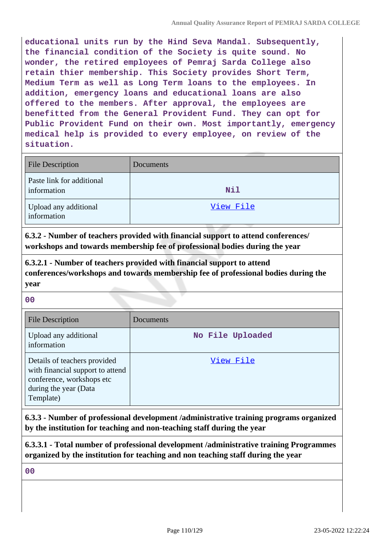**educational units run by the Hind Seva Mandal. Subsequently, the financial condition of the Society is quite sound. No wonder, the retired employees of Pemraj Sarda College also retain thier membership. This Society provides Short Term, Medium Term as well as Long Term loans to the employees. In addition, emergency loans and educational loans are also offered to the members. After approval, the employees are benefitted from the General Provident Fund. They can opt for Public Provident Fund on their own. Most importantly, emergency medical help is provided to every employee, on review of the situation.**

| <b>File Description</b>                  | Documents |
|------------------------------------------|-----------|
| Paste link for additional<br>information | Nil       |
| Upload any additional<br>information     | View File |

**6.3.2 - Number of teachers provided with financial support to attend conferences/ workshops and towards membership fee of professional bodies during the year**

**6.3.2.1 - Number of teachers provided with financial support to attend conferences/workshops and towards membership fee of professional bodies during the year**

**00**

| <b>File Description</b>                                                                                                             | Documents        |
|-------------------------------------------------------------------------------------------------------------------------------------|------------------|
| Upload any additional<br>information                                                                                                | No File Uploaded |
| Details of teachers provided<br>with financial support to attend<br>conference, workshops etc<br>during the year (Data<br>Template) | View File        |

**6.3.3 - Number of professional development /administrative training programs organized by the institution for teaching and non-teaching staff during the year**

**6.3.3.1 - Total number of professional development /administrative training Programmes organized by the institution for teaching and non teaching staff during the year**

**00**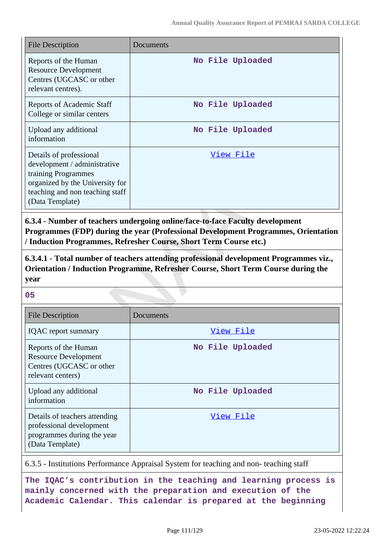| <b>File Description</b>                                                                                                                                                 | Documents        |
|-------------------------------------------------------------------------------------------------------------------------------------------------------------------------|------------------|
| Reports of the Human<br><b>Resource Development</b><br>Centres (UGCASC or other<br>relevant centres).                                                                   | No File Uploaded |
| <b>Reports of Academic Staff</b><br>College or similar centers                                                                                                          | No File Uploaded |
| Upload any additional<br>information                                                                                                                                    | No File Uploaded |
| Details of professional<br>development / administrative<br>training Programmes<br>organized by the University for<br>teaching and non teaching staff<br>(Data Template) | View File        |

**6.3.4 - Number of teachers undergoing online/face-to-face Faculty development Programmes (FDP) during the year (Professional Development Programmes, Orientation / Induction Programmes, Refresher Course, Short Term Course etc.)**

**6.3.4.1 - Total number of teachers attending professional development Programmes viz., Orientation / Induction Programme, Refresher Course, Short Term Course during the year**

**05**

| <b>File Description</b>                                                                                    | Documents        |
|------------------------------------------------------------------------------------------------------------|------------------|
| <b>IQAC</b> report summary                                                                                 | View File        |
| Reports of the Human<br><b>Resource Development</b><br>Centres (UGCASC or other<br>relevant centers)       | No File Uploaded |
| Upload any additional<br>information                                                                       | No File Uploaded |
| Details of teachers attending<br>professional development<br>programmes during the year<br>(Data Template) | View File        |

6.3.5 - Institutions Performance Appraisal System for teaching and non- teaching staff

**The IQAC's contribution in the teaching and learning process is mainly concerned with the preparation and execution of the Academic Calendar. This calendar is prepared at the beginning**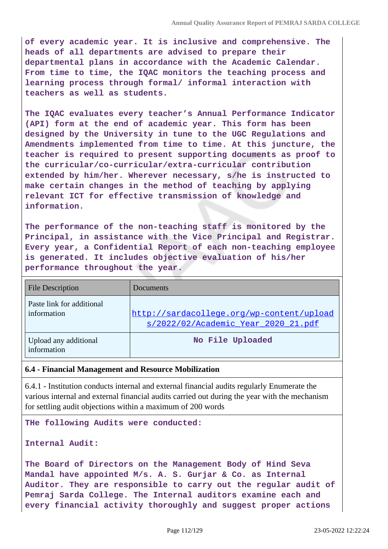**of every academic year. It is inclusive and comprehensive. The heads of all departments are advised to prepare their departmental plans in accordance with the Academic Calendar. From time to time, the IQAC monitors the teaching process and learning process through formal/ informal interaction with teachers as well as students.**

**The IQAC evaluates every teacher's Annual Performance Indicator (API) form at the end of academic year. This form has been designed by the University in tune to the UGC Regulations and Amendments implemented from time to time. At this juncture, the teacher is required to present supporting documents as proof to the curricular/co-curricular/extra-curricular contribution extended by him/her. Wherever necessary, s/he is instructed to make certain changes in the method of teaching by applying relevant ICT for effective transmission of knowledge and information.**

**The performance of the non-teaching staff is monitored by the Principal, in assistance with the Vice Principal and Registrar. Every year, a Confidential Report of each non-teaching employee is generated. It includes objective evaluation of his/her performance throughout the year.**

| <b>File Description</b>                  | <b>Documents</b>                                                                 |  |  |
|------------------------------------------|----------------------------------------------------------------------------------|--|--|
| Paste link for additional<br>information | http://sardacollege.org/wp-content/upload<br>s/2022/02/Academic Year 2020 21.pdf |  |  |
| Upload any additional<br>information     | No File Uploaded                                                                 |  |  |

## **6.4 - Financial Management and Resource Mobilization**

6.4.1 - Institution conducts internal and external financial audits regularly Enumerate the various internal and external financial audits carried out during the year with the mechanism for settling audit objections within a maximum of 200 words

**THe following Audits were conducted:**

```
Internal Audit:
```
**The Board of Directors on the Management Body of Hind Seva Mandal have appointed M/s. A. S. Gurjar & Co. as Internal Auditor. They are responsible to carry out the regular audit of Pemraj Sarda College. The Internal auditors examine each and every financial activity thoroughly and suggest proper actions**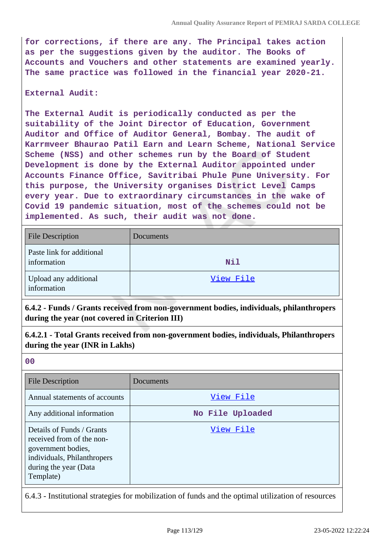**for corrections, if there are any. The Principal takes action as per the suggestions given by the auditor. The Books of Accounts and Vouchers and other statements are examined yearly. The same practice was followed in the financial year 2020-21.**

### **External Audit:**

**The External Audit is periodically conducted as per the suitability of the Joint Director of Education, Government Auditor and Office of Auditor General, Bombay. The audit of Karrmveer Bhaurao Patil Earn and Learn Scheme, National Service Scheme (NSS) and other schemes run by the Board of Student Development is done by the External Auditor appointed under Accounts Finance Office, Savitribai Phule Pune University. For this purpose, the University organises District Level Camps every year. Due to extraordinary circumstances in the wake of Covid 19 pandemic situation, most of the schemes could not be implemented. As such, their audit was not done.**

| <b>File Description</b>                  | Documents  |
|------------------------------------------|------------|
| Paste link for additional<br>information | <b>Nil</b> |
| Upload any additional<br>information     | View File  |

**6.4.2 - Funds / Grants received from non-government bodies, individuals, philanthropers during the year (not covered in Criterion III)**

**6.4.2.1 - Total Grants received from non-government bodies, individuals, Philanthropers during the year (INR in Lakhs)**

**<sup>00</sup>**

| <b>File Description</b>                                                                                                                           | Documents        |
|---------------------------------------------------------------------------------------------------------------------------------------------------|------------------|
| Annual statements of accounts                                                                                                                     | View File        |
| Any additional information                                                                                                                        | No File Uploaded |
| Details of Funds / Grants<br>received from of the non-<br>government bodies,<br>individuals, Philanthropers<br>during the year (Data<br>Template) | View File        |

6.4.3 - Institutional strategies for mobilization of funds and the optimal utilization of resources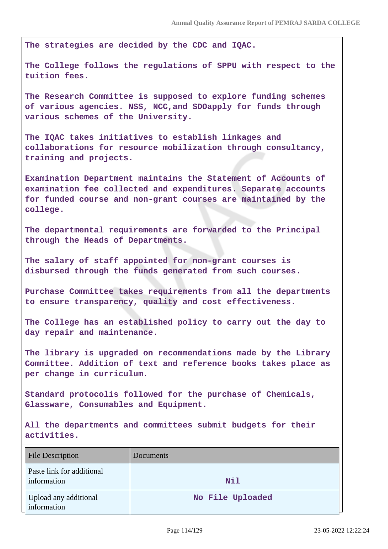**The strategies are decided by the CDC and IQAC.**

**The College follows the regulations of SPPU with respect to the tuition fees.**

**The Research Committee is supposed to explore funding schemes of various agencies. NSS, NCC,and SDOapply for funds through various schemes of the University.**

**The IQAC takes initiatives to establish linkages and collaborations for resource mobilization through consultancy, training and projects.**

**Examination Department maintains the Statement of Accounts of examination fee collected and expenditures. Separate accounts for funded course and non-grant courses are maintained by the college.**

**The departmental requirements are forwarded to the Principal through the Heads of Departments.**

**The salary of staff appointed for non-grant courses is disbursed through the funds generated from such courses.**

**Purchase Committee takes requirements from all the departments to ensure transparency, quality and cost effectiveness.**

**The College has an established policy to carry out the day to day repair and maintenance.**

**The library is upgraded on recommendations made by the Library Committee. Addition of text and reference books takes place as per change in curriculum.**

**Standard protocolis followed for the purchase of Chemicals, Glassware, Consumables and Equipment.**

**All the departments and committees submit budgets for their activities.**

| File Description                         | Documents        |
|------------------------------------------|------------------|
| Paste link for additional<br>information | Nil              |
| Upload any additional<br>information     | No File Uploaded |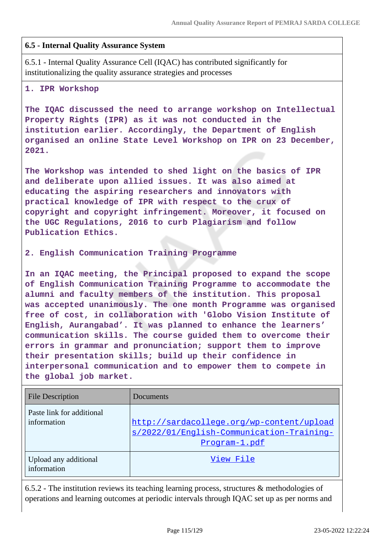## **6.5 - Internal Quality Assurance System**

6.5.1 - Internal Quality Assurance Cell (IQAC) has contributed significantly for institutionalizing the quality assurance strategies and processes

## **1. IPR Workshop**

**The IQAC discussed the need to arrange workshop on Intellectual Property Rights (IPR) as it was not conducted in the institution earlier. Accordingly, the Department of English organised an online State Level Workshop on IPR on 23 December, 2021.**

**The Workshop was intended to shed light on the basics of IPR and deliberate upon allied issues. It was also aimed at educating the aspiring researchers and innovators with practical knowledge of IPR with respect to the crux of copyright and copyright infringement. Moreover, it focused on the UGC Regulations, 2016 to curb Plagiarism and follow Publication Ethics.**

**2. English Communication Training Programme**

**In an IQAC meeting, the Principal proposed to expand the scope of English Communication Training Programme to accommodate the alumni and faculty members of the institution. This proposal was accepted unanimously. The one month Programme was organised free of cost, in collaboration with 'Globo Vision Institute of English, Aurangabad'. It was planned to enhance the learners' communication skills. The course guided them to overcome their errors in grammar and pronunciation; support them to improve their presentation skills; build up their confidence in interpersonal communication and to empower them to compete in the global job market.**

| <b>File Description</b>                  | Documents                                                                                               |  |  |
|------------------------------------------|---------------------------------------------------------------------------------------------------------|--|--|
| Paste link for additional<br>information | http://sardacollege.org/wp-content/upload<br>s/2022/01/English-Communication-Training-<br>Program-1.pdf |  |  |
| Upload any additional<br>information     | View File                                                                                               |  |  |

6.5.2 - The institution reviews its teaching learning process, structures & methodologies of operations and learning outcomes at periodic intervals through IQAC set up as per norms and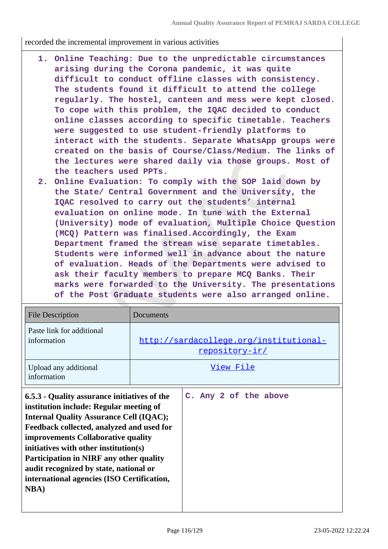recorded the incremental improvement in various activities

- **1. Online Teaching: Due to the unpredictable circumstances arising during the Corona pandemic, it was quite difficult to conduct offline classes with consistency. The students found it difficult to attend the college regularly. The hostel, canteen and mess were kept closed. To cope with this problem, the IQAC decided to conduct online classes according to specific timetable. Teachers were suggested to use student-friendly platforms to interact with the students. Separate WhatsApp groups were created on the basis of Course/Class/Medium. The links of the lectures were shared daily via those groups. Most of the teachers used PPTs.**
- **2. Online Evaluation: To comply with the SOP laid down by the State/ Central Government and the University, the IQAC resolved to carry out the students' internal evaluation on online mode. In tune with the External (University) mode of evaluation, Multiple Choice Question (MCQ) Pattern was finalised.Accordingly, the Exam Department framed the stream wise separate timetables. Students were informed well in advance about the nature of evaluation. Heads of the Departments were advised to ask their faculty members to prepare MCQ Banks. Their marks were forwarded to the University. The presentations of the Post Graduate students were also arranged online.**

| <b>File Description</b>                                                                                                                                                                                                                                                                                                                                                                                                         | Documents                                                |                       |
|---------------------------------------------------------------------------------------------------------------------------------------------------------------------------------------------------------------------------------------------------------------------------------------------------------------------------------------------------------------------------------------------------------------------------------|----------------------------------------------------------|-----------------------|
| Paste link for additional<br>information                                                                                                                                                                                                                                                                                                                                                                                        | http://sardacollege.org/institutional-<br>repository-ir/ |                       |
| Upload any additional<br>information                                                                                                                                                                                                                                                                                                                                                                                            | View File                                                |                       |
| 6.5.3 - Quality assurance initiatives of the<br>institution include: Regular meeting of<br><b>Internal Quality Assurance Cell (IQAC);</b><br>Feedback collected, analyzed and used for<br><b>improvements Collaborative quality</b><br>initiatives with other institution(s)<br>Participation in NIRF any other quality<br>audit recognized by state, national or<br>international agencies (ISO Certification,<br><b>NBA</b> ) |                                                          | C. Any 2 of the above |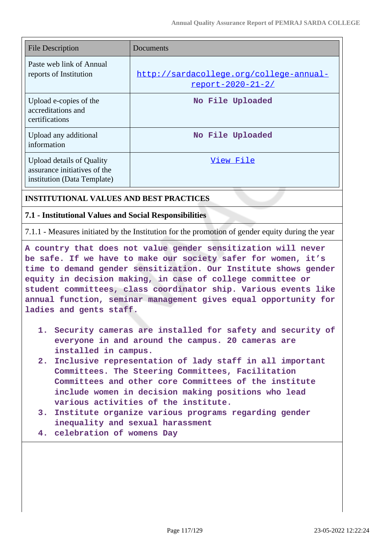| File Description                                                                                | Documents                                                           |
|-------------------------------------------------------------------------------------------------|---------------------------------------------------------------------|
| Paste web link of Annual<br>reports of Institution                                              | http://sardacollege.org/college-annual-<br><u>report-2020-21-2/</u> |
| Upload e-copies of the<br>accreditations and<br>certifications                                  | No File Uploaded                                                    |
| Upload any additional<br>information                                                            | No File Uploaded                                                    |
| <b>Upload details of Quality</b><br>assurance initiatives of the<br>institution (Data Template) | View File                                                           |

## **INSTITUTIONAL VALUES AND BEST PRACTICES**

## **7.1 - Institutional Values and Social Responsibilities**

7.1.1 - Measures initiated by the Institution for the promotion of gender equity during the year

**A country that does not value gender sensitization will never be safe. If we have to make our society safer for women, it's time to demand gender sensitization. Our Institute shows gender equity in decision making, in case of college committee or student committees, class coordinator ship. Various events like annual function, seminar management gives equal opportunity for ladies and gents staff.**

- **1. Security cameras are installed for safety and security of everyone in and around the campus. 20 cameras are installed in campus.**
- **2. Inclusive representation of lady staff in all important Committees. The Steering Committees, Facilitation Committees and other core Committees of the institute include women in decision making positions who lead various activities of the institute.**
- **3. Institute organize various programs regarding gender inequality and sexual harassment**
- **4. celebration of womens Day**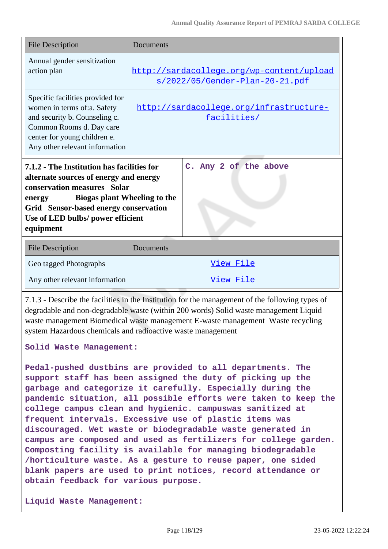| <b>File Description</b>                                                                                                                                                                                                                                                                                                                   | Documents                                                                    |  |
|-------------------------------------------------------------------------------------------------------------------------------------------------------------------------------------------------------------------------------------------------------------------------------------------------------------------------------------------|------------------------------------------------------------------------------|--|
| Annual gender sensitization<br>action plan                                                                                                                                                                                                                                                                                                | http://sardacollege.org/wp-content/upload<br>s/2022/05/Gender-Plan-20-21.pdf |  |
| Specific facilities provided for<br>women in terms of:a. Safety<br>and security b. Counseling c.<br>Common Rooms d. Day care<br>center for young children e.<br>Any other relevant information                                                                                                                                            | http://sardacollege.org/infrastructure-<br>facilities/                       |  |
| C. Any 2 of the above<br>7.1.2 - The Institution has facilities for<br>alternate sources of energy and energy<br>conservation measures Solar<br><b>Biogas plant Wheeling to the</b><br>energy<br>Grid Sensor-based energy conservation<br>Use of LED bulbs/ power efficient<br>equipment                                                  |                                                                              |  |
| <b>File Description</b>                                                                                                                                                                                                                                                                                                                   | Documents                                                                    |  |
| Geo tagged Photographs                                                                                                                                                                                                                                                                                                                    | View File                                                                    |  |
| Any other relevant information                                                                                                                                                                                                                                                                                                            | View File                                                                    |  |
| 7.1.3 - Describe the facilities in the Institution for the management of the following types of<br>degradable and non-degradable waste (within 200 words) Solid waste management Liquid<br>waste management Biomedical waste management E-waste management Waste recycling<br>system Hazardous chemicals and radioactive waste management |                                                                              |  |

**Solid Waste Management:**

**Pedal-pushed dustbins are provided to all departments. The support staff has been assigned the duty of picking up the garbage and categorize it carefully. Especially during the pandemic situation, all possible efforts were taken to keep the college campus clean and hygienic. campuswas sanitized at frequent intervals. Excessive use of plastic items was discouraged. Wet waste or biodegradable waste generated in campus are composed and used as fertilizers for college garden. Composting facility is available for managing biodegradable /horticulture waste. As a gesture to reuse paper, one sided blank papers are used to print notices, record attendance or obtain feedback for various purpose.**

**Liquid Waste Management:**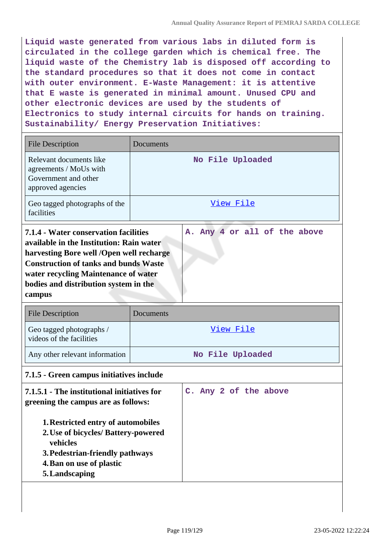**Liquid waste generated from various labs in diluted form is circulated in the college garden which is chemical free. The liquid waste of the Chemistry lab is disposed off according to the standard procedures so that it does not come in contact with outer environment. E-Waste Management: it is attentive that E waste is generated in minimal amount. Unused CPU and other electronic devices are used by the students of Electronics to study internal circuits for hands on training. Sustainability/ Energy Preservation Initiatives:**

| <b>File Description</b>                                                                                                                                                                                                                                                                                  | Documents             |
|----------------------------------------------------------------------------------------------------------------------------------------------------------------------------------------------------------------------------------------------------------------------------------------------------------|-----------------------|
| Relevant documents like<br>agreements / MoUs with<br>Government and other<br>approved agencies                                                                                                                                                                                                           | No File Uploaded      |
| Geo tagged photographs of the<br>facilities                                                                                                                                                                                                                                                              | View File             |
| A. Any 4 or all of the above<br>7.1.4 - Water conservation facilities<br>available in the Institution: Rain water<br>harvesting Bore well /Open well recharge<br><b>Construction of tanks and bunds Waste</b><br>water recycling Maintenance of water<br>bodies and distribution system in the<br>campus |                       |
| <b>File Description</b>                                                                                                                                                                                                                                                                                  | <b>Documents</b>      |
| Geo tagged photographs /<br>videos of the facilities                                                                                                                                                                                                                                                     | View File             |
| Any other relevant information                                                                                                                                                                                                                                                                           | No File Uploaded      |
| 7.1.5 - Green campus initiatives include                                                                                                                                                                                                                                                                 |                       |
| 7.1.5.1 - The institutional initiatives for<br>greening the campus are as follows:<br>1. Restricted entry of automobiles<br>2. Use of bicycles/ Battery-powered<br>vehicles<br>3. Pedestrian-friendly pathways                                                                                           | C. Any 2 of the above |

**5.Landscaping**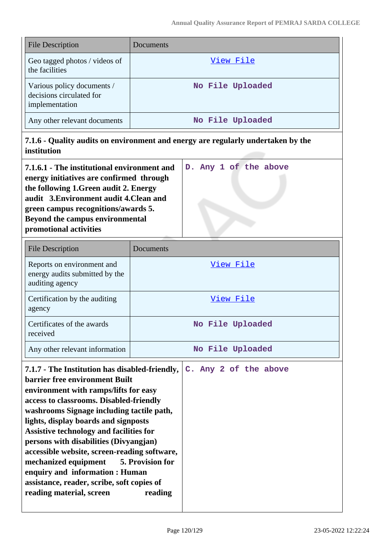| File Description                                                         | Documents        |
|--------------------------------------------------------------------------|------------------|
| Geo tagged photos / videos of<br>the facilities                          | View File        |
| Various policy documents /<br>decisions circulated for<br>implementation | No File Uploaded |
| Any other relevant documents                                             | No File Uploaded |

**7.1.6 - Quality audits on environment and energy are regularly undertaken by the institution**

| 7.1.6.1 - The institutional environment and |  |  | D. Any 1 of the above |
|---------------------------------------------|--|--|-----------------------|
| energy initiatives are confirmed through    |  |  |                       |
| the following 1. Green audit 2. Energy      |  |  |                       |
| audit 3. Environment audit 4. Clean and     |  |  |                       |
| green campus recognitions/awards 5.         |  |  |                       |
| <b>Beyond the campus environmental</b>      |  |  |                       |
| promotional activities                      |  |  |                       |

| File Description                                                                | Documents        |
|---------------------------------------------------------------------------------|------------------|
| Reports on environment and<br>energy audits submitted by the<br>auditing agency | View File        |
| Certification by the auditing<br>agency                                         | View File        |
| Certificates of the awards<br>received                                          | No File Uploaded |
| Any other relevant information                                                  | No File Uploaded |

| 7.1.7 - The Institution has disabled-friendly, |  |  | C. Any 2 of the above |  |
|------------------------------------------------|--|--|-----------------------|--|
| <b>barrier free environment Built</b>          |  |  |                       |  |
| environment with ramps/lifts for easy          |  |  |                       |  |
| access to classrooms. Disabled-friendly        |  |  |                       |  |
| washrooms Signage including tactile path,      |  |  |                       |  |
| lights, display boards and signposts           |  |  |                       |  |
| Assistive technology and facilities for        |  |  |                       |  |
| persons with disabilities (Divyangjan)         |  |  |                       |  |
| accessible website, screen-reading software,   |  |  |                       |  |
| mechanized equipment 5. Provision for          |  |  |                       |  |
| enquiry and information : Human                |  |  |                       |  |
| assistance, reader, scribe, soft copies of     |  |  |                       |  |
| reading material, screen<br>reading            |  |  |                       |  |
|                                                |  |  |                       |  |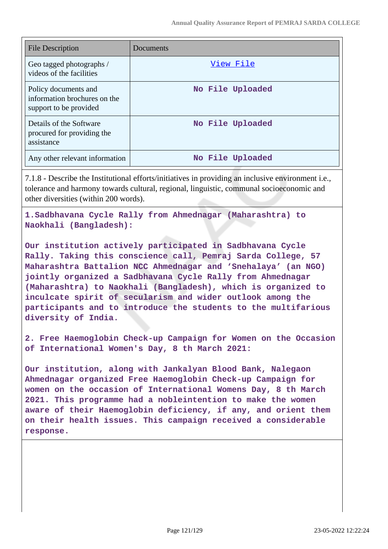| <b>File Description</b>                                                        | Documents        |
|--------------------------------------------------------------------------------|------------------|
| Geo tagged photographs /<br>videos of the facilities                           | View File        |
| Policy documents and<br>information brochures on the<br>support to be provided | No File Uploaded |
| Details of the Software<br>procured for providing the<br>assistance            | No File Uploaded |
| Any other relevant information                                                 | No File Uploaded |

7.1.8 - Describe the Institutional efforts/initiatives in providing an inclusive environment i.e., tolerance and harmony towards cultural, regional, linguistic, communal socioeconomic and other diversities (within 200 words).

**1.Sadbhavana Cycle Rally from Ahmednagar (Maharashtra) to Naokhali (Bangladesh):**

**Our institution actively participated in Sadbhavana Cycle Rally. Taking this conscience call, Pemraj Sarda College, 57 Maharashtra Battalion NCC Ahmednagar and 'Snehalaya' (an NGO) jointly organized a Sadbhavana Cycle Rally from Ahmednagar (Maharashtra) to Naokhali (Bangladesh), which is organized to inculcate spirit of secularism and wider outlook among the participants and to introduce the students to the multifarious diversity of India.**

**2. Free Haemoglobin Check-up Campaign for Women on the Occasion of International Women's Day, 8 th March 2021:**

**Our institution, along with Jankalyan Blood Bank, Nalegaon Ahmednagar organized Free Haemoglobin Check-up Campaign for women on the occasion of International Womens Day, 8 th March 2021. This programme had a nobleintention to make the women aware of their Haemoglobin deficiency, if any, and orient them on their health issues. This campaign received a considerable response.**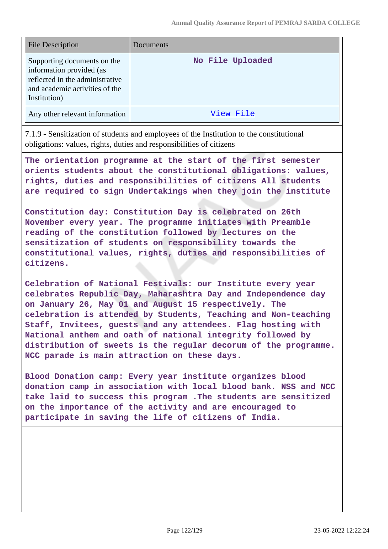| <b>File Description</b>                                                                                                                      | Documents        |
|----------------------------------------------------------------------------------------------------------------------------------------------|------------------|
| Supporting documents on the<br>information provided (as<br>reflected in the administrative<br>and academic activities of the<br>Institution) | No File Uploaded |
| Any other relevant information                                                                                                               | View File        |

7.1.9 - Sensitization of students and employees of the Institution to the constitutional obligations: values, rights, duties and responsibilities of citizens

**The orientation programme at the start of the first semester orients students about the constitutional obligations: values, rights, duties and responsibilities of citizens All students are required to sign Undertakings when they join the institute**

**Constitution day: Constitution Day is celebrated on 26th November every year. The programme initiates with Preamble reading of the constitution followed by lectures on the sensitization of students on responsibility towards the constitutional values, rights, duties and responsibilities of citizens.**

**Celebration of National Festivals: our Institute every year celebrates Republic Day, Maharashtra Day and Independence day on January 26, May 01 and August 15 respectively. The celebration is attended by Students, Teaching and Non-teaching Staff, Invitees, guests and any attendees. Flag hosting with National anthem and oath of national integrity followed by distribution of sweets is the regular decorum of the programme. NCC parade is main attraction on these days.**

**Blood Donation camp: Every year institute organizes blood donation camp in association with local blood bank. NSS and NCC take laid to success this program .The students are sensitized on the importance of the activity and are encouraged to participate in saving the life of citizens of India.**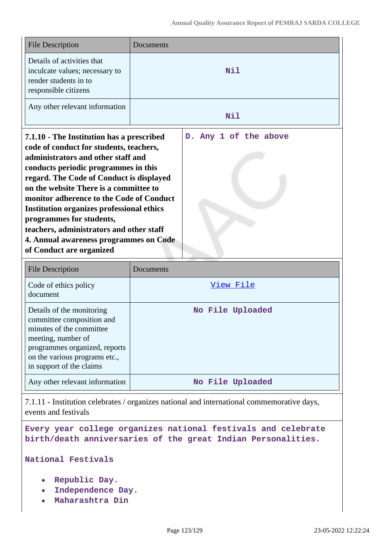| <b>File Description</b>                                                                                                                                                                                                                                                                                                                                                                                                                                                                                | Documents             |  |  |
|--------------------------------------------------------------------------------------------------------------------------------------------------------------------------------------------------------------------------------------------------------------------------------------------------------------------------------------------------------------------------------------------------------------------------------------------------------------------------------------------------------|-----------------------|--|--|
| Details of activities that<br>inculcate values; necessary to<br>render students in to<br>responsible citizens                                                                                                                                                                                                                                                                                                                                                                                          | Nil                   |  |  |
| Any other relevant information                                                                                                                                                                                                                                                                                                                                                                                                                                                                         | Nil                   |  |  |
| 7.1.10 - The Institution has a prescribed<br>code of conduct for students, teachers,<br>administrators and other staff and<br>conducts periodic programmes in this<br>regard. The Code of Conduct is displayed<br>on the website There is a committee to<br>monitor adherence to the Code of Conduct<br><b>Institution organizes professional ethics</b><br>programmes for students,<br>teachers, administrators and other staff<br>4. Annual awareness programmes on Code<br>of Conduct are organized | D. Any 1 of the above |  |  |
| <b>File Description</b>                                                                                                                                                                                                                                                                                                                                                                                                                                                                                | Documents             |  |  |
| Code of ethics policy<br>document                                                                                                                                                                                                                                                                                                                                                                                                                                                                      | View File             |  |  |
| Details of the monitoring<br>committee composition and<br>minutes of the committee<br>meeting, number of<br>programmes organized, reports<br>on the various programs etc.,<br>in support of the claims                                                                                                                                                                                                                                                                                                 | No File Uploaded      |  |  |

Any other relevant information **No File Uploaded** 

7.1.11 - Institution celebrates / organizes national and international commemorative days, events and festivals

**Every year college organizes national festivals and celebrate birth/death anniversaries of the great Indian Personalities.**

**National Festivals**

- **Republic Day.**
- **Independence Day.**
- **Maharashtra Din**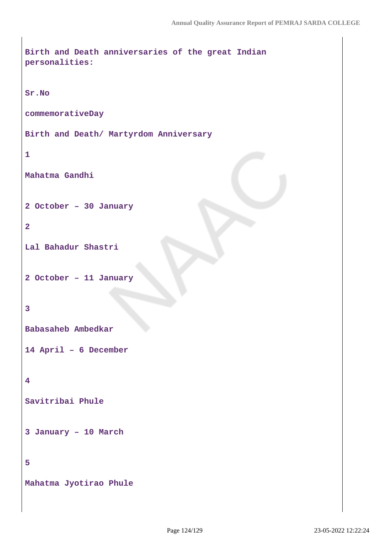```
Birth and Death anniversaries of the great Indian
personalities:
Sr.No
commemorativeDay
Birth and Death/ Martyrdom Anniversary
1
Mahatma Gandhi
2 October – 30 January
2
Lal Bahadur Shastri
2 October – 11 January
3
Babasaheb Ambedkar
14 April – 6 December
4
Savitribai Phule
3 January – 10 March
5
Mahatma Jyotirao Phule
```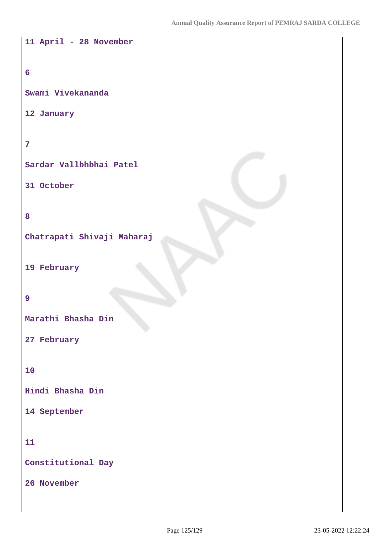```
11 April - 28 November
6
Swami Vivekananda
12 January
7
Sardar Vallbhbhai Patel
31 October
8
Chatrapati Shivaji Maharaj
19 February
9
Marathi Bhasha Din
27 February
10
Hindi Bhasha Din
14 September
11
Constitutional Day
26 November
```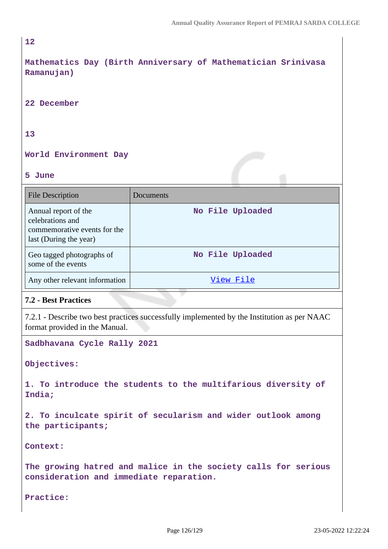#### **12**

**Mathematics Day (Birth Anniversary of Mathematician Srinivasa Ramanujan)**

**22 December**

## **13**

## **World Environment Day**

## **5 June**

| <b>File Description</b>                                                                            | Documents        |
|----------------------------------------------------------------------------------------------------|------------------|
| Annual report of the<br>celebrations and<br>commemorative events for the<br>last (During the year) | No File Uploaded |
| Geo tagged photographs of<br>some of the events                                                    | No File Uploaded |
| Any other relevant information                                                                     | View File        |

## **7.2 - Best Practices**

7.2.1 - Describe two best practices successfully implemented by the Institution as per NAAC format provided in the Manual.

**Sadbhavana Cycle Rally 2021**

**Objectives:**

**1. To introduce the students to the multifarious diversity of India;**

**2. To inculcate spirit of secularism and wider outlook among the participants;**

**Context:**

**The growing hatred and malice in the society calls for serious consideration and immediate reparation.**

**Practice:**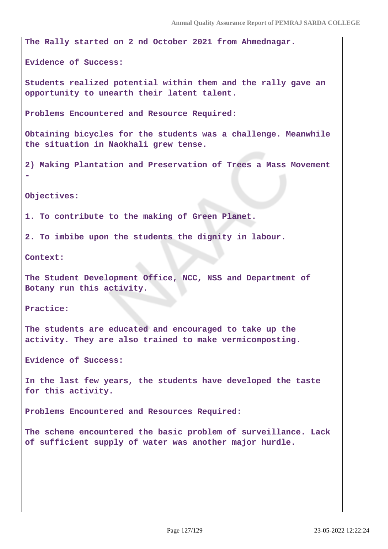**The Rally started on 2 nd October 2021 from Ahmednagar.**

**Evidence of Success:** 

**Students realized potential within them and the rally gave an opportunity to unearth their latent talent.**

**Problems Encountered and Resource Required:**

**Obtaining bicycles for the students was a challenge. Meanwhile the situation in Naokhali grew tense.**

**2) Making Plantation and Preservation of Trees a Mass Movement**

**Objectives:**

**-**

**1. To contribute to the making of Green Planet.**

**2. To imbibe upon the students the dignity in labour.**

**Context:**

**The Student Development Office, NCC, NSS and Department of Botany run this activity.**

**Practice:**

**The students are educated and encouraged to take up the activity. They are also trained to make vermicomposting.**

**Evidence of Success:**

**In the last few years, the students have developed the taste for this activity.**

**Problems Encountered and Resources Required:**

**The scheme encountered the basic problem of surveillance. Lack of sufficient supply of water was another major hurdle.**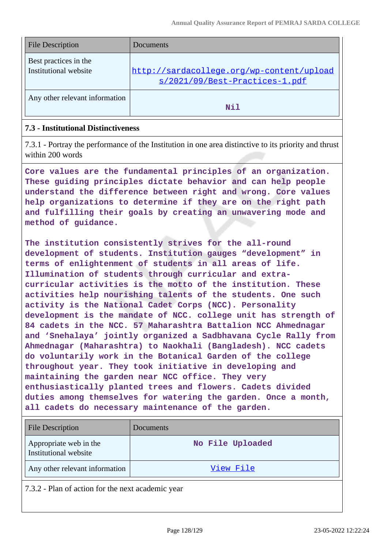| <b>File Description</b>                        | <b>Documents</b>                                                            |
|------------------------------------------------|-----------------------------------------------------------------------------|
| Best practices in the<br>Institutional website | http://sardacollege.org/wp-content/upload<br>s/2021/09/Best-Practices-1.pdf |
| Any other relevant information                 | Nil                                                                         |

# **7.3 - Institutional Distinctiveness**

7.3.1 - Portray the performance of the Institution in one area distinctive to its priority and thrust within 200 words

**Core values are the fundamental principles of an organization. These guiding principles dictate behavior and can help people understand the difference between right and wrong. Core values help organizations to determine if they are on the right path and fulfilling their goals by creating an unwavering mode and method of guidance.**

**The institution consistently strives for the all-round development of students. Institution gauges "development" in terms of enlightenment of students in all areas of life. Illumination of students through curricular and extracurricular activities is the motto of the institution. These activities help nourishing talents of the students. One such activity is the National Cadet Corps (NCC). Personality development is the mandate of NCC. college unit has strength of 84 cadets in the NCC. 57 Maharashtra Battalion NCC Ahmednagar and 'Snehalaya' jointly organized a Sadbhavana Cycle Rally from Ahmednagar (Maharashtra) to Naokhali (Bangladesh). NCC cadets do voluntarily work in the Botanical Garden of the college throughout year. They took initiative in developing and maintaining the garden near NCC office. They very enthusiastically planted trees and flowers. Cadets divided duties among themselves for watering the garden. Once a month, all cadets do necessary maintenance of the garden.**

| <b>File Description</b>                         | Documents        |
|-------------------------------------------------|------------------|
| Appropriate web in the<br>Institutional website | No File Uploaded |
| Any other relevant information                  | View File        |

7.3.2 - Plan of action for the next academic year